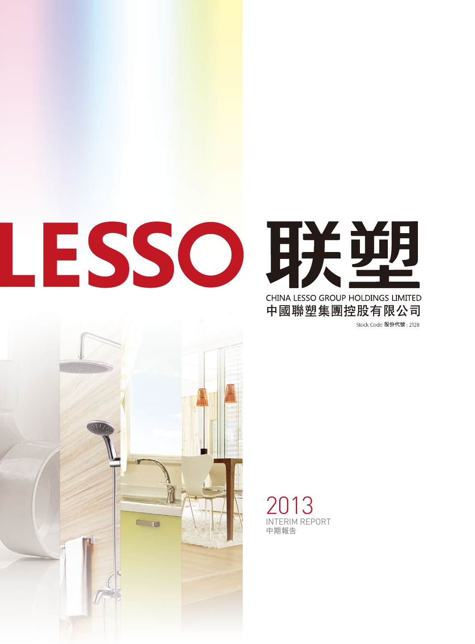



**中國聯塑集團控股有限公司**Stock Code 股份代號: 2128



2013 INTERIM REPORT **中期報告**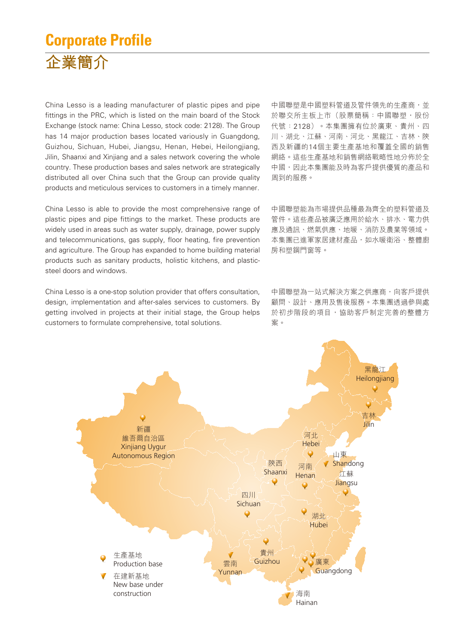## **Corporate Profile 企業簡介**

China Lesso is a leading manufacturer of plastic pipes and pipe fittings in the PRC, which is listed on the main board of the Stock Exchange (stock name: China Lesso, stock code: 2128). The Group has 14 major production bases located variously in Guangdong, Guizhou, Sichuan, Hubei, Jiangsu, Henan, Hebei, Heilongjiang, Jilin, Shaanxi and Xinjiang and a sales network covering the whole country. These production bases and sales network are strategically distributed all over China such that the Group can provide quality products and meticulous services to customers in a timely manner.

China Lesso is able to provide the most comprehensive range of plastic pipes and pipe fittings to the market. These products are widely used in areas such as water supply, drainage, power supply and telecommunications, gas supply, floor heating, fire prevention and agriculture. The Group has expanded to home building material products such as sanitary products, holistic kitchens, and plasticsteel doors and windows.

China Lesso is a one-stop solution provider that offers consultation, design, implementation and after-sales services to customers. By getting involved in projects at their initial stage, the Group helps customers to formulate comprehensive, total solutions.

中國聯塑是中國塑料管道及管件領先的生產商,並 於聯交所主板上市(股票簡稱:中國聯塑,股份 代號:2128)。本集團擁有位於廣東、貴州、四 川、湖北、江蘇、河南、河北、黑龍江、吉林、陝 西及新疆的14個主要生產基地和覆蓋全國的銷售 網絡。這些生產基地和銷售網絡戰略性地分佈於全 中國,因此本集團能及時為客戶提供優質的產品和 周到的服務。

中國聯塑能為市場提供品種最為齊全的塑料管道及 管件。這些產品被廣泛應用於給水、排水、電力供 應及通訊、燃氣供應、地暖、消防及農業等領域。 本集團已進軍家居建材產品,如水暖衛浴、整體廚 房和塑鋼門窗等。

中國聯塑為一站式解決方案之供應商,向客戶提供 顧問、設計、應用及售後服務。本集團透過參與處 於初步階段的項目,協助客戶制定完善的整體方 案。

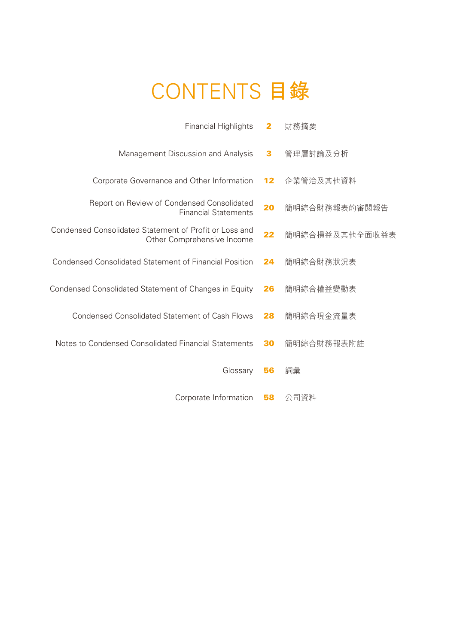## CONTENTS **目錄**

| <b>Financial Highlights</b>                                                          | $\mathbf{2}$ | 財務摘要           |
|--------------------------------------------------------------------------------------|--------------|----------------|
| Management Discussion and Analysis                                                   | 3            | 管理層討論及分析       |
| Corporate Governance and Other Information                                           | 12           | 企業管治及其他資料      |
| Report on Review of Condensed Consolidated<br><b>Financial Statements</b>            | 20           | 簡明綜合財務報表的審閲報告  |
| Condensed Consolidated Statement of Profit or Loss and<br>Other Comprehensive Income | 22           | 簡明綜合損益及其他全面收益表 |
| <b>Condensed Consolidated Statement of Financial Position</b>                        | 24           | 簡明綜合財務狀況表      |
| Condensed Consolidated Statement of Changes in Equity                                | 26           | 簡明綜合權益變動表      |
| <b>Condensed Consolidated Statement of Cash Flows</b>                                | 28           | 簡明綜合現金流量表      |
| Notes to Condensed Consolidated Financial Statements                                 | 30           | 簡明綜合財務報表附註     |
| Glossary                                                                             | 56           | 詞彙             |
| Corporate Information                                                                | 58           | 公司資料           |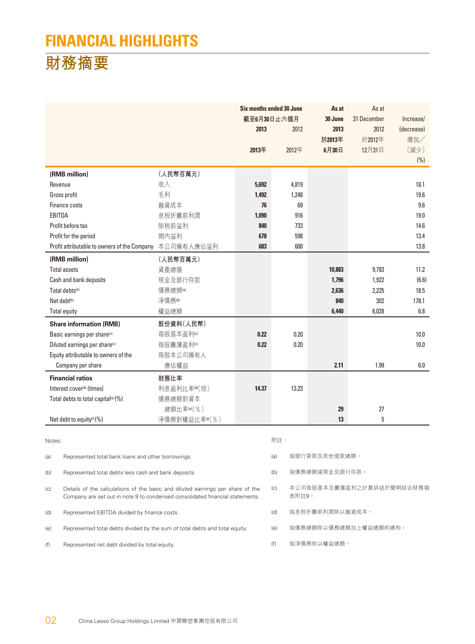## **FINANCIAL HIGHLIGHTS**

## **財務摘要**

|                                                                                                                                                                        |                                                                             |              |       | Six months ended 30 June<br>截至6月30日止六個月 |                       | As at<br>31 December | Increase/  |
|------------------------------------------------------------------------------------------------------------------------------------------------------------------------|-----------------------------------------------------------------------------|--------------|-------|-----------------------------------------|-----------------------|----------------------|------------|
|                                                                                                                                                                        |                                                                             |              | 2013  | 2012                                    | 30 June<br>2013       | 2012                 | (decrease) |
|                                                                                                                                                                        |                                                                             |              |       |                                         | 於2013年                | 於2012年               | 增加/        |
|                                                                                                                                                                        |                                                                             |              | 2013年 | 2012年                                   | 6月30日                 | 12月31日               | (減少)       |
|                                                                                                                                                                        |                                                                             |              |       |                                         |                       |                      | (% )       |
|                                                                                                                                                                        | (RMB million)                                                               | (人民幣百萬元)     |       |                                         |                       |                      |            |
|                                                                                                                                                                        | Revenue                                                                     | 收入           | 5,692 | 4,819                                   |                       |                      | 18.1       |
|                                                                                                                                                                        | Gross profit                                                                | 毛利           | 1,492 | 1,248                                   |                       |                      | 19.6       |
|                                                                                                                                                                        | Finance costs                                                               | 融資成本         | 76    | 69                                      |                       |                      | 9.6        |
| EBITDA                                                                                                                                                                 |                                                                             | 息税折攤前利潤      | 1,090 | 916                                     |                       |                      | 19.0       |
|                                                                                                                                                                        | Profit before tax                                                           | 除税前溢利        | 840   | 733                                     |                       |                      | 14.6       |
|                                                                                                                                                                        | Profit for the period                                                       | 期內溢利         | 678   | 598                                     |                       |                      | 13.4       |
|                                                                                                                                                                        | Profit attributable to owners of the Company                                | 本公司擁有人應佔溢利   | 683   | 600                                     |                       |                      | 13.8       |
|                                                                                                                                                                        | (RMB million)                                                               | (人民幣百萬元)     |       |                                         |                       |                      |            |
|                                                                                                                                                                        | <b>Total assets</b>                                                         | 資產總值         |       |                                         | 10,883                | 9,783                | 11.2       |
|                                                                                                                                                                        | Cash and bank deposits                                                      | 現金及銀行存款      |       |                                         | 1,796                 | 1,922                | (6.6)      |
|                                                                                                                                                                        | Total debts <sup>(a)</sup>                                                  | 債務總額(a)      |       |                                         | 2,636                 | 2,225                | 18.5       |
|                                                                                                                                                                        | Net debt <sup>(b)</sup>                                                     | 淨債務☞         |       |                                         | 840                   | 302                  | 178.1      |
|                                                                                                                                                                        | <b>Total equity</b>                                                         | 權益總額         |       |                                         | 6,440                 | 6,028                | 6.8        |
|                                                                                                                                                                        | <b>Share information (RMB)</b>                                              | 股份資料(人民幣)    |       |                                         |                       |                      |            |
|                                                                                                                                                                        | Basic earnings per share <sup>(c)</sup>                                     | 每股基本盈利®      | 0.22  | 0.20                                    |                       |                      | 10.0       |
|                                                                                                                                                                        | Diluted earnings per share <sup>(c)</sup>                                   | 每股攤薄盈利®      | 0.22  | 0.20                                    |                       |                      | 10.0       |
|                                                                                                                                                                        | Equity attributable to owners of the                                        | 每股本公司擁有人     |       |                                         |                       |                      |            |
|                                                                                                                                                                        | Company per share                                                           | 應佔權益         |       |                                         | 2.11                  | 1.99                 | 6.0        |
|                                                                                                                                                                        | <b>Financial ratios</b>                                                     | 財務比率         |       |                                         |                       |                      |            |
|                                                                                                                                                                        | Interest cover <sup>(d)</sup> (times)                                       | 利息盈利比率()(倍)  | 14.37 | 13.23                                   |                       |                      |            |
|                                                                                                                                                                        | Total debts to total capital <sup>(e)</sup> (%)                             | 債務總額對資本      |       |                                         |                       |                      |            |
|                                                                                                                                                                        |                                                                             | 總額比率(e)(%)   |       |                                         | 29                    | 27                   |            |
|                                                                                                                                                                        | Net debt to equity <sup>(f)</sup> (%)                                       | 淨債務對權益比率m(%) |       |                                         | 13                    | 5                    |            |
|                                                                                                                                                                        |                                                                             |              |       |                                         |                       |                      |            |
| Notes:                                                                                                                                                                 |                                                                             |              |       | 附註:                                     |                       |                      |            |
| Represented total bank loans and other borrowings<br>(a)                                                                                                               |                                                                             |              | (a)   | 指銀行貸款及其他借款總額。                           |                       |                      |            |
| (b)<br>Represented total debts less cash and bank deposits.                                                                                                            |                                                                             |              | (b)   | 指債務總額減現金及銀行存款。                          |                       |                      |            |
| Details of the calculations of the basic and diluted earnings per share of the<br>(c)<br>Company are set out in note 9 to condensed consolidated financial statements. |                                                                             |              | (c)   | 本公司每股基本及攤薄盈利之計算詳述於簡明綜合財務報<br>表附註9。      |                       |                      |            |
| (d)                                                                                                                                                                    | Represented EBITDA divided by finance costs.                                |              |       | (d)                                     | 指息税折攤前利潤除以融資成本。       |                      |            |
| (e)                                                                                                                                                                    | Represented total debts divided by the sum of total debts and total equity. |              |       | (e)                                     | 指債務總額除以債務總額加上權益總額的總和。 |                      |            |

(f) Represented net debt divided by total equity.

(f) 指淨債務除以權益總額。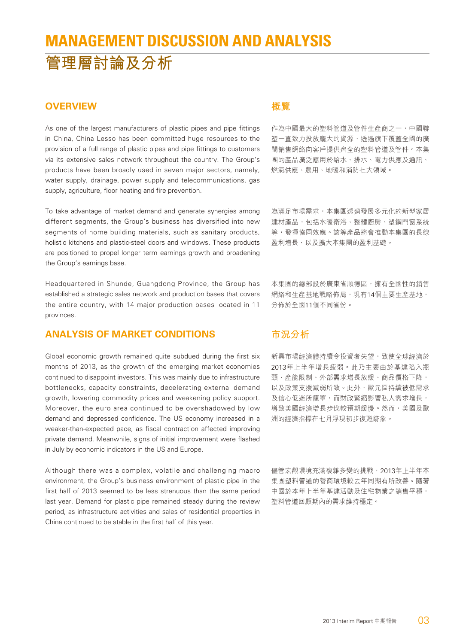## **MANAGEMENT DISCUSSION AND ANALYSIS 管理層討論及分析**

#### **OVERVIEW**

As one of the largest manufacturers of plastic pipes and pipe fittings in China, China Lesso has been committed huge resources to the provision of a full range of plastic pipes and pipe fittings to customers via its extensive sales network throughout the country. The Group's products have been broadly used in seven major sectors, namely, water supply, drainage, power supply and telecommunications, gas supply, agriculture, floor heating and fire prevention.

To take advantage of market demand and generate synergies among different segments, the Group's business has diversified into new segments of home building materials, such as sanitary products, holistic kitchens and plastic-steel doors and windows. These products are positioned to propel longer term earnings growth and broadening the Group's earnings base.

Headquartered in Shunde, Guangdong Province, the Group has established a strategic sales network and production bases that covers the entire country, with 14 major production bases located in 11 provinces.

#### **ANALYSIS OF MARKET CONDITIONS**

Global economic growth remained quite subdued during the first six months of 2013, as the growth of the emerging market economies continued to disappoint investors. This was mainly due to infrastructure bottlenecks, capacity constraints, decelerating external demand growth, lowering commodity prices and weakening policy support. Moreover, the euro area continued to be overshadowed by low demand and depressed confidence. The US economy increased in a weaker-than-expected pace, as fiscal contraction affected improving private demand. Meanwhile, signs of initial improvement were flashed in July by economic indicators in the US and Europe.

Although there was a complex, volatile and challenging macro environment, the Group's business environment of plastic pipe in the first half of 2013 seemed to be less strenuous than the same period last year. Demand for plastic pipe remained steady during the review period, as infrastructure activities and sales of residential properties in China continued to be stable in the first half of this year.

#### **概覽**

作為中國最大的塑料管道及管件生產商之一,中國聯 塑一直致力投放龐大的資源,透過旗下覆蓋全國的廣 闊銷售網絡向客戶提供齊全的塑料管道及管件。本集 團的產品廣泛應用於給水、排水、電力供應及通訊、 燃氣供應、農用、地暖和消防七大領域。

為滿足市場需求,本集團透過發展多元化的新型家居 建材產品,包括水暖衛浴、整體廚房、塑鋼門窗系統 等,發揮協同效應。該等產品將會推動本集團的長線 盈利增長,以及擴大本集團的盈利基礎。

本集團的總部設於廣東省順德區,擁有全國性的銷售 網絡和生產基地戰略佈局,現有14個主要生產基地, 分佈於全國11個不同省份。

#### **市況分析**

新興市場經濟體持續令投資者失望,致使全球經濟於 2013年上半年增長疲弱。此乃主要由於基建陷入瓶 頸、產能限制、外部需求增長放緩、商品價格下降, 以及政策支援減弱所致。此外,歐元區持續被低需求 及信心低迷所籠罩,而財政緊縮影響私人需求增長, 導致美國經濟增長步伐較預期緩慢。然而,美國及歐 洲的經濟指標在七月浮現初步復甦跡象。

儘管宏觀環境充滿複雜多變的挑戰,2013年上半年本 集團塑料管道的營商環境較去年同期有所改善。隨著 中國於本年上半年基建活動及住宅物業之銷售平穩, 塑料管道回顧期內的需求維持穩定。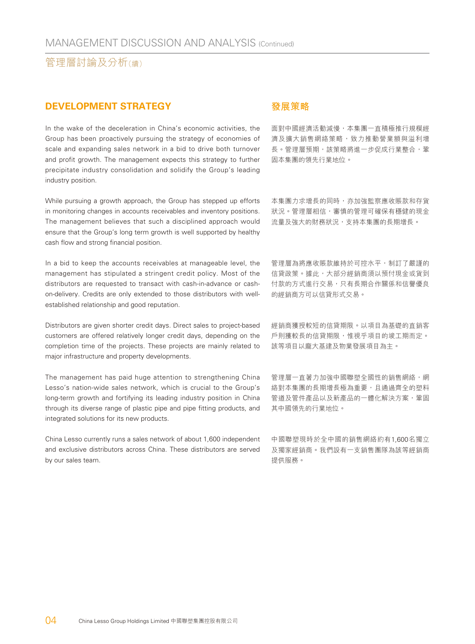#### **DEVELOPMENT STRATEGY**

In the wake of the deceleration in China's economic activities, the Group has been proactively pursuing the strategy of economies of scale and expanding sales network in a bid to drive both turnover and profit growth. The management expects this strategy to further precipitate industry consolidation and solidify the Group's leading industry position.

While pursuing a growth approach, the Group has stepped up efforts in monitoring changes in accounts receivables and inventory positions. The management believes that such a disciplined approach would ensure that the Group's long term growth is well supported by healthy cash flow and strong financial position.

In a bid to keep the accounts receivables at manageable level, the management has stipulated a stringent credit policy. Most of the distributors are requested to transact with cash-in-advance or cashon-delivery. Credits are only extended to those distributors with wellestablished relationship and good reputation.

Distributors are given shorter credit days. Direct sales to project-based customers are offered relatively longer credit days, depending on the completion time of the projects. These projects are mainly related to major infrastructure and property developments.

The management has paid huge attention to strengthening China Lesso's nation-wide sales network, which is crucial to the Group's long-term growth and fortifying its leading industry position in China through its diverse range of plastic pipe and pipe fitting products, and integrated solutions for its new products.

China Lesso currently runs a sales network of about 1,600 independent and exclusive distributors across China. These distributors are served by our sales team.

#### **發展策略**

面對中國經濟活動減慢,本集團一直積極推行規模經 濟及擴大銷售網絡策略,致力推動營業額與溢利增 長。管理層預期,該策略將進一步促成行業整合,鞏 固本集團的領先行業地位。

本集團力求增長的同時,亦加強監察應收賬款和存貨 狀況。管理層相信,審慎的管理可確保有穩健的現金 流量及強大的財務狀況,支持本集團的長期增長。

管理層為將應收賬款維持於可控水平,制訂了嚴謹的 信貸政策。據此,大部分經銷商須以預付現金或貨到 付款的方式進行交易,只有長期合作關係和信譽優良 的經銷商方可以信貸形式交易。

經銷商獲授較短的信貸期限。以項目為基礎的直銷客 戶則獲較長的信貸期限,惟視乎項目的竣工期而定。 該等項目以龐大基建及物業發展項目為主。

管理層一直著力加強中國聯塑全國性的銷售網絡,網 絡對本集團的長期增長極為重要,且通過齊全的塑料 管道及管件產品以及新產品的一體化解決方案,鞏固 其中國領先的行業地位。

中國聯塑現時於全中國的銷售網絡約有1,600名獨立 及獨家經銷商。我們設有一支銷售團隊為該等經銷商 提供服務。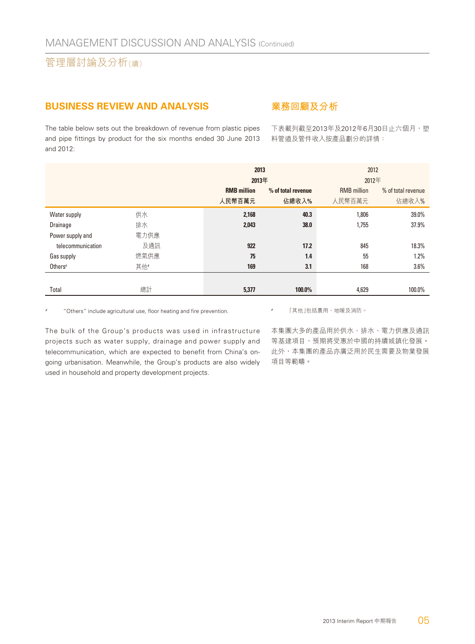#### **BUSINESS REVIEW AND ANALYSIS**

**業務回顧及分析**

The table below sets out the breakdown of revenue from plastic pipes and pipe fittings by product for the six months ended 30 June 2013 and 2012:

下表載列截至2013年及2012年6月30日止六個月,塑 料管道及管件收入按產品劃分的詳情:

|                     |      |                    | 2013               | 2012               |                    |  |
|---------------------|------|--------------------|--------------------|--------------------|--------------------|--|
|                     |      |                    | 2013年              |                    | 2012年              |  |
|                     |      | <b>RMB</b> million | % of total revenue | <b>RMB</b> million | % of total revenue |  |
|                     |      | 人民幣百萬元             | 佔總收入%              | 人民幣百萬元             | 佔總收入%              |  |
| Water supply        | 供水   | 2,168              | 40.3               | 1,806              | 39.0%              |  |
| Drainage            | 排水   | 2,043              | 38.0               | 1,755              | 37.9%              |  |
| Power supply and    | 電力供應 |                    |                    |                    |                    |  |
| telecommunication   | 及通訊  | 922                | 17.2               | 845                | 18.3%              |  |
| Gas supply          | 燃氣供應 | 75                 | 1.4                | 55                 | 1.2%               |  |
| Others <sup>#</sup> | 其他   | 169                | 3.1                | 168                | 3.6%               |  |
|                     |      |                    |                    |                    |                    |  |
| Total               | 總計   | 5,377              | 100.0%             | 4,629              | 100.0%             |  |

"Others" include agricultural use, floor heating and fire prevention.

# 「其他」包括農用、地暖及消防。

The bulk of the Group's products was used in infrastructure projects such as water supply, drainage and power supply and telecommunication, which are expected to benefit from China's ongoing urbanisation. Meanwhile, the Group's products are also widely used in household and property development projects.

本集團大多的產品用於供水、排水、電力供應及通訊 等基建項目,預期將受惠於中國的持續城鎮化發展。 此外,本集團的產品亦廣泛用於民生需要及物業發展 項目等範疇。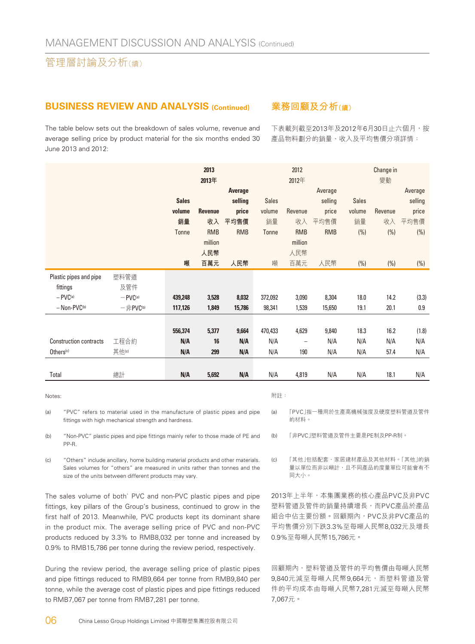#### **BUSINESS REVIEW AND ANALYSIS (Continued)**

The table below sets out the breakdown of sales volume, revenue and average selling price by product material for the six months ended 30 June 2013 and 2012:

#### **業務回顧及分析(續)**

下表載列截至2013年及2012年6月30日止六個月,按 產品物料劃分的銷量、收入及平均售價分項詳情:

|                               |                                   |              | 2013<br>2013年  |            |              | 2012<br>2012年            |            |              | Change in<br>變動 |         |
|-------------------------------|-----------------------------------|--------------|----------------|------------|--------------|--------------------------|------------|--------------|-----------------|---------|
|                               |                                   |              |                | Average    |              |                          | Average    |              |                 | Average |
|                               |                                   | <b>Sales</b> |                | selling    | <b>Sales</b> |                          | selling    | <b>Sales</b> |                 | selling |
|                               |                                   | volume       | <b>Revenue</b> | price      | volume       | Revenue                  | price      | volume       | Revenue         | price   |
|                               |                                   | 銷量           | 收入             | 平均售價       | 銷量           | 收入                       | 平均售價       | 銷量           | 收入              | 平均售價    |
|                               |                                   | Tonne        | <b>RMB</b>     | <b>RMB</b> | Tonne        | <b>RMB</b>               | <b>RMB</b> | (%)          | (%)             | (% )    |
|                               |                                   |              | million        |            |              | million                  |            |              |                 |         |
|                               |                                   |              | 人民幣            |            |              | 人民幣                      |            |              |                 |         |
|                               |                                   | 噸            | 百萬元            | 人民幣        | 噸            | 百萬元                      | 人民幣        | (%)          | (%)             | (% )    |
| Plastic pipes and pipe        | 塑料管道                              |              |                |            |              |                          |            |              |                 |         |
| fittings                      | 及管件                               |              |                |            |              |                          |            |              |                 |         |
| $-$ PV $C^{(a)}$              | $-PVC(a)$                         | 439,248      | 3,528          | 8,032      | 372,092      | 3,090                    | 8,304      | 18.0         | 14.2            | (3.3)   |
| - Non-PVC(b)                  | $-\frac{1}{2}$ PVC <sup>(b)</sup> | 117,126      | 1,849          | 15,786     | 98,341       | 1,539                    | 15,650     | 19.1         | 20.1            | 0.9     |
|                               |                                   |              |                |            |              |                          |            |              |                 |         |
|                               |                                   | 556,374      | 5,377          | 9,664      | 470,433      | 4,629                    | 9,840      | 18.3         | 16.2            | (1.8)   |
| <b>Construction contracts</b> | 工程合約                              | N/A          | 16             | N/A        | N/A          | $\overline{\phantom{0}}$ | N/A        | N/A          | N/A             | N/A     |
| Others <sup>(c)</sup>         | 其他(c)                             | N/A          | 299            | N/A        | N/A          | 190                      | N/A        | N/A          | 57.4            | N/A     |
|                               |                                   |              |                |            |              |                          |            |              |                 |         |
| Total                         | 總計                                | N/A          | 5,692          | N/A        | N/A          | 4,819                    | N/A        | N/A          | 18.1            | N/A     |
|                               |                                   |              |                |            |              |                          |            |              |                 |         |

Notes:

(a) "PVC" refers to material used in the manufacture of plastic pipes and pipe fittings with high mechanical strength and hardness.

(b) "Non-PVC" plastic pipes and pipe fittings mainly refer to those made of PE and PP-R.

(c) "Others" include ancillary, home building material products and other materials. Sales volumes for "others" are measured in units rather than tonnes and the size of the units between different products may vary.

The sales volume of both` PVC and non-PVC plastic pipes and pipe fittings, key pillars of the Group's business, continued to grow in the first half of 2013. Meanwhile, PVC products kept its dominant share in the product mix. The average selling price of PVC and non-PVC products reduced by 3.3% to RMB8,032 per tonne and increased by 0.9% to RMB15,786 per tonne during the review period, respectively.

During the review period, the average selling price of plastic pipes and pipe fittings reduced to RMB9,664 per tonne from RMB9,840 per tonne, while the average cost of plastic pipes and pipe fittings reduced to RMB7,067 per tonne from RMB7,281 per tonne.

附註:

(a) 「PVC」指一種用於生產高機械強度及硬度塑料管道及管件 的材料。

(b) 「非PVC」塑料管道及管件主要是PE制及PP-R制。

(c) 「其他」包括配套、家居建材產品及其他材料。「其他」的銷 量以單位而非以噸計,且不同產品的度量單位可能會有不 同大小。

2013年上半年,本集團業務的核心產品PVC及非PVC 塑料管道及管件的銷量持續增長,而PVC產品於產品 組合中佔主要份額。回顧期內,PVC及非PVC產品的 平均售價分別下跌3.3%至每噸人民幣8,032元及增長 0.9%至每噸人民幣15,786元。

回顧期內,塑料管道及管件的平均售價由每噸人民幣 9,840元減至每噸人民幣9,664元,而塑料管道及管 件的平均成本由每噸人民幣7,281元減至每噸人民幣 7,067元。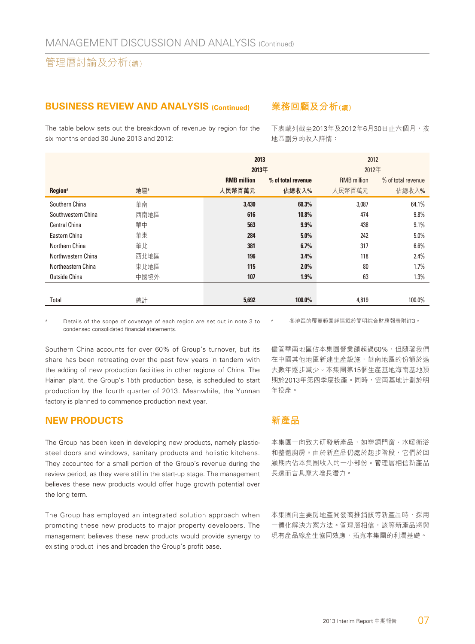#### **BUSINESS REVIEW AND ANALYSIS (Continued)**

The table below sets out the breakdown of revenue by region for the six months ended 30 June 2013 and 2012:

#### **業務回顧及分析(續)**

下表載列截至2013年及2012年6月30日止六個月,按 地區劃分的收入詳情:

|                      |      | 2013               |                    | 2012               |                    |  |
|----------------------|------|--------------------|--------------------|--------------------|--------------------|--|
|                      |      | 2013年              |                    | 2012年              |                    |  |
|                      |      | <b>RMB</b> million | % of total revenue | <b>RMB</b> million | % of total revenue |  |
| Region#              | 地區#  | 人民幣百萬元             | 佔總收入%              | 人民幣百萬元             | 佔總收入%              |  |
| Southern China       | 華南   | 3.430              | 60.3%              | 3,087              | 64.1%              |  |
| Southwestern China   | 西南地區 | 616                | 10.8%              | 474                | 9.8%               |  |
| <b>Central China</b> | 華中   | 563                | 9.9%               | 438                | 9.1%               |  |
| Eastern China        | 華東   | 284                | 5.0%               | 242                | $5.0\%$            |  |
| Northern China       | 華北   | 381                | 6.7%               | 317                | 6.6%               |  |
| Northwestern China   | 西北地區 | 196                | 3.4%               | 118                | 2.4%               |  |
| Northeastern China   | 東北地區 | 115                | 2.0%               | 80                 | 1.7%               |  |
| Outside China        | 中國境外 | 107                | 1.9%               | 63                 | 1.3%               |  |
|                      |      |                    |                    |                    |                    |  |
| Total                | 總計   | 5,692              | 100.0%             | 4,819              | 100.0%             |  |

Details of the scope of coverage of each region are set out in note 3 to condensed consolidated financial statements.

各地區的覆蓋範圍詳情載於簡明綜合財務報表附註3。

Southern China accounts for over 60% of Group's turnover, but its share has been retreating over the past few years in tandem with the adding of new production facilities in other regions of China. The Hainan plant, the Group's 15th production base, is scheduled to start production by the fourth quarter of 2013. Meanwhile, the Yunnan factory is planned to commence production next year.

#### **NEW PRODUCTS**

The Group has been keen in developing new products, namely plasticsteel doors and windows, sanitary products and holistic kitchens. They accounted for a small portion of the Group's revenue during the review period, as they were still in the start-up stage. The management believes these new products would offer huge growth potential over the long term.

The Group has employed an integrated solution approach when promoting these new products to major property developers. The management believes these new products would provide synergy to existing product lines and broaden the Group's profit base.

儘管華南地區佔本集團營業額超過60%,但隨著我們 在中國其他地區新建生產設施,華南地區的份額於過 去數年逐步減少。本集團第15個生產基地海南基地預 期於2013年第四季度投產。同時,雲南基地計劃於明 年投產。

#### **新產品**

本集團一向致力研發新產品,如塑鋼門窗、水暖衛浴 和整體廚房。由於新產品仍處於起步階段,它們於回 顧期內佔本集團收入的一小部份。管理層相信新產品 長遠而言具龐大增長潛力。

本集團向主要房地產開發商推銷該等新產品時,採用 一體化解決方案方法。管理層相信,該等新產品將與 現有產品線產生協同效應,拓寬本集團的利潤基礎。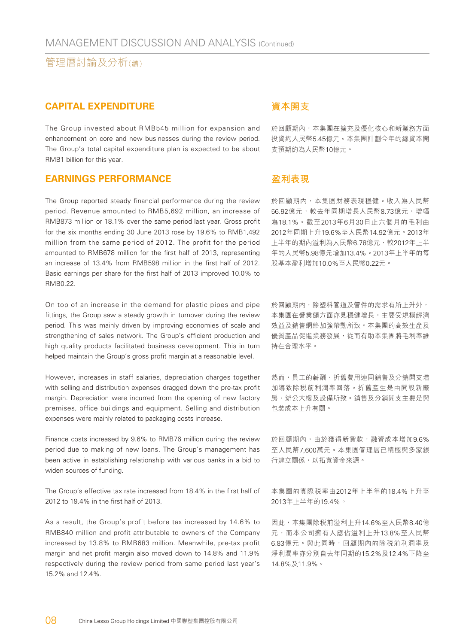#### **CAPITAL EXPENDITURE**

The Group invested about RMB545 million for expansion and enhancement on core and new businesses during the review period. The Group's total capital expenditure plan is expected to be about RMB1 billion for this year.

#### **EARNINGS PERFORMANCE**

The Group reported steady financial performance during the review period. Revenue amounted to RMB5,692 million, an increase of RMB873 million or 18.1% over the same period last year. Gross profit for the six months ending 30 June 2013 rose by 19.6% to RMB1,492 million from the same period of 2012. The profit for the period amounted to RMB678 million for the first half of 2013, representing an increase of 13.4% from RMB598 million in the first half of 2012. Basic earnings per share for the first half of 2013 improved 10.0% to RMB0.22.

On top of an increase in the demand for plastic pipes and pipe fittings, the Group saw a steady growth in turnover during the review period. This was mainly driven by improving economies of scale and strengthening of sales network. The Group's efficient production and high quality products facilitated business development. This in turn helped maintain the Group's gross profit margin at a reasonable level.

However, increases in staff salaries, depreciation charges together with selling and distribution expenses dragged down the pre-tax profit margin. Depreciation were incurred from the opening of new factory premises, office buildings and equipment. Selling and distribution expenses were mainly related to packaging costs increase.

Finance costs increased by 9.6% to RMB76 million during the review period due to making of new loans. The Group's management has been active in establishing relationship with various banks in a bid to widen sources of funding.

The Group's effective tax rate increased from 18.4% in the first half of 2012 to 19.4% in the first half of 2013.

As a result, the Group's profit before tax increased by 14.6% to RMB840 million and profit attributable to owners of the Company increased by 13.8% to RMB683 million. Meanwhile, pre-tax profit margin and net profit margin also moved down to 14.8% and 11.9% respectively during the review period from same period last year's 15.2% and 12.4%.

#### **資本開支**

於回顧期內,本集團在擴充及優化核心和新業務方面 投資約人民幣5.45億元。本集團計劃今年的總資本開 支預期約為人民幣10億元。

#### **盈利表現**

於回顧期內,本集團財務表現穩健。收入為人民幣 56.92億元,較去年同期增長人民幣8.73億元,增幅 為18.1%。截至2013年6月30日止六個月的毛利由 2012年同期上升19.6%至人民幣14.92億元。2013年 上半年的期內溢利為人民幣6.78億元,較2012年上半 年的人民幣5.98億元增加13.4%。2013年上半年的每 股基本盈利增加10.0%至人民幣0.22元。

於回顧期內,除塑料管道及管件的需求有所上升外, 本集團在營業額方面亦見穩健增長,主要受規模經濟 效益及銷售網絡加強帶動所致。本集團的高效生產及 優質產品促進業務發展,從而有助本集團將毛利率維 持在合理水平。

然而,員工的薪酬、折舊費用連同銷售及分銷開支增 加導致除稅前利潤率回落。折舊產生是由開設新廠 房、辦公大樓及設備所致。銷售及分銷開支主要是與 包裝成本上升有關。

於回顧期內,由於獲得新貸款,融資成本增加9.6% 至人民幣7,600萬元。本集團管理層已積極與多家銀 行建立關係,以拓寬資金來源。

本集團的實際稅率由2012年上半年的18.4%上升至 2013年上半年的19.4%。

因此,本集團除稅前溢利上升14.6%至人民幣8.40億 元,而本公司擁有人應佔溢利上升13.8%至人民幣 6.83億元。與此同時,回顧期內的除税前利潤率及 淨利潤率亦分別自去年同期的15.2%及12.4%下降至 14.8%及11.9%。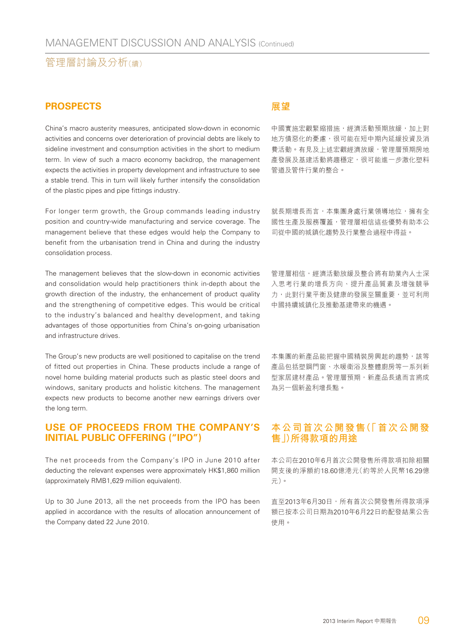#### **PROSPECTS**

China's macro austerity measures, anticipated slow-down in economic activities and concerns over deterioration of provincial debts are likely to sideline investment and consumption activities in the short to medium term. In view of such a macro economy backdrop, the management expects the activities in property development and infrastructure to see a stable trend. This in turn will likely further intensify the consolidation of the plastic pipes and pipe fittings industry.

For longer term growth, the Group commands leading industry position and country-wide manufacturing and service coverage. The management believe that these edges would help the Company to benefit from the urbanisation trend in China and during the industry consolidation process.

The management believes that the slow-down in economic activities and consolidation would help practitioners think in-depth about the growth direction of the industry, the enhancement of product quality and the strengthening of competitive edges. This would be critical to the industry's balanced and healthy development, and taking advantages of those opportunities from China's on-going urbanisation and infrastructure drives.

The Group's new products are well positioned to capitalise on the trend of fitted out properties in China. These products include a range of novel home building material products such as plastic steel doors and windows, sanitary products and holistic kitchens. The management expects new products to become another new earnings drivers over the long term.

#### **USE OF PROCEEDS FROM THE COMPANY'S INITIAL PUBLIC OFFERING ("IPO")**

The net proceeds from the Company's IPO in June 2010 after deducting the relevant expenses were approximately HK\$1,860 million (approximately RMB1,629 million equivalent).

Up to 30 June 2013, all the net proceeds from the IPO has been applied in accordance with the results of allocation announcement of the Company dated 22 June 2010.

#### **展望**

中國實施宏觀緊縮措施,經濟活動預期放緩,加上對 地方債惡化的憂慮,很可能在短中期內延緩投資及消 費活動。有見及上述宏觀經濟放緩,管理層預期房地 產發展及基建活動將趨穩定,很可能進一步激化塑料 管道及管件行業的整合。

就長期增長而言,本集團身處行業領導地位,擁有全 國性生產及服務覆蓋,管理層相信這些優勢有助本公 司從中國的城鎮化趨勢及行業整合過程中得益。

管理層相信,經濟活動放緩及整合將有助業內人士深 入思考行業的增長方向、提升產品質素及增強競爭 力,此對行業平衡及健康的發展至關重要,並可利用 中國持續城鎮化及推動基建帶來的機遇。

本集團的新產品能把握中國精裝房興起的趨勢,該等 產品包括塑鋼門窗、水暖衛浴及整體廚房等一系列新 型家居建材產品。管理層預期,新產品長遠而言將成 為另一個新盈利增長點。

#### **本公司首次公開發售(「首次公開發 售」)所得款項的用途**

本公司在2010年6月首次公開發售所得款項扣除相關 開支後的淨額約18.60億港元(約等於人民幣16.29億 元)。

直至2013年6月30日,所有首次公開發售所得款項淨 額已按本公司日期為2010年6月22日的配發結果公告 使用。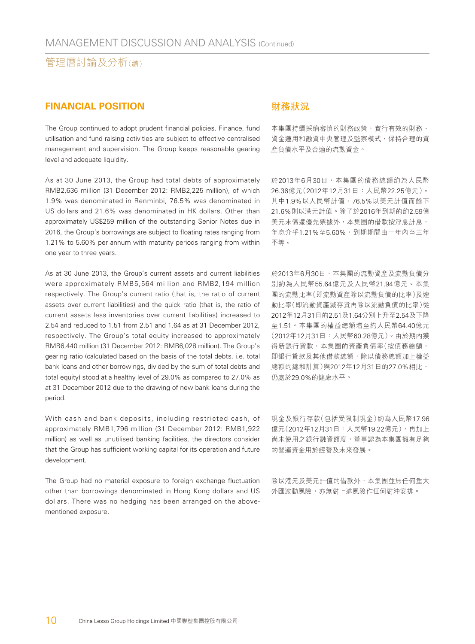#### **FINANCIAL POSITION**

The Group continued to adopt prudent financial policies. Finance, fund utilisation and fund raising activities are subject to effective centralised management and supervision. The Group keeps reasonable gearing level and adequate liquidity.

As at 30 June 2013, the Group had total debts of approximately RMB2,636 million (31 December 2012: RMB2,225 million), of which 1.9% was denominated in Renminbi, 76.5% was denominated in US dollars and 21.6% was denominated in HK dollars. Other than approximately US\$259 million of the outstanding Senior Notes due in 2016, the Group's borrowings are subject to floating rates ranging from 1.21% to 5.60% per annum with maturity periods ranging from within one year to three years.

As at 30 June 2013, the Group's current assets and current liabilities were approximately RMB5,564 million and RMB2,194 million respectively. The Group's current ratio (that is, the ratio of current assets over current liabilities) and the quick ratio (that is, the ratio of current assets less inventories over current liabilities) increased to 2.54 and reduced to 1.51 from 2.51 and 1.64 as at 31 December 2012, respectively. The Group's total equity increased to approximately RMB6,440 million (31 December 2012: RMB6,028 million). The Group's gearing ratio (calculated based on the basis of the total debts, i.e. total bank loans and other borrowings, divided by the sum of total debts and total equity) stood at a healthy level of 29.0% as compared to 27.0% as at 31 December 2012 due to the drawing of new bank loans during the period.

With cash and bank deposits, including restricted cash, of approximately RMB1,796 million (31 December 2012: RMB1,922 million) as well as unutilised banking facilities, the directors consider that the Group has sufficient working capital for its operation and future development.

The Group had no material exposure to foreign exchange fluctuation other than borrowings denominated in Hong Kong dollars and US dollars. There was no hedging has been arranged on the abovementioned exposure.

#### **財務狀況**

本集團持續採納審慎的財務政策,實行有效的財務、 資金運用和融資中央管理及監察模式,保持合理的資 產負債水平及合適的流動資金。

於2013年6月30日,本集團的債務總額約為人民幣 26.36億元(2012年12月31日:人民幣22.25億元)。 其中1.9%以人民幣計值、76.5%以美元計值而餘下 21.6%則以港元計值。除了於2016年到期的約2.59億 美元未償還優先票據外,本集團的借款按浮息計息, 年息介乎1.21%至5.60%,到期期間由一年內至三年 不等。

於2013年6月30日,本集團的流動資產及流動負債分 別約為人民幣55.64億元及人民幣21.94億元。本集 團的流動比率(即流動資產除以流動負債的比率)及速 動比率(即流動資產減存貨再除以流動負債的比率)從 2012年12月31日的2.51及1.64分別上升至2.54及下降 至1.51。本集團的權益總額增至約人民幣64.40億元 (2012年12月31日:人民幣60.28億元)。由於期內獲 得新銀行貸款,本集團的資產負債率(按債務總額, 即銀行貸款及其他借款總額,除以債務總額加上權益 總額的總和計算)與2012年12月31日的27.0%相比, 仍處於29.0%的健康水平。

現金及銀行存款(包括受限制現金)約為人民幣17.96 億元(2012年12月31日:人民幣19.22億元),再加上 尚未使用之銀行融資額度,董事認為本集團擁有足夠 的營運資金用於經營及未來發展。

除以港元及美元計值的借款外,本集團並無任何重大 外匯波動風險,亦無對上述風險作任何對沖安排。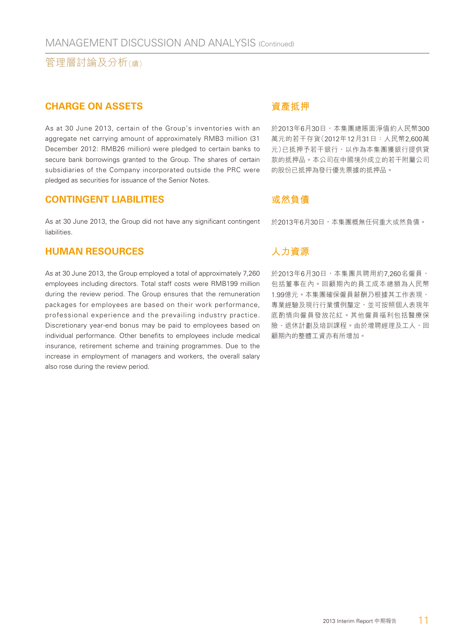#### **CHARGE ON ASSETS**

As at 30 June 2013, certain of the Group's inventories with an aggregate net carrying amount of approximately RMB3 million (31 December 2012: RMB26 million) were pledged to certain banks to secure bank borrowings granted to the Group. The shares of certain subsidiaries of the Company incorporated outside the PRC were pledged as securities for issuance of the Senior Notes.

#### **CONTINGENT LIABILITIES**

As at 30 June 2013, the Group did not have any significant contingent liabilities.

#### **HUMAN RESOURCES**

As at 30 June 2013, the Group employed a total of approximately 7,260 employees including directors. Total staff costs were RMB199 million during the review period. The Group ensures that the remuneration packages for employees are based on their work performance, professional experience and the prevailing industry practice. Discretionary year-end bonus may be paid to employees based on individual performance. Other benefits to employees include medical insurance, retirement scheme and training programmes. Due to the increase in employment of managers and workers, the overall salary also rose during the review period.

#### **資產抵押**

於2013年6月30日,本集團總賬面淨值約人民幣300 萬元的若干存貨(2012年12月31日:人民幣2,600萬 元)已抵押予若干銀行,以作為本集團獲銀行提供貸 款的抵押品。本公司在中國境外成立的若干附屬公司 的股份已抵押為發行優先票據的抵押品。

#### **或然負債**

於2013年6月30日,本集團概無任何重大或然負債。

#### **人力資源**

於2013年6月30日, 本集團共聘用約7,260名僱員, 包括董事在內。回顧期內的員工成本總額為人民幣 1.99億元。本集團確保僱員薪酬乃根據其工作表現、 專業經驗及現行行業慣例釐定,並可按照個人表現年 底酌情向僱員發放花紅。其他僱員福利包括醫療保 險、退休計劃及培訓課程。由於增聘經理及工人,回 顧期內的整體工資亦有所增加。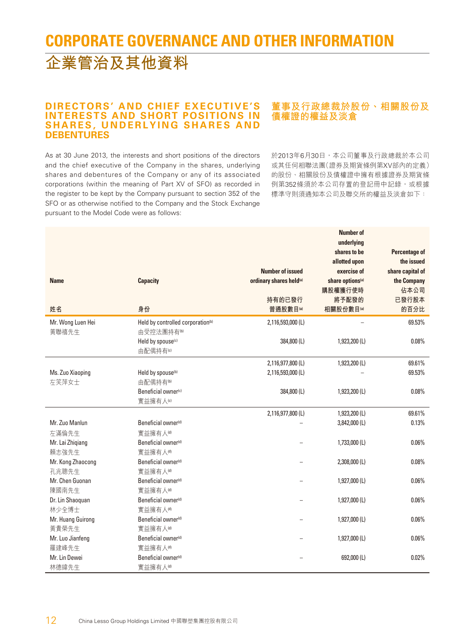## **CORPORATE GOVERNANCE AND OTHER INFORMATION 企業管治及其他資料**

#### **DIRECTORS' AND CHIEF EXECUTIVE'S INTERESTS AND SHORT POSITIONS IN SHARES, UNDERLYING SHARES AND DEBENTURES**

As at 30 June 2013, the interests and short positions of the directors and the chief executive of the Company in the shares, underlying shares and debentures of the Company or any of its associated corporations (within the meaning of Part XV of SFO) as recorded in the register to be kept by the Company pursuant to section 352 of the SFO or as otherwise notified to the Company and the Stock Exchange pursuant to the Model Code were as follows:

#### **董事及行政總裁於股份、相關股份及 債權證的權益及淡倉**

於2013年6月30日,本公司董事及行政總裁於本公司 或其任何相聯法團(證券及期貨條例第XV部內的定義) 的股份、相關股份及債權證中擁有根據證券及期貨條 例第352條須於本公司存置的登記冊中記錄,或根據 標準守則須通知本公司及聯交所的權益及淡倉如下:

|                   |                                               |                                     | <b>Number of</b>             |                  |
|-------------------|-----------------------------------------------|-------------------------------------|------------------------------|------------------|
|                   |                                               |                                     | underlying                   |                  |
|                   |                                               |                                     | shares to be                 | Percentage of    |
|                   |                                               |                                     | allotted upon                | the issued       |
|                   |                                               | <b>Number of issued</b>             | exercise of                  | share capital of |
| <b>Name</b>       | <b>Capacity</b>                               | ordinary shares held <sup>(a)</sup> | share options <sup>(a)</sup> | the Company      |
|                   |                                               |                                     | 購股權獲行使時                      | 佔本公司             |
|                   |                                               | 持有的已發行                              | 將予配發的                        | 已發行股本            |
| 姓名                | 身份                                            | 普通股數目(a)                            | 相關股份數目(a)                    | 的百分比             |
| Mr. Wong Luen Hei | Held by controlled corporation <sup>(b)</sup> | 2,116,593,000 (L)                   |                              | 69.53%           |
| 黃聯禧先生             | 由受控法團持有®                                      |                                     |                              |                  |
|                   | Held by spouse(c)                             | 384,800 (L)                         | 1,923,200 (L)                | 0.08%            |
|                   | 由配偶持有(c)                                      |                                     |                              |                  |
|                   |                                               | 2,116,977,800 (L)                   | 1,923,200 (L)                | 69.61%           |
| Ms. Zuo Xiaoping  | Held by spouse <sup>(b)</sup>                 | 2,116,593,000 (L)                   |                              | 69.53%           |
| 左笑萍女士             | 由配偶持有 <sup>(b)</sup>                          |                                     |                              |                  |
|                   | Beneficial owner(c)                           | 384,800 (L)                         | 1,923,200 (L)                | 0.08%            |
|                   | 實益擁有人 <sup>(c)</sup>                          |                                     |                              |                  |
|                   |                                               | 2,116,977,800 (L)                   | 1,923,200 (L)                | 69.61%           |
| Mr. Zuo Manlun    | Beneficial owner <sup>(d)</sup>               |                                     | 3,842,000 (L)                | 0.13%            |
| 左滿倫先生             | 實益擁有人(d)                                      |                                     |                              |                  |
| Mr. Lai Zhigiang  | Beneficial owner <sup>(d)</sup>               |                                     | 1,733,000 (L)                | 0.06%            |
| 賴志強先生             | 實益擁有人(d)                                      |                                     |                              |                  |
| Mr. Kong Zhaocong | Beneficial owner <sup>(d)</sup>               |                                     | 2,308,000 (L)                | 0.08%            |
| 孔兆聰先生             | 實益擁有人。                                        |                                     |                              |                  |
| Mr. Chen Guonan   | Beneficial owner <sup>(d)</sup>               |                                     | 1,927,000 (L)                | 0.06%            |
| 陳國南先生             | 實益擁有人(d)                                      |                                     |                              |                  |
| Dr. Lin Shaoquan  | Beneficial owner <sup>(d)</sup>               |                                     | 1,927,000 (L)                | 0.06%            |
| 林少全博士             | 實益擁有人。                                        |                                     |                              |                  |
| Mr. Huang Guirong | Beneficial owner <sup>(d)</sup>               |                                     | 1,927,000 (L)                | 0.06%            |
| 黃貴榮先生             | 實益擁有人(d)                                      |                                     |                              |                  |
| Mr. Luo Jianfeng  | Beneficial owner <sup>(d)</sup>               |                                     | 1,927,000 (L)                | 0.06%            |
| 羅建峰先生             | 實益擁有人(d)                                      |                                     |                              |                  |
| Mr. Lin Dewei     | Beneficial owner <sup>(d)</sup>               |                                     | 692,000 (L)                  | 0.02%            |
| 林德緯先生             | 實益擁有人(d)                                      |                                     |                              |                  |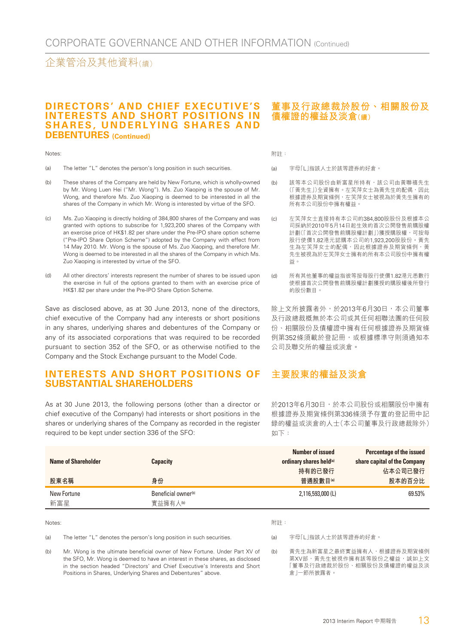#### **DIRECTORS' AND CHIEF EXECUTIVE'S INTERESTS AND SHORT POSITIONS IN SHARES, UNDERLYING SHARES AND DEBENTURES (Continued)**

#### Notes:

- (a) The letter "L" denotes the person's long position in such securities.
- (b) These shares of the Company are held by New Fortune, which is wholly-owned by Mr. Wong Luen Hei ("Mr. Wong"). Ms. Zuo Xiaoping is the spouse of Mr. Wong, and therefore Ms. Zuo Xiaoping is deemed to be interested in all the shares of the Company in which Mr. Wong is interested by virtue of the SFO.
- (c) Ms. Zuo Xiaoping is directly holding of 384,800 shares of the Company and was granted with options to subscribe for 1,923,200 shares of the Company with an exercise price of HK\$1.82 per share under the Pre-IPO share option scheme ("Pre-IPO Share Option Scheme") adopted by the Company with effect from 14 May 2010. Mr. Wong is the spouse of Ms. Zuo Xiaoping, and therefore Mr. Wong is deemed to be interested in all the shares of the Company in which Ms. Zuo Xiaoping is interested by virtue of the SFO.
- (d) All other directors' interests represent the number of shares to be issued upon the exercise in full of the options granted to them with an exercise price of HK\$1.82 per share under the Pre-IPO Share Option Scheme.

Save as disclosed above, as at 30 June 2013, none of the directors, chief executive of the Company had any interests or short positions in any shares, underlying shares and debentures of the Company or any of its associated corporations that was required to be recorded pursuant to section 352 of the SFO, or as otherwise notified to the Company and the Stock Exchange pursuant to the Model Code.

#### **INTERESTS AND SHORT POSITIONS OF SUBSTANTIAL SHAREHOLDERS**

As at 30 June 2013, the following persons (other than a director or chief executive of the Company) had interests or short positions in the shares or underlying shares of the Company as recorded in the register required to be kept under section 336 of the SFO:

#### **董事及行政總裁於股份、相關股份及 債權證的權益及淡倉(續)**

附註:

- (a) 字母「L」指該人士於該等證券的好倉。
- (b) 該等本公司股份由新富星所持有,該公司由黃聯禧先生 (「黃先生」)全資擁有。左笑萍女士為黃先生的配偶,因此 根據證券及期貨條例,左笑萍女士被視為於黃先生擁有的 所有本公司股份中擁有權益。
- (c) 左笑萍女士直接持有本公司的384,800股股份及根據本公 司採納於2010年5月14日起生效的首次公開發售前購股權 計劃(「首次公開發售前購股權計劃」)獲授購股權,可按每 股行使價1.82港元認購本公司的1,923,200股股份。黃先 生為左笑萍女士的配偶,因此根據證券及期貨條例,黃 先生被視為於左笑萍女士擁有的所有本公司股份中擁有權 益。
- (d) 所有其他董事的權益指彼等按每股行使價1.82港元悉數行 使根據首次公開發售前購股權計劃獲授的購股權後所發行 的股份數目。

除上文所披露者外,於2013年6月30日,本公司董事 及行政總裁概無於本公司或其任何相聯法團的任何股 份、相關股份及債權證中擁有任何根據證券及期貨條 例第352條須載於登記冊,或根據標準守則須通知本 公司及聯交所的權益或淡倉。

#### **主要股東的權益及淡倉**

於2013年6月30日,於本公司股份或相關股份中擁有 根據證券及期貨條例第336條須予存置的登記冊中記 錄的權益或淡倉的人士(本公司董事及行政總裁除外) 如下:

| Name of Shareholder | <b>Capacity</b>                           | Number of issued<br>ordinary shares held(a) | Percentage of the issued<br>share capital of the Company |
|---------------------|-------------------------------------------|---------------------------------------------|----------------------------------------------------------|
|                     |                                           | 持有的已發行                                      | 佔本公司已發行                                                  |
| 股東名稱                | 身份                                        | 普通股數目(a)                                    | 股本的百分比                                                   |
| New Fortune<br>新富星  | Beneficial owner <sup>(b)</sup><br>實益擁有人® | 2.116.593.000 (L)                           | 69.53%                                                   |

Notes:

#### 附註:

(a) The letter "L" denotes the person's long position in such securities.

(a) 字母「L」指該人士於該等證券的好倉。

(b) Mr. Wong is the ultimate beneficial owner of New Fortune. Under Part XV of the SFO, Mr. Wong is deemed to have an interest in these shares, as disclosed in the section headed "Directors' and Chief Executive's Interests and Short Positions in Shares, Underlying Shares and Debentures" above.

(b) 黃先生為新富星之最終實益擁有人,根據證券及期貨條例 第XV部,黃先生被視作擁有該等股份之權益,誠如上文 「董事及行政總裁於股份、相關股份及債權證的權益及淡 倉」一節所披露者。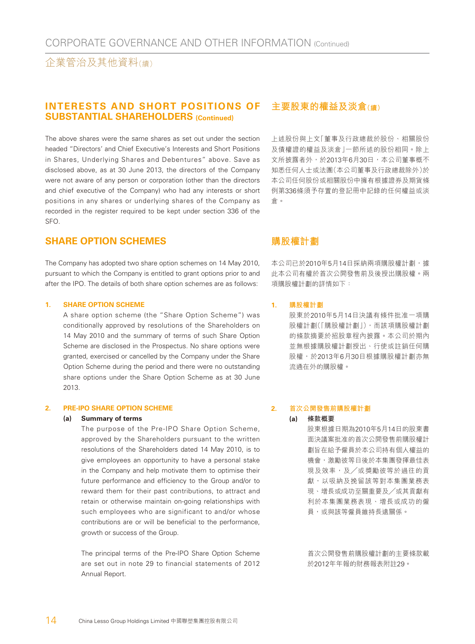#### **INTERESTS AND SHORT POSITIONS OF SUBSTANTIAL SHAREHOLDERS (Continued)**

The above shares were the same shares as set out under the section headed "Directors' and Chief Executive's Interests and Short Positions in Shares, Underlying Shares and Debentures" above. Save as disclosed above, as at 30 June 2013, the directors of the Company were not aware of any person or corporation (other than the directors and chief executive of the Company) who had any interests or short positions in any shares or underlying shares of the Company as recorded in the register required to be kept under section 336 of the SFO.

#### **SHARE OPTION SCHEMES**

The Company has adopted two share option schemes on 14 May 2010, pursuant to which the Company is entitled to grant options prior to and after the IPO. The details of both share option schemes are as follows:

#### **1. SHARE OPTION SCHEME**

A share option scheme (the "Share Option Scheme") was conditionally approved by resolutions of the Shareholders on 14 May 2010 and the summary of terms of such Share Option Scheme are disclosed in the Prospectus. No share options were granted, exercised or cancelled by the Company under the Share Option Scheme during the period and there were no outstanding share options under the Share Option Scheme as at 30 June 2013.

#### **2. PRE-IPO SHARE OPTION SCHEME**

#### **(a) Summary of terms**

The purpose of the Pre-IPO Share Option Scheme, approved by the Shareholders pursuant to the written resolutions of the Shareholders dated 14 May 2010, is to give employees an opportunity to have a personal stake in the Company and help motivate them to optimise their future performance and efficiency to the Group and/or to reward them for their past contributions, to attract and retain or otherwise maintain on-going relationships with such employees who are significant to and/or whose contributions are or will be beneficial to the performance, growth or success of the Group.

The principal terms of the Pre-IPO Share Option Scheme are set out in note 29 to financial statements of 2012 Annual Report.

#### **主要股東的權益及淡倉(續)**

上述股份與上文「董事及行政總裁於股份、相關股份 及債權證的權益及淡倉」一節所述的股份相同。除上 文所披露者外,於2013年6月30日,本公司董事概不 知悉任何人士或法團(本公司董事及行政總裁除外)於 本公司任何股份或相關股份中擁有根據證券及期貨條 例第336條須予存置的登記冊中記錄的任何權益或淡 倉。

#### **購股權計劃**

本公司已於2010年5月14日採納兩項購股權計劃,據 此本公司有權於首次公開發售前及後授出購股權。兩 項購股權計劃的詳情如下:

#### **1. 購股權計劃**

股東於2010年5月14日決議有條件批准一項購 股權計劃(「購股權計劃」),而該項購股權計劃 的條款摘要於招股章程內披露。本公司於期內 並無根據購股權計劃授出、行使或註銷任何購 股權,於2013年6月30日根據購股權計劃亦無 流通在外的購股權。

#### **2. 首次公開發售前購股權計劃**

**(a) 條款概要** 股東根據日期為2010年5月14日的股東書 面決議案批准的首次公開發售前購股權計 劃旨在給予僱員於本公司持有個人權益的 機會,激勵彼等日後於本集團發揮最佳表 現及效率,及╱或獎勵彼等於過往的貢 獻,以吸納及挽留該等對本集團業務表 現、增長或成功至關重要及╱或其貢獻有 利於本集團業務表現、增長或成功的僱 員,或與該等僱員維持長遠關係。

> 首次公開發售前購股權計劃的主要條款載 於2012年年報的財務報表附註29。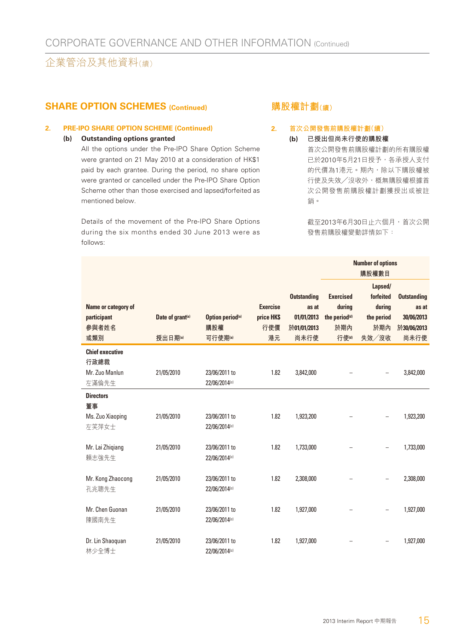#### **SHARE OPTION SCHEMES (Continued)**

#### **2. PRE-IPO SHARE OPTION SCHEME (Continued)**

#### **(b) Outstanding options granted**

All the options under the Pre-IPO Share Option Scheme were granted on 21 May 2010 at a consideration of HK\$1 paid by each grantee. During the period, no share option were granted or cancelled under the Pre-IPO Share Option Scheme other than those exercised and lapsed/forfeited as mentioned below.

Details of the movement of the Pre-IPO Share Options during the six months ended 30 June 2013 were as follows:

#### **購股權計劃(續)**

#### **2. 首次公開發售前購股權計劃(續)**

#### **(b) 已授出但尚未行使的購股權**

首次公開發售前購股權計劃的所有購股權 已於2010年5月21日授予,各承授人支付 的代價為1港元。期內,除以下購股權被 行使及失效╱沒收外,概無購股權根據首 次公開發售前購股權計劃獲授出或被註 銷。

截至2013年6月30日止六個月,首次公開 發售前購股權變動詳情如下:

|                                                           |                              |                                |                               |                                           |                                                         | <b>Number of options</b><br>購股權數目            |                                           |  |
|-----------------------------------------------------------|------------------------------|--------------------------------|-------------------------------|-------------------------------------------|---------------------------------------------------------|----------------------------------------------|-------------------------------------------|--|
| Name or category of<br>participant                        | Date of grant <sup>(a)</sup> | Option period <sup>(a)</sup>   | <b>Exercise</b><br>price HK\$ | <b>Outstanding</b><br>as at<br>01/01/2013 | <b>Exercised</b><br>during<br>the period <sup>(d)</sup> | Lapsed/<br>forfeited<br>during<br>the period | <b>Outstanding</b><br>as at<br>30/06/2013 |  |
| 參與者姓名                                                     |                              | 購股權                            | 行使價                           | 於01/01/2013                               | 於期內                                                     | 於期內                                          | 於30/06/2013                               |  |
| 或類別                                                       | 授出日期(a)                      | 可行使期(a)                        | 港元                            | 尚未行使                                      | 行使(d)                                                   | 失效/沒收                                        | 尚未行使                                      |  |
| <b>Chief executive</b><br>行政總裁<br>Mr. Zuo Manlun<br>左滿倫先生 | 21/05/2010                   | 23/06/2011 to<br>22/06/2014(c) | 1.82                          | 3,842,000                                 |                                                         |                                              | 3,842,000                                 |  |
| <b>Directors</b>                                          |                              |                                |                               |                                           |                                                         |                                              |                                           |  |
| 董事<br>Ms. Zuo Xiaoping<br>左笑萍女士                           | 21/05/2010                   | 23/06/2011 to<br>22/06/2014(c) | 1.82                          | 1,923,200                                 |                                                         |                                              | 1,923,200                                 |  |
| Mr. Lai Zhiqiang<br>賴志強先生                                 | 21/05/2010                   | 23/06/2011 to<br>22/06/2014(c) | 1.82                          | 1,733,000                                 |                                                         |                                              | 1,733,000                                 |  |
| Mr. Kong Zhaocong<br>孔兆聰先生                                | 21/05/2010                   | 23/06/2011 to<br>22/06/2014(c) | 1.82                          | 2,308,000                                 |                                                         |                                              | 2,308,000                                 |  |
| Mr. Chen Guonan<br>陳國南先生                                  | 21/05/2010                   | 23/06/2011 to<br>22/06/2014(c) | 1.82                          | 1,927,000                                 |                                                         |                                              | 1,927,000                                 |  |
| Dr. Lin Shaoquan<br>林少全博士                                 | 21/05/2010                   | 23/06/2011 to<br>22/06/2014(c) | 1.82                          | 1,927,000                                 |                                                         |                                              | 1,927,000                                 |  |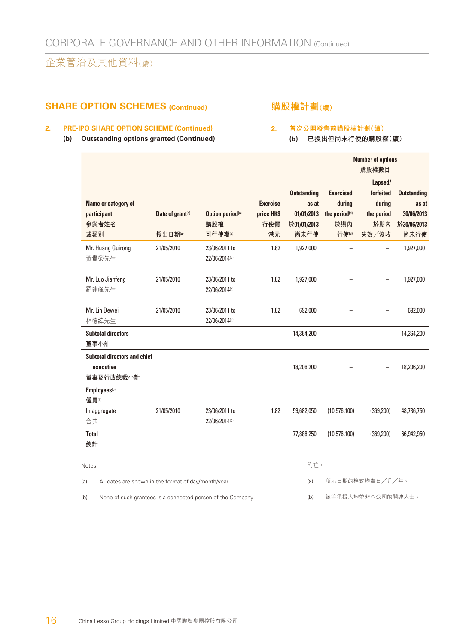#### **SHARE OPTION SCHEMES (Continued)**

#### **購股權計劃(續)**

#### **2. PRE-IPO SHARE OPTION SCHEME (Continued)**

**(b) Outstanding options granted (Continued)**

#### **2. 首次公開發售前購股權計劃(續)**

**(b) 已授出但尚未行使的購股權(續)**

|                                                               |                                         |                                                             |                                            |                                                                  |                                                                         | <b>Number of options</b><br>購股權數目                            |                                                                  |
|---------------------------------------------------------------|-----------------------------------------|-------------------------------------------------------------|--------------------------------------------|------------------------------------------------------------------|-------------------------------------------------------------------------|--------------------------------------------------------------|------------------------------------------------------------------|
| Name or category of<br>participant<br>參與者姓名<br>或類別            | Date of grant <sup>(a)</sup><br>授出日期(a) | Option period <sup>(a)</sup><br>購股權<br>可行使期(a)              | <b>Exercise</b><br>price HK\$<br>行使價<br>港元 | <b>Outstanding</b><br>as at<br>01/01/2013<br>於01/01/2013<br>尚未行使 | <b>Exercised</b><br>during<br>the period <sup>(d)</sup><br>於期內<br>行使(d) | Lapsed/<br>forfeited<br>during<br>the period<br>於期內<br>失效/沒收 | <b>Outstanding</b><br>as at<br>30/06/2013<br>於30/06/2013<br>尚未行使 |
| Mr. Huang Guirong<br>黃貴榮先生<br>Mr. Luo Jianfeng                | 21/05/2010<br>21/05/2010                | 23/06/2011 to<br>22/06/2014(c)<br>23/06/2011 to             | 1.82<br>1.82                               | 1,927,000<br>1,927,000                                           |                                                                         |                                                              | 1,927,000<br>1,927,000                                           |
| 羅建峰先生<br>Mr. Lin Dewei                                        | 21/05/2010                              | 22/06/2014(c)<br>23/06/2011 to                              | 1.82                                       | 692,000                                                          |                                                                         |                                                              | 692,000                                                          |
| 林德緯先生<br><b>Subtotal directors</b><br>董事小計                    |                                         | 22/06/2014(c)                                               |                                            | 14,364,200                                                       |                                                                         |                                                              | 14,364,200                                                       |
| <b>Subtotal directors and chief</b><br>executive<br>董事及行政總裁小計 |                                         |                                                             |                                            | 18,206,200                                                       |                                                                         |                                                              | 18,206,200                                                       |
| Employees <sup>(b)</sup><br>僱員(b)                             |                                         |                                                             |                                            |                                                                  |                                                                         |                                                              |                                                                  |
| In aggregate<br>合共                                            | 21/05/2010                              | 23/06/2011 to<br>22/06/2014(c)                              | 1.82                                       | 59,682,050                                                       | (10,576,100)                                                            | (369, 200)                                                   | 48,736,750                                                       |
| <b>Total</b><br>總計                                            |                                         |                                                             |                                            | 77,888,250                                                       | (10,576,100)                                                            | (369, 200)                                                   | 66,942,950                                                       |
| Notes:                                                        |                                         |                                                             |                                            | 附註:                                                              |                                                                         |                                                              |                                                                  |
| All dates are shown in the format of day/month/year.<br>(a)   |                                         |                                                             |                                            | (a)                                                              |                                                                         | 所示日期的格式均為日/月/年。                                              |                                                                  |
| (b)                                                           |                                         | None of such grantees is a connected person of the Company. |                                            | (b)                                                              |                                                                         | 該等承授人均並非本公司的關連人士。                                            |                                                                  |

(b) None of such grantees is a connected person of the Company.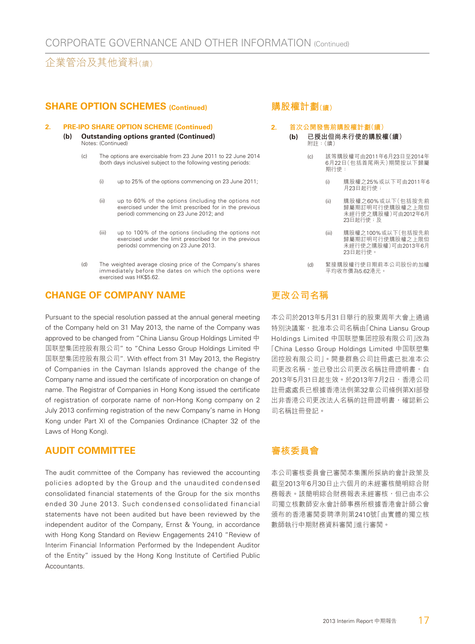#### **SHARE OPTION SCHEMES (Continued)**

#### **2. PRE-IPO SHARE OPTION SCHEME (Continued)**

- **(b) Outstanding options granted (Continued)** Notes: (Continued)
	- (c) The options are exercisable from 23 June 2011 to 22 June 2014 (both days inclusive) subject to the following vesting periods:
		- (i) up to 25% of the options commencing on 23 June 2011;
		- (ii) up to 60% of the options (including the options not exercised under the limit prescribed for in the previous period) commencing on 23 June 2012; and
		- (iii) up to 100% of the options (including the options not exercised under the limit prescribed for in the previous periods) commencing on 23 June 2013.
	- (d) The weighted average closing price of the Company's shares immediately before the dates on which the options were exercised was HK\$5.62.

#### **CHANGE OF COMPANY NAME**

Pursuant to the special resolution passed at the annual general meeting of the Company held on 31 May 2013, the name of the Company was approved to be changed from "China Liansu Group Holdings Limited 中 国联塑集团控股有限公司" to "China Lesso Group Holdings Limited 中 国联塑集团控股有限公司". With effect from 31 May 2013, the Registry of Companies in the Cayman Islands approved the change of the Company name and issued the certificate of incorporation on change of name. The Registrar of Companies in Hong Kong issued the certificate of registration of corporate name of non-Hong Kong company on 2 July 2013 confirming registration of the new Company's name in Hong Kong under Part XI of the Companies Ordinance (Chapter 32 of the Laws of Hong Kong).

#### **AUDIT COMMITTEE**

The audit committee of the Company has reviewed the accounting policies adopted by the Group and the unaudited condensed consolidated financial statements of the Group for the six months ended 30 June 2013. Such condensed consolidated financial statements have not been audited but have been reviewed by the independent auditor of the Company, Ernst & Young, in accordance with Hong Kong Standard on Review Engagements 2410 "Review of Interim Financial Information Performed by the Independent Auditor of the Entity" issued by the Hong Kong Institute of Certified Public Accountants.

#### **購股權計劃(續)**

#### **2. 首次公開發售前購股權計劃(續)**

- **(b) 已授出但尚未行使的購股權(續)** 附註:(續)
	- (c) 該等購股權可由2011年6月23日至2014年 6月22日(包括首尾兩天)期間按以下歸屬 期行使:
		- (i) 購股權之25%或以下可由2011年6 月23日起行使;
		- (ii) 購股權之60%或以下(包括按先前 歸屬期訂明可行使購股權之上限但 未經行使之購股權)可由2012年6月 23日起行使;及
		- (iii) 購股權之100%或以下(包括按先前 歸屬期訂明可行使購股權之上限但 未經行使之購股權)可由2013年6月 23日起行使。
	- (d) 緊接購股權行使日期前本公司股份的加權 平均收市價為5.62港元。

#### **更改公司名稱**

本公司於2013年5月31日舉行的股東周年大會上通過 特別決議案, 批准本公司名稱由「China Liansu Group Holdings Limited 中国联塑集团控股有限公司」改為 「China Lesso Group Holdings Limited 中国联塑集 团控股有限公司」。開曼群島公司註冊處已批准本公 司更改名稱,並已發出公司更改名稱註冊證明書,自 2013年5月31日起生效。於2013年7月2日,香港公司 註冊處處長已根據香港法例第32章公司條例第XI部發 出非香港公司更改法人名稱的註冊證明書,確認新公 司名稱註冊登記。

#### **審核委員會**

本公司審核委員會已審閱本集團所採納的會計政策及 截至2013年6月30日止六個月的未經審核簡明綜合財 務報表。該簡明綜合財務報表未經審核,但已由本公 司獨立核數師安永會計師事務所根據香港會計師公會 頒布的香港審閱委聘準則第2410號「由實體的獨立核 數師執行中期財務資料審閱」進行審閱。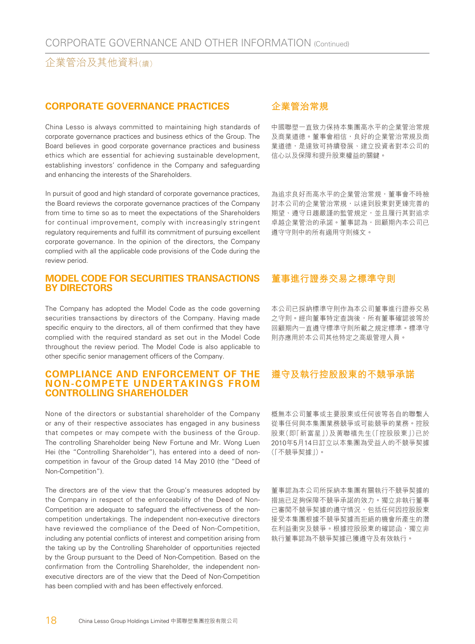#### **CORPORATE GOVERNANCE PRACTICES**

China Lesso is always committed to maintaining high standards of corporate governance practices and business ethics of the Group. The Board believes in good corporate governance practices and business ethics which are essential for achieving sustainable development, establishing investors' confidence in the Company and safeguarding and enhancing the interests of the Shareholders.

In pursuit of good and high standard of corporate governance practices. the Board reviews the corporate governance practices of the Company from time to time so as to meet the expectations of the Shareholders for continual improvement, comply with increasingly stringent regulatory requirements and fulfill its commitment of pursuing excellent corporate governance. In the opinion of the directors, the Company complied with all the applicable code provisions of the Code during the review period.

#### **MODEL CODE FOR SECURITIES TRANSACTIONS BY DIRECTORS**

The Company has adopted the Model Code as the code governing securities transactions by directors of the Company. Having made specific enquiry to the directors, all of them confirmed that they have complied with the required standard as set out in the Model Code throughout the review period. The Model Code is also applicable to other specific senior management officers of the Company.

#### **COMPLIANCE AND ENFORCEMENT OF THE NON-COMPETE UNDERTAKINGS FROM CONTROLLING SHAREHOLDER**

None of the directors or substantial shareholder of the Company or any of their respective associates has engaged in any business that competes or may compete with the business of the Group. The controlling Shareholder being New Fortune and Mr. Wong Luen Hei (the "Controlling Shareholder"), has entered into a deed of noncompetition in favour of the Group dated 14 May 2010 (the "Deed of Non-Competition").

The directors are of the view that the Group's measures adopted by the Company in respect of the enforceability of the Deed of Non-Competition are adequate to safeguard the effectiveness of the noncompetition undertakings. The independent non-executive directors have reviewed the compliance of the Deed of Non-Competition, including any potential conflicts of interest and competition arising from the taking up by the Controlling Shareholder of opportunities rejected by the Group pursuant to the Deed of Non-Competition. Based on the confirmation from the Controlling Shareholder, the independent nonexecutive directors are of the view that the Deed of Non-Competition has been complied with and has been effectively enforced.

#### **企業管治常規**

中國聯塑一直致力保持本集團高水平的企業管治常規 及商業道德。董事會相信,良好的企業管治常規及商 業道德,是達致可持續發展、建立投資者對本公司的 信心以及保障和提升股東權益的關鍵。

為追求良好而高水平的企業管治常規,董事會不時檢 討本公司的企業管治常規,以達到股東對更臻完善的 期望、遵守日趨嚴謹的監管規定,並且履行其對追求 卓越企業管治的承諾。董事認為,回顧期內本公司已 遵守守則中的所有適用守則條文。

#### **董事進行證券交易之標準守則**

本公司已採納標準守則作為本公司董事進行證券交易 之守則。經向董事特定查詢後,所有董事確認彼等於 回顧期內一直遵守標準守則所載之規定標準。標準守 則亦應用於本公司其他特定之高級管理人員。

#### **遵守及執行控股股東的不競爭承諾**

概無本公司董事或主要股東或任何彼等各自的聯繫人 從事任何與本集團業務競爭或可能競爭的業務。控股 股東(即「新富星」)及黃聯禧先生(「控股股東」)已於 2010年5月14日訂立以本集團為受益人的不競爭契據 (「不競爭契據」)。

董事認為本公司所採納本集團有關執行不競爭契據的 措施已足夠保障不競爭承諾的效力。獨立非執行董事 已審閲不競爭契據的遵守情況,包括任何因控股股東 接受本集團根據不競爭契據而拒絕的機會所產生的潛 在利益衝突及競爭。根據控股股東的確認函,獨立非 執行董事認為不競爭契據已獲遵守及有效執行。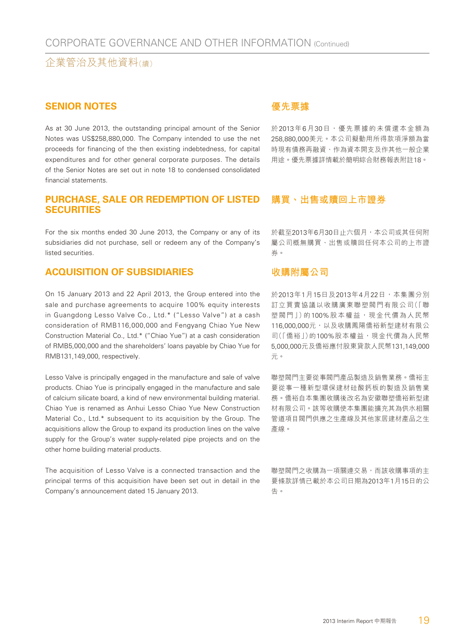#### **SENIOR NOTES**

As at 30 June 2013, the outstanding principal amount of the Senior Notes was US\$258,880,000. The Company intended to use the net proceeds for financing of the then existing indebtedness, for capital expenditures and for other general corporate purposes. The details of the Senior Notes are set out in note 18 to condensed consolidated financial statements.

#### **PURCHASE, SALE OR REDEMPTION OF LISTED SECURITIES**

For the six months ended 30 June 2013, the Company or any of its subsidiaries did not purchase, sell or redeem any of the Company's listed securities.

#### **ACQUISITION OF SUBSIDIARIES**

On 15 January 2013 and 22 April 2013, the Group entered into the sale and purchase agreements to acquire 100% equity interests in Guangdong Lesso Valve Co., Ltd.\* ("Lesso Valve") at a cash consideration of RMB116,000,000 and Fengyang Chiao Yue New Construction Material Co., Ltd.\* ("Chiao Yue") at a cash consideration of RMB5,000,000 and the shareholders' loans payable by Chiao Yue for RMB131,149,000, respectively.

Lesso Valve is principally engaged in the manufacture and sale of valve products. Chiao Yue is principally engaged in the manufacture and sale of calcium silicate board, a kind of new environmental building material. Chiao Yue is renamed as Anhui Lesso Chiao Yue New Construction Material Co., Ltd.\* subsequent to its acquisition by the Group. The acquisitions allow the Group to expand its production lines on the valve supply for the Group's water supply-related pipe projects and on the other home building material products.

The acquisition of Lesso Valve is a connected transaction and the principal terms of this acquisition have been set out in detail in the Company's announcement dated 15 January 2013.

#### **優先票據**

於2013年6月30日,優先票據的未償還本金額為 258,880,000美元。本公司擬動用所得款項淨額為當 時現有債務再融資、作為資本開支及作其他一般企業 用途。優先票據詳情載於簡明綜合財務報表附註18。

#### **購買、出售或贖回上市證券**

於截至2013年6月30日止六個月,本公司或其任何附 屬公司概無購買、出售或贖回任何本公司的上市證 券。

#### **收購附屬公司**

於2013年1月15日及2013年4月22日,本集團分別 訂立買賣協議以收購廣東聯塑閥門有限公司(「聯 塑閥門」)的100%股本權益,現金代價為人民幣 116,000,000元,以及收購鳳陽僑裕新型建材有限公 司(「僑裕」)的100%股本權益,現金代價為人民幣 5,000,000元及僑裕應付股東貸款人民幣131,149,000 元。

聯塑閥門主要從事閥門產品製造及銷售業務。僑裕主 要從事一種新型環保建材硅酸鈣板的製造及銷售業 務。僑裕自本集團收購後改名為安徽聯塑僑裕新型建 材有限公司。該等收購使本集團能擴充其為供水相關 管道項目閥門供應之生產線及其他家居建材產品之生 產線。

聯塑閥門之收購為一項關連交易,而該收購事項的主 要條款詳情已載於本公司日期為2013年1月15日的公 告。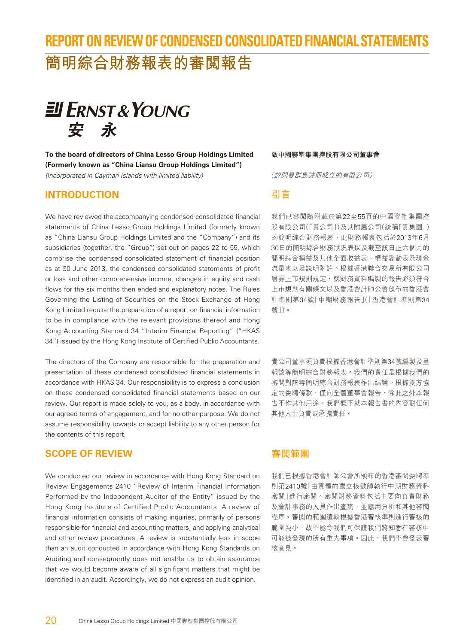## **REPORT ON REVIEW OF CONDENSED CONSOLIDATED FINANCIAL STATEMENTS 簡明綜合財務報表的審閱報告**



**To the board of directors of China Lesso Group Holdings Limited (Formerly known as "China Liansu Group Holdings Limited")** (Incorporated in Cayman Islands with limited liability)

#### **INTRODUCTION**

We have reviewed the accompanying condensed consolidated financial statements of China Lesso Group Holdings Limited (formerly known as "China Liansu Group Holdings Limited and the "Company") and its subsidiaries (together, the "Group") set out on pages 22 to 55, which comprise the condensed consolidated statement of financial position as at 30 June 2013, the condensed consolidated statements of profit or loss and other comprehensive income, changes in equity and cash flows for the six months then ended and explanatory notes. The Rules Governing the Listing of Securities on the Stock Exchange of Hong Kong Limited require the preparation of a report on financial information to be in compliance with the relevant provisions thereof and Hong Kong Accounting Standard 34 "Interim Financial Reporting" ("HKAS 34") issued by the Hong Kong Institute of Certified Public Accountants.

The directors of the Company are responsible for the preparation and presentation of these condensed consolidated financial statements in accordance with HKAS 34. Our responsibility is to express a conclusion on these condensed consolidated financial statements based on our review. Our report is made solely to you, as a body, in accordance with our agreed terms of engagement, and for no other purpose. We do not assume responsibility towards or accept liability to any other person for the contents of this report.

#### **SCOPE OF REVIEW**

We conducted our review in accordance with Hong Kong Standard on Review Engagements 2410 "Review of Interim Financial Information Performed by the Independent Auditor of the Entity" issued by the Hong Kong Institute of Certified Public Accountants. A review of financial information consists of making inquiries, primarily of persons responsible for financial and accounting matters, and applying analytical and other review procedures. A review is substantially less in scope than an audit conducted in accordance with Hong Kong Standards on Auditing and consequently does not enable us to obtain assurance that we would become aware of all significant matters that might be identified in an audit. Accordingly, we do not express an audit opinion.

#### **致中國聯塑集團控股有限公司董事會**

(於開曼群島註冊成立的有限公司)

#### **引言**

我們已審閱隨附載於第22至55頁的中國聯塑集團控 股有限公司(「貴公司」)及其附屬公司(統稱「貴集團」) 的簡明綜合財務報表,此財務報表包括於2013年6月 30日的簡明綜合財務狀況表以及截至該日止六個月的 簡明綜合損益及其他全面收益表、權益變動表及現金 流量表以及說明附註。根據香港聯合交易所有限公司 證券上市規則規定,就財務資料編製的報告必須符合 上市規則有關條文以及香港會計師公會頒布的香港會 計準則第34號「中期財務報告」(「香港會計準則第34 號」)。

貴公司董事須負責根據香港會計準則第34號編製及呈 報該等簡明綜合財務報表。我們的責任是根據我們的 審閱對該等簡明綜合財務報表作出結論。根據雙方協 定的委聘條款,僅向全體董事會報告,除此之外本報 告不作其他用途,我們概不就本報告書的內容對任何 其他人士負責或承擔責任。

#### **審閱範圍**

我們已根據香港會計師公會所頒布的香港審閱委聘準 則第2410號「由實體的獨立核數師執行中期財務資料 審閱」進行審閱。審閱財務資料包括主要向負責財務 及會計事務的人員作出查詢,並應用分析和其他審閱 程序。審閱的範圍遠較根據香港審核準則進行審核的 範圍為小,故不能令我們可保證我們將知悉在審核中 可能被發現的所有重大事項。因此,我們不會發表審 核意見。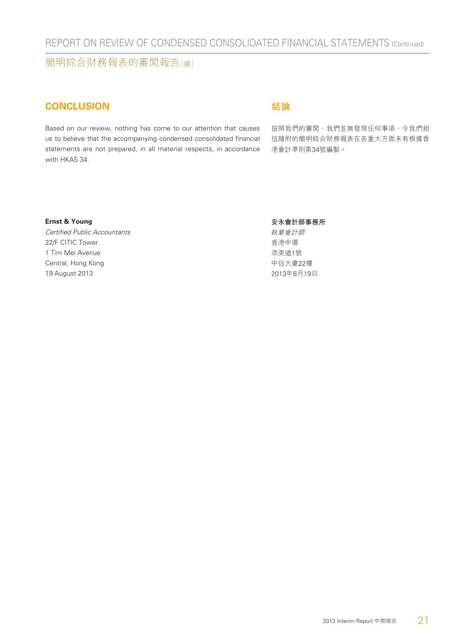簡明綜合財務報表的審閱報告(續)

#### **CONCLUSION**

Based on our review, nothing has come to our attention that causes us to believe that the accompanying condensed consolidated financial statements are not prepared, in all material respects, in accordance with HKAS 34.

#### **結論**

按照我們的審閲,我們並無發現任何事項,令我們相 信隨附的簡明綜合財務報表在各重大方面未有根據香 港會計準則第34號編製。

#### **Ernst & Young**

Certified Public Accountants 22/F CITIC Tower 1 Tim Mei Avenue Central, Hong Kong 19 August 2013

#### **安永會計師事務所**

執業會計師 香港中環 添美道1號 中信大廈22樓 2013年8月19日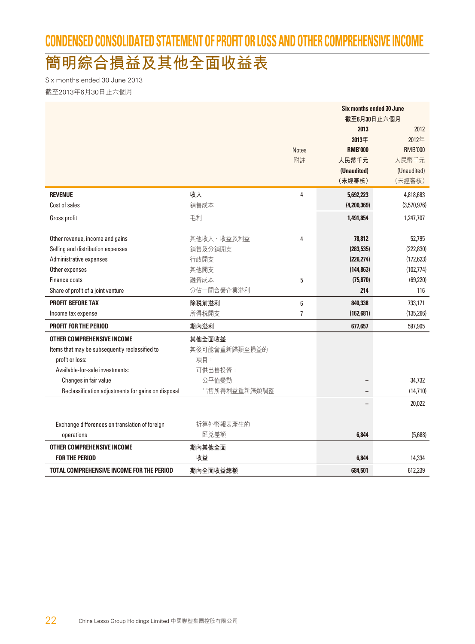## **CONDENSED CONSOLIDATED STATEMENT OF PROFIT OR LOSS AND OTHER COMPREHENSIVE INCOME**

## **簡明綜合損益及其他全面收益表**

Six months ended 30 June 2013 截至2013年6月30日止六個月

|                                                    |               |                | Six months ended 30 June |                |  |  |
|----------------------------------------------------|---------------|----------------|--------------------------|----------------|--|--|
|                                                    |               |                | 截至6月30日止六個月              |                |  |  |
|                                                    |               |                | 2013                     | 2012           |  |  |
|                                                    |               |                | 2013年                    | 2012年          |  |  |
|                                                    |               | <b>Notes</b>   | <b>RMB'000</b>           | <b>RMB'000</b> |  |  |
|                                                    |               | 附註             | 人民幣千元                    | 人民幣千元          |  |  |
|                                                    |               |                | (Unaudited)              | (Unaudited)    |  |  |
|                                                    |               |                | (未經審核)                   | (未經審核)         |  |  |
| <b>REVENUE</b>                                     | 收入            | 4              | 5,692,223                | 4,818,683      |  |  |
| Cost of sales                                      | 銷售成本          |                | (4,200,369)              | (3,570,976)    |  |  |
| Gross profit                                       | 毛利            |                | 1,491,854                | 1,247,707      |  |  |
|                                                    |               |                |                          |                |  |  |
| Other revenue, income and gains                    | 其他收入、收益及利益    | 4              | 78,812                   | 52,795         |  |  |
| Selling and distribution expenses                  | 銷售及分銷開支       |                | (283, 535)               | (222, 830)     |  |  |
| Administrative expenses                            | 行政開支          |                | (226, 274)               | (172, 623)     |  |  |
| Other expenses                                     | 其他開支          |                | (144, 863)               | (102, 774)     |  |  |
| Finance costs                                      | 融資成本          | 5              | (75, 870)                | (69, 220)      |  |  |
| Share of profit of a joint venture                 | 分佔一間合營企業溢利    |                | 214                      | 116            |  |  |
| <b>PROFIT BEFORE TAX</b>                           | 除税前溢利         | $6\phantom{1}$ | 840,338                  | 733,171        |  |  |
| Income tax expense                                 | 所得税開支         | $\overline{7}$ | (162, 681)               | (135, 266)     |  |  |
| PROFIT FOR THE PERIOD                              | 期內溢利          |                | 677,657                  | 597,905        |  |  |
| <b>OTHER COMPREHENSIVE INCOME</b>                  | 其他全面收益        |                |                          |                |  |  |
| Items that may be subsequently reclassified to     | 其後可能會重新歸類至損益的 |                |                          |                |  |  |
| profit or loss:                                    | 項目:           |                |                          |                |  |  |
| Available-for-sale investments:                    | 可供出售投資:       |                |                          |                |  |  |
| Changes in fair value                              | 公平值變動         |                |                          | 34,732         |  |  |
| Reclassification adjustments for gains on disposal | 出售所得利益重新歸類調整  |                |                          | (14, 710)      |  |  |
|                                                    |               |                |                          | 20,022         |  |  |
|                                                    |               |                |                          |                |  |  |
| Exchange differences on translation of foreign     | 折算外幣報表產生的     |                |                          |                |  |  |
| operations                                         | 匯兑差額          |                | 6,844                    | (5,688)        |  |  |
| OTHER COMPREHENSIVE INCOME                         | 期內其他全面        |                |                          |                |  |  |
| <b>FOR THE PERIOD</b>                              | 收益            |                | 6.844                    | 14,334         |  |  |
| TOTAL COMPREHENSIVE INCOME FOR THE PERIOD          | 期內全面收益總額      |                | 684,501                  | 612,239        |  |  |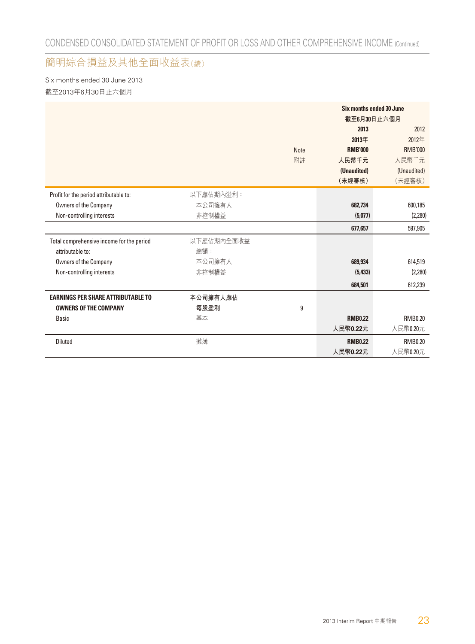#### 簡明綜合損益及其他全面收益表(續)

Six months ended 30 June 2013 截至2013年6月30日止六個月

|                                           |            |             | Six months ended 30 June |                |  |  |
|-------------------------------------------|------------|-------------|--------------------------|----------------|--|--|
|                                           |            |             | 截至6月30日止六個月              |                |  |  |
|                                           |            |             | 2013                     | 2012           |  |  |
|                                           |            |             | 2013年                    | 2012年          |  |  |
|                                           |            | <b>Note</b> | <b>RMB'000</b>           | <b>RMB'000</b> |  |  |
|                                           |            | 附註          | 人民幣千元                    | 人民幣千元          |  |  |
|                                           |            |             | (Unaudited)              | (Unaudited)    |  |  |
|                                           |            |             | (未經審核)                   | (未經審核)         |  |  |
| Profit for the period attributable to:    | 以下應佔期內溢利:  |             |                          |                |  |  |
| Owners of the Company                     | 本公司擁有人     |             | 682,734                  | 600,185        |  |  |
| Non-controlling interests                 | 非控制權益      |             | (5,077)                  | (2, 280)       |  |  |
|                                           |            |             | 677,657                  | 597,905        |  |  |
| Total comprehensive income for the period | 以下應佔期內全面收益 |             |                          |                |  |  |
| attributable to:                          | 總額:        |             |                          |                |  |  |
| Owners of the Company                     | 本公司擁有人     |             | 689,934                  | 614,519        |  |  |
| Non-controlling interests                 | 非控制權益      |             | (5, 433)                 | (2, 280)       |  |  |
|                                           |            |             | 684,501                  | 612,239        |  |  |
| <b>EARNINGS PER SHARE ATTRIBUTABLE TO</b> | 本公司擁有人應佔   |             |                          |                |  |  |
| <b>OWNERS OF THE COMPANY</b>              | 每股盈利       | 9           |                          |                |  |  |
| <b>Basic</b>                              | 基本         |             | <b>RMB0.22</b>           | <b>RMB0.20</b> |  |  |
|                                           |            |             | 人民幣0.22元                 | 人民幣0.20元       |  |  |
| <b>Diluted</b>                            | 攤薄         |             | <b>RMB0.22</b>           | <b>RMB0.20</b> |  |  |
|                                           |            |             | 人民幣0.22元                 | 人民幣0.20元       |  |  |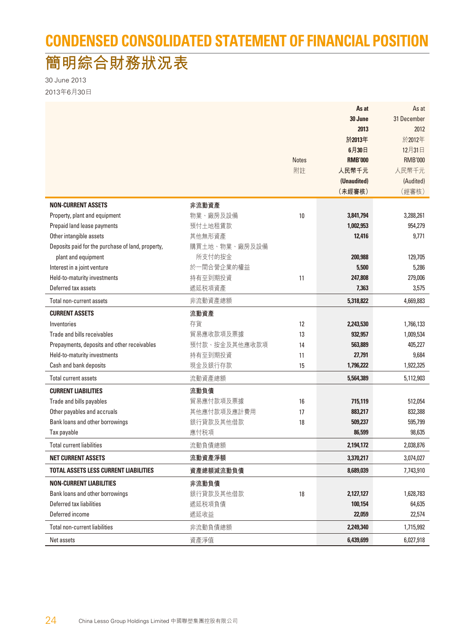## **CONDENSED CONSOLIDATED STATEMENT OF FINANCIAL POSITION**

## **簡明綜合財務狀況表**

30 June 2013 2013年6月30日

|                                                   |               |              | As at          | As at          |
|---------------------------------------------------|---------------|--------------|----------------|----------------|
|                                                   |               |              | 30 June        | 31 December    |
|                                                   |               |              | 2013           | 2012           |
|                                                   |               |              | 於2013年         | 於2012年         |
|                                                   |               |              | 6月30日          | 12月31日         |
|                                                   |               | <b>Notes</b> | <b>RMB'000</b> | <b>RMB'000</b> |
|                                                   |               | 附註           | 人民幣千元          | 人民幣千元          |
|                                                   |               |              | (Unaudited)    | (Audited)      |
|                                                   |               |              | (未經審核)         | (經審核)          |
| <b>NON-CURRENT ASSETS</b>                         | 非流動資產         |              |                |                |
| Property, plant and equipment                     | 物業、廠房及設備      | 10           | 3,841,794      | 3,288,261      |
| Prepaid land lease payments                       | 預付土地租賃款       |              | 1,002,953      | 954,279        |
| Other intangible assets                           | 其他無形資產        |              | 12,416         | 9,771          |
| Deposits paid for the purchase of land, property, | 購買土地、物業、廠房及設備 |              |                |                |
| plant and equipment                               | 所支付的按金        |              | 200,988        | 129,705        |
| Interest in a joint venture                       | 於一間合營企業的權益    |              | 5,500          | 5,286          |
| Held-to-maturity investments                      | 持有至到期投資       | 11           | 247,808        | 279,006        |
| Deferred tax assets                               | 遞延税項資產        |              | 7,363          | 3,575          |
| Total non-current assets                          | 非流動資產總額       |              | 5,318,822      | 4,669,883      |
| <b>CURRENT ASSETS</b>                             | 流動資產          |              |                |                |
| Inventories                                       | 存貨            | 12           | 2,243,530      | 1,766,133      |
| Trade and bills receivables                       | 貿易應收款項及票據     | 13           | 932,957        | 1,009,534      |
| Prepayments, deposits and other receivables       | 預付款、按金及其他應收款項 | 14           | 563,889        | 405,227        |
| Held-to-maturity investments                      | 持有至到期投資       | 11           | 27,791         | 9,684          |
| Cash and bank deposits                            | 現金及銀行存款       | 15           | 1,796,222      | 1,922,325      |
| <b>Total current assets</b>                       | 流動資產總額        |              | 5,564,389      | 5,112,903      |
| <b>CURRENT LIABILITIES</b>                        | 流動負債          |              |                |                |
| Trade and bills payables                          | 貿易應付款項及票據     | 16           | 715,119        | 512,054        |
| Other payables and accruals                       | 其他應付款項及應計費用   | 17           | 883,217        | 832,388        |
| Bank loans and other borrowings                   | 銀行貸款及其他借款     | 18           | 509,237        | 595,799        |
| Tax payable                                       | 應付税項          |              | 86,599         | 98,635         |
| <b>Total current liabilities</b>                  | 流動負債總額        |              | 2,194,172      | 2,038,876      |
| <b>NET CURRENT ASSETS</b>                         | 流動資產淨額        |              | 3,370,217      | 3,074,027      |
| <b>TOTAL ASSETS LESS CURRENT LIABILITIES</b>      | 資產總額減流動負債     |              | 8,689,039      | 7,743,910      |
| <b>NON-CURRENT LIABILITIES</b>                    | 非流動負債         |              |                |                |
| Bank loans and other borrowings                   | 銀行貸款及其他借款     | 18           | 2,127,127      | 1,628,783      |
| Deferred tax liabilities                          | 遞延税項負債        |              | 100,154        | 64,635         |
| Deferred income                                   | 遞延收益          |              | 22,059         | 22,574         |
| Total non-current liabilities                     | 非流動負債總額       |              | 2,249,340      | 1,715,992      |
| Net assets                                        | 資產淨值          |              | 6,439,699      | 6,027,918      |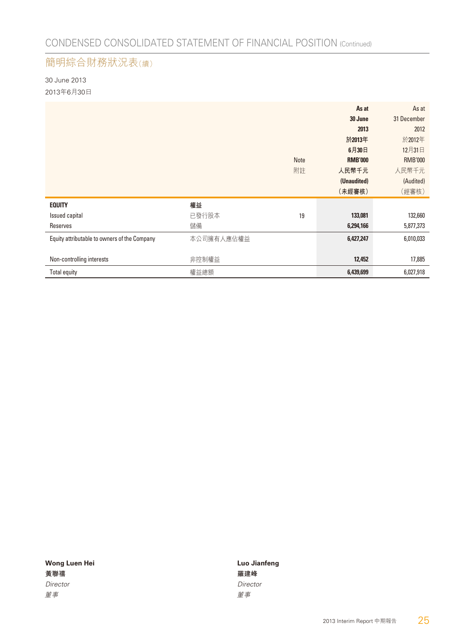### 簡明綜合財務狀況表(續)

30 June 2013 2013年6月30日

|                                              |            |             | As at          | As at          |
|----------------------------------------------|------------|-------------|----------------|----------------|
|                                              |            |             | 30 June        | 31 December    |
|                                              |            |             | 2013           | 2012           |
|                                              |            |             | 於2013年         | 於2012年         |
|                                              |            |             | 6月30日          | 12月31日         |
|                                              |            | <b>Note</b> | <b>RMB'000</b> | <b>RMB'000</b> |
|                                              |            | 附註          | 人民幣千元          | 人民幣千元          |
|                                              |            |             | (Unaudited)    | (Audited)      |
|                                              |            |             | (未經審核)         | (經審核)          |
| <b>EQUITY</b>                                | 權益         |             |                |                |
| Issued capital                               | 已發行股本      | 19          | 133,081        | 132,660        |
| Reserves                                     | 儲備         |             | 6,294,166      | 5,877,373      |
| Equity attributable to owners of the Company | 本公司擁有人應佔權益 |             | 6,427,247      | 6,010,033      |
|                                              |            |             |                |                |
| Non-controlling interests                    | 非控制權益      |             | 12,452         | 17,885         |
| <b>Total equity</b>                          | 權益總額       |             | 6,439,699      | 6,027,918      |

**黃聯禧 エコレン こうしょう こうしょう かいしょう かいきょう 羅建峰** Director Director Director かんじょう しょうしょう しゅうしょう じゅんじょう すいじょう 董事

Wong Luen Hei **Luis Communist Communist Communist Communist Communist Communist Communist Communist Communist Communist Communist Communist Communist Communist Communist Communist Communist Communist Communist Communist Co**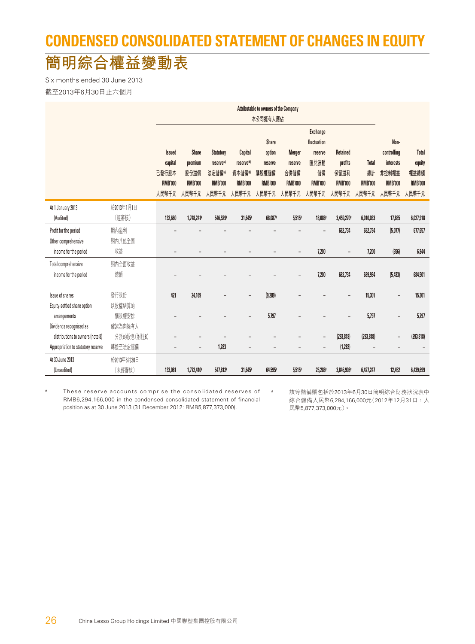## **CONDENSED CONSOLIDATED STATEMENT OF CHANGES IN EQUITY**

## **簡明綜合權益變動表**

Six months ended 30 June 2013 截至2013年6月30日止六個月

|                                    | Attributable to owners of the Company |                          |                          |                        |                          |                |                          |                          |                          |                |                          |                |
|------------------------------------|---------------------------------------|--------------------------|--------------------------|------------------------|--------------------------|----------------|--------------------------|--------------------------|--------------------------|----------------|--------------------------|----------------|
|                                    |                                       |                          |                          |                        |                          | 本公司擁有人應佔       |                          |                          |                          |                |                          |                |
|                                    |                                       |                          |                          |                        |                          |                |                          | <b>Exchange</b>          |                          |                |                          |                |
|                                    |                                       |                          |                          |                        |                          | <b>Share</b>   |                          | fluctuation              |                          |                | Non-                     |                |
|                                    |                                       | <b>Issued</b>            | <b>Share</b>             | <b>Statutory</b>       | <b>Capital</b>           | option         | <b>Merger</b>            | reserve                  | <b>Retained</b>          |                | controlling              | <b>Total</b>   |
|                                    |                                       | capital                  | premium                  | reserve <sup>(a)</sup> | reserve <sup>(b)</sup>   | reserve        | reserve                  | 匯兑波動                     | profits                  | <b>Total</b>   | <b>interests</b>         | equity         |
|                                    |                                       | 已發行股本                    | 股份溢價                     | 法定儲備(a)                | 資本儲備()                   | 購股權儲備          | 合併儲備                     | 儲備                       | 保留溢利                     | 總計             | 非控制權益                    | 權益總額           |
|                                    |                                       | <b>RMB'000</b>           | <b>RMB'000</b>           | <b>RMB'000</b>         | <b>RMB'000</b>           | <b>RMB'000</b> | <b>RMB'000</b>           | <b>RMB'000</b>           | <b>RMB'000</b>           | <b>RMB'000</b> | <b>RMB'000</b>           | <b>RMB'000</b> |
|                                    |                                       | 人民幣千元                    | 人民幣千元                    | 人民幣千元                  | 人民幣千元                    | 人民幣千元          | 人民幣千元                    | 人民幣千元                    | 人民幣千元                    | 人民幣千元          | 人民幣千元                    | 人民幣千元          |
| At 1 January 2013                  | 於2013年1月1日                            |                          |                          |                        |                          |                |                          |                          |                          |                |                          |                |
| (Audited)                          | (經審核)                                 | 132,660                  | 1,748,241*               | 546,529                | 31,645*                  | 68,087         | 5,515                    | 18,086                   | 3,459,270*               | 6,010,033      | 17,885                   | 6,027,918      |
| Profit for the period              | 期內溢利                                  |                          |                          |                        |                          |                |                          |                          | 682,734                  | 682,734        | (5,077)                  | 677,657        |
| Other comprehensive                | 期内其他全面                                |                          |                          |                        |                          |                |                          |                          |                          |                |                          |                |
| income for the period              | 收益                                    | $\overline{\phantom{a}}$ |                          |                        |                          |                | $\overline{\phantom{0}}$ | 7,200                    | $\overline{\phantom{a}}$ | 7,200          | (356)                    | 6,844          |
| Total comprehensive                | 期内全面收益                                |                          |                          |                        |                          |                |                          |                          |                          |                |                          |                |
| income for the period              | 總額                                    |                          |                          |                        |                          |                |                          | 7,200                    | 682,734                  | 689,934        | (5, 433)                 | 684,501        |
|                                    |                                       |                          |                          |                        |                          |                |                          |                          |                          |                |                          |                |
| Issue of shares                    | 發行股份                                  | 421                      | 24.169                   |                        | $\overline{\phantom{a}}$ | (9,289)        |                          |                          |                          | 15,301         | $\overline{\phantom{a}}$ | 15,301         |
| Equity-settled share option        | 以股權結算的                                |                          |                          |                        |                          |                |                          |                          |                          |                |                          |                |
| arrangements                       | 購股權安排                                 |                          |                          |                        |                          | 5,797          |                          |                          |                          | 5,797          |                          | 5,797          |
| Dividends recognised as            | 確認為向擁有人                               |                          |                          |                        |                          |                |                          |                          |                          |                |                          |                |
| distributions to owners (note 8)   | 分派的股息(附註8)                            |                          |                          |                        |                          |                |                          | $\overline{\phantom{a}}$ | (293, 818)               | (293, 818)     |                          | (293, 818)     |
| Appropriation to statutory reserve | 轉撥至法定儲備                               |                          | $\overline{\phantom{0}}$ | 1,283                  |                          |                |                          | $\overline{\phantom{a}}$ | (1, 283)                 |                |                          |                |
| At 30 June 2013                    | 於2013年6月30日                           |                          |                          |                        |                          |                |                          |                          |                          |                |                          |                |
| (Unaudited)                        | (未經審核)                                | 133,081                  | 1,772,410*               | 547,812#               | 31,645*                  | 64,595*        | 5,515                    | 25,286                   | 3,846,903                | 6,427,247      | 12,452                   | 6,439,699      |

# These reserve accounts comprise the consolidated reserves of RMB6,294,166,000 in the condensed consolidated statement of financial position as at 30 June 2013 (31 December 2012: RMB5,877,373,000).

該等儲備賬包括於2013年6月30日簡明綜合財務狀況表中 綜合儲備人民幣6,294,166,000元(2012年12月31日:人 民幣5,877,373,000元)。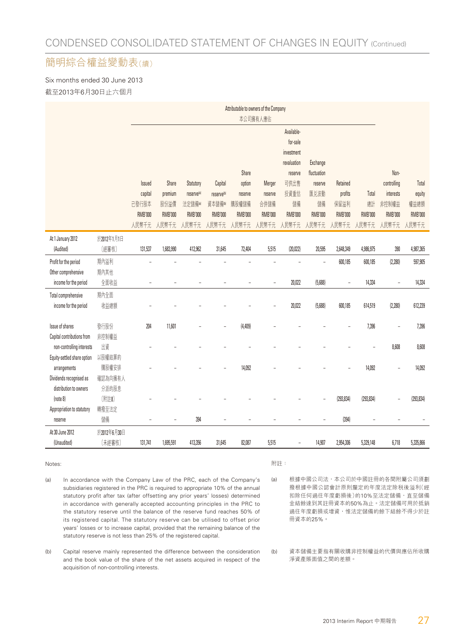#### 簡明綜合權益變動表(續)

Six months ended 30 June 2013 截至2013年6月30日止六個月

|                             |             |                          | Attributable to owners of the Company |                        |                        |                |                          |                          |                |                |                |                          |                |
|-----------------------------|-------------|--------------------------|---------------------------------------|------------------------|------------------------|----------------|--------------------------|--------------------------|----------------|----------------|----------------|--------------------------|----------------|
|                             |             |                          |                                       |                        |                        |                | 本公司擁有人應佔                 |                          |                |                |                |                          |                |
|                             |             |                          |                                       |                        |                        |                |                          | Available-               |                |                |                |                          |                |
|                             |             |                          |                                       |                        |                        |                |                          | for-sale                 |                |                |                |                          |                |
|                             |             |                          |                                       |                        |                        |                |                          | investment               |                |                |                |                          |                |
|                             |             |                          |                                       |                        |                        |                |                          | revaluation              | Exchange       |                |                |                          |                |
|                             |             |                          |                                       |                        |                        | Share          |                          | reserve                  | fluctuation    |                |                | Non-                     |                |
|                             |             | <b>Issued</b>            | Share                                 | Statutory              | Capital                | option         | Merger                   | 可供出售                     | reserve        | Retained       |                | controlling              | Total          |
|                             |             | capital                  | premium                               | reserve <sup>(a)</sup> | reserve <sup>(b)</sup> | reserve        | reserve                  | 投資重估                     | 匯兑波動           | profits        | Total          | interests                | equity         |
|                             |             | 已發行股本                    | 股份溢價                                  | 法定儲備(a)                | 資本儲備®                  | 購股權儲備          | 合併儲備                     | 儲備                       | 儲備             | 保留溢利           | 總計             | 非控制權益                    | 權益總額           |
|                             |             | <b>RMB'000</b>           | <b>RMB'000</b>                        | <b>RMB'000</b>         | <b>RMB'000</b>         | <b>RMB'000</b> | <b>RMB'000</b>           | <b>RMB'000</b>           | <b>RMB'000</b> | <b>RMB'000</b> | <b>RMB'000</b> | <b>RMB'000</b>           | <b>RMB'000</b> |
|                             |             | 人民幣千元                    | 人民幣千元                                 | 人民幣千元                  | 人民幣千元                  | 人民幣千元          | 人民幣千元                    | 人民幣千元                    | 人民幣千元          | 人民幣千元          | 人民幣千元          | 人民幣千元                    | 人民幣千元          |
| At 1 January 2012           | 於2012年1月1日  |                          |                                       |                        |                        |                |                          |                          |                |                |                |                          |                |
| (Audited)                   | (經審核)       | 131,537                  | 1,683,990                             | 412,962                | 31,645                 | 72,404         | 5,515                    | (20, 022)                | 20,595         | 2,648,349      | 4,986,975      | 390                      | 4,987,365      |
| Profit for the period       | 期內溢利        |                          |                                       |                        |                        |                |                          |                          |                | 600,185        | 600,185        | (2, 280)                 | 597,905        |
| Other comprehensive         | 期內其他        |                          |                                       |                        |                        |                |                          |                          |                |                |                |                          |                |
| income for the period       | 全面收益        | $\overline{\phantom{m}}$ | L,                                    |                        |                        |                | $\overline{a}$           | 20,022                   | (5,688)        | L,             | 14,334         | $\overline{\phantom{a}}$ | 14,334         |
| Total comprehensive         | 期內全面        |                          |                                       |                        |                        |                |                          |                          |                |                |                |                          |                |
| income for the period       | 收益總額        |                          |                                       |                        |                        |                | $\overline{\phantom{a}}$ | 20,022                   | (5,688)        | 600,185        | 614,519        | (2, 280)                 | 612,239        |
|                             |             |                          |                                       |                        |                        |                |                          |                          |                |                |                |                          |                |
| Issue of shares             | 發行股份        | 204                      | 11,601                                |                        |                        | (4,409)        |                          |                          |                |                | 7,396          |                          | 7,396          |
| Capital contributions from  | 非控制權益       |                          |                                       |                        |                        |                |                          |                          |                |                |                |                          |                |
| non-controlling interests   | 出資          |                          |                                       |                        |                        |                |                          |                          |                |                |                | 8,608                    | 8,608          |
| Equity-settled share option | 以股權結算的      |                          |                                       |                        |                        |                |                          |                          |                |                |                |                          |                |
| arrangements                | 購股權安排       |                          |                                       |                        |                        | 14,092         |                          |                          |                |                | 14,092         |                          | 14,092         |
| Dividends recognised as     | 確認為向擁有人     |                          |                                       |                        |                        |                |                          |                          |                |                |                |                          |                |
| distribution to owners      | 分派的股息       |                          |                                       |                        |                        |                |                          |                          |                |                |                |                          |                |
| (note 8)                    | (附註8)       |                          |                                       |                        |                        |                |                          |                          |                | (293, 834)     | (293, 834)     |                          | (293, 834)     |
| Appropriation to statutory  | 轉撥至法定       |                          |                                       |                        |                        |                |                          |                          |                |                |                |                          |                |
| reserve                     | 儲備          | ÷                        |                                       | 394                    | L,                     |                |                          |                          |                | (394)          | Ē,             |                          |                |
| At 30 June 2012             | 於2012年6月30日 |                          |                                       |                        |                        |                |                          |                          |                |                |                |                          |                |
| (Unaudited)                 | (未經審核)      | 131,741                  | 1,695,591                             | 413,356                | 31,645                 | 82,087         | 5,515                    | $\overline{\phantom{0}}$ | 14,907         | 2,954,306      | 5,329,148      | 6,718                    | 5,335,866      |

#### Notes:

- (a) In accordance with the Company Law of the PRC, each of the Company's subsidiaries registered in the PRC is required to appropriate 10% of the annual statutory profit after tax (after offsetting any prior years' losses) determined in accordance with generally accepted accounting principles in the PRC to the statutory reserve until the balance of the reserve fund reaches 50% of its registered capital. The statutory reserve can be utilised to offset prior years' losses or to increase capital, provided that the remaining balance of the statutory reserve is not less than 25% of the registered capital.
- (b) Capital reserve mainly represented the difference between the consideration and the book value of the share of the net assets acquired in respect of the acquisition of non-controlling interests.

#### 附註:

(a) 根據中國公司法,本公司於中國註冊的各間附屬公司須劃 撥根據中國公認會計原則釐定的年度法定除稅後溢利(經 扣除任何過往年度虧損後)的10%至法定儲備,直至儲備 金結餘達到其註冊資本的50%為止。法定儲備可用於抵銷 過往年度虧損或增資,惟法定儲備的餘下結餘不得少於註 冊資本的25%。

#### (b) 資本儲備主要指有關收購非控制權益的代價與應佔所收購 淨資產賬面值之間的差額。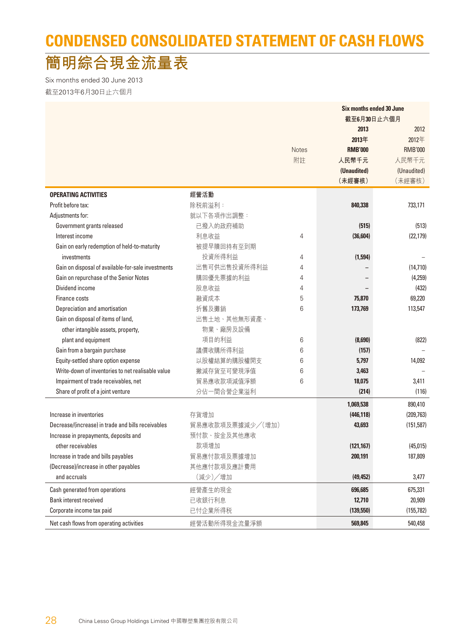## **CONDENSED CONSOLIDATED STATEMENT OF CASH FLOWS**

## **簡明綜合現金流量表**

Six months ended 30 June 2013 截至2013年6月30日止六個月

| 截至6月30日止六個月<br>2013<br>2012<br>2012年<br>2013年<br><b>Notes</b><br><b>RMB'000</b><br><b>RMB'000</b><br>附註<br>人民幣千元<br>人民幣千元<br>(Unaudited)<br>(Unaudited)<br>(未經審核)<br>(未經審核)<br><b>OPERATING ACTIVITIES</b><br>經營活動<br>Profit before tax:<br>除税前溢利:<br>733,171<br>840,338<br>就以下各項作出調整:<br>Adjustments for:<br>已撥入的政府補助<br>Government grants released<br>(515)<br>(513)<br>Interest income<br>利息收益<br>(36, 604)<br>(22, 179)<br>4<br>被提早贖回持有至到期<br>Gain on early redemption of held-to-maturity<br>投資所得利益<br>(1,594)<br>investments<br>4<br>Gain on disposal of available-for-sale investments<br>出售可供出售投資所得利益<br>$\overline{4}$<br>(14, 710)<br>購回優先票據的利益<br>Gain on repurchase of the Senior Notes<br>(4,259)<br>4<br>Dividend income<br>股息收益<br>4<br>(432)<br>融資成本<br>5<br>Finance costs<br>75,870<br>69,220<br>折舊及攤銷<br>Depreciation and amortisation<br>6<br>173,769<br>113,547<br>Gain on disposal of items of land,<br>出售土地、其他無形資產、<br>物業、廠房及設備<br>other intangible assets, property,<br>項目的利益<br>plant and equipment<br>6<br>(8,690)<br>(822)<br>議價收購所得利益<br>Gain from a bargain purchase<br>6<br>(157)<br>以股權結算的購股權開支<br>Equity-settled share option expense<br>6<br>5,797<br>14,092<br>Write-down of inventories to net realisable value<br>撇減存貨至可變現淨值<br>6<br>3,463<br>貿易應收款項減值淨額<br>Impairment of trade receivables, net<br>6<br>18,075<br>3,411<br>分佔一間合營企業溢利<br>Share of profit of a joint venture<br>(214)<br>(116)<br>890,410<br>1,069,538<br>Increase in inventories<br>存貨增加<br>(209, 763)<br>(446, 118)<br>Decrease/(increase) in trade and bills receivables<br>貿易應收款項及票據減少/(增加)<br>43,693<br>(151, 587)<br>預付款、按金及其他應收<br>Increase in prepayments, deposits and<br>other receivables<br>款項增加<br>(121, 167)<br>(45, 015)<br>貿易應付款項及票據增加<br>Increase in trade and bills payables<br>200,191<br>187,809<br>(Decrease)/increase in other payables<br>其他應付款項及應計費用<br>(減少)/增加<br>and accruals<br>3,477<br>(49, 452)<br>Cash generated from operations<br>經營產生的現金<br>696,685<br>675,331<br>Bank interest received<br>已收銀行利息<br>12,710<br>20,909<br>已付企業所得税<br>Corporate income tax paid<br>(139,550)<br>(155, 782) |                                          |              | <b>Six months ended 30 June</b> |         |  |  |
|--------------------------------------------------------------------------------------------------------------------------------------------------------------------------------------------------------------------------------------------------------------------------------------------------------------------------------------------------------------------------------------------------------------------------------------------------------------------------------------------------------------------------------------------------------------------------------------------------------------------------------------------------------------------------------------------------------------------------------------------------------------------------------------------------------------------------------------------------------------------------------------------------------------------------------------------------------------------------------------------------------------------------------------------------------------------------------------------------------------------------------------------------------------------------------------------------------------------------------------------------------------------------------------------------------------------------------------------------------------------------------------------------------------------------------------------------------------------------------------------------------------------------------------------------------------------------------------------------------------------------------------------------------------------------------------------------------------------------------------------------------------------------------------------------------------------------------------------------------------------------------------------------------------------------------------------------------------------------------------------------------------------------------------------------------------------------------------------------------------------------------|------------------------------------------|--------------|---------------------------------|---------|--|--|
|                                                                                                                                                                                                                                                                                                                                                                                                                                                                                                                                                                                                                                                                                                                                                                                                                                                                                                                                                                                                                                                                                                                                                                                                                                                                                                                                                                                                                                                                                                                                                                                                                                                                                                                                                                                                                                                                                                                                                                                                                                                                                                                                |                                          |              |                                 |         |  |  |
|                                                                                                                                                                                                                                                                                                                                                                                                                                                                                                                                                                                                                                                                                                                                                                                                                                                                                                                                                                                                                                                                                                                                                                                                                                                                                                                                                                                                                                                                                                                                                                                                                                                                                                                                                                                                                                                                                                                                                                                                                                                                                                                                |                                          |              |                                 |         |  |  |
|                                                                                                                                                                                                                                                                                                                                                                                                                                                                                                                                                                                                                                                                                                                                                                                                                                                                                                                                                                                                                                                                                                                                                                                                                                                                                                                                                                                                                                                                                                                                                                                                                                                                                                                                                                                                                                                                                                                                                                                                                                                                                                                                |                                          |              |                                 |         |  |  |
|                                                                                                                                                                                                                                                                                                                                                                                                                                                                                                                                                                                                                                                                                                                                                                                                                                                                                                                                                                                                                                                                                                                                                                                                                                                                                                                                                                                                                                                                                                                                                                                                                                                                                                                                                                                                                                                                                                                                                                                                                                                                                                                                |                                          |              |                                 |         |  |  |
|                                                                                                                                                                                                                                                                                                                                                                                                                                                                                                                                                                                                                                                                                                                                                                                                                                                                                                                                                                                                                                                                                                                                                                                                                                                                                                                                                                                                                                                                                                                                                                                                                                                                                                                                                                                                                                                                                                                                                                                                                                                                                                                                |                                          |              |                                 |         |  |  |
|                                                                                                                                                                                                                                                                                                                                                                                                                                                                                                                                                                                                                                                                                                                                                                                                                                                                                                                                                                                                                                                                                                                                                                                                                                                                                                                                                                                                                                                                                                                                                                                                                                                                                                                                                                                                                                                                                                                                                                                                                                                                                                                                |                                          |              |                                 |         |  |  |
|                                                                                                                                                                                                                                                                                                                                                                                                                                                                                                                                                                                                                                                                                                                                                                                                                                                                                                                                                                                                                                                                                                                                                                                                                                                                                                                                                                                                                                                                                                                                                                                                                                                                                                                                                                                                                                                                                                                                                                                                                                                                                                                                |                                          |              |                                 |         |  |  |
|                                                                                                                                                                                                                                                                                                                                                                                                                                                                                                                                                                                                                                                                                                                                                                                                                                                                                                                                                                                                                                                                                                                                                                                                                                                                                                                                                                                                                                                                                                                                                                                                                                                                                                                                                                                                                                                                                                                                                                                                                                                                                                                                |                                          |              |                                 |         |  |  |
|                                                                                                                                                                                                                                                                                                                                                                                                                                                                                                                                                                                                                                                                                                                                                                                                                                                                                                                                                                                                                                                                                                                                                                                                                                                                                                                                                                                                                                                                                                                                                                                                                                                                                                                                                                                                                                                                                                                                                                                                                                                                                                                                |                                          |              |                                 |         |  |  |
|                                                                                                                                                                                                                                                                                                                                                                                                                                                                                                                                                                                                                                                                                                                                                                                                                                                                                                                                                                                                                                                                                                                                                                                                                                                                                                                                                                                                                                                                                                                                                                                                                                                                                                                                                                                                                                                                                                                                                                                                                                                                                                                                |                                          |              |                                 |         |  |  |
|                                                                                                                                                                                                                                                                                                                                                                                                                                                                                                                                                                                                                                                                                                                                                                                                                                                                                                                                                                                                                                                                                                                                                                                                                                                                                                                                                                                                                                                                                                                                                                                                                                                                                                                                                                                                                                                                                                                                                                                                                                                                                                                                |                                          |              |                                 |         |  |  |
|                                                                                                                                                                                                                                                                                                                                                                                                                                                                                                                                                                                                                                                                                                                                                                                                                                                                                                                                                                                                                                                                                                                                                                                                                                                                                                                                                                                                                                                                                                                                                                                                                                                                                                                                                                                                                                                                                                                                                                                                                                                                                                                                |                                          |              |                                 |         |  |  |
|                                                                                                                                                                                                                                                                                                                                                                                                                                                                                                                                                                                                                                                                                                                                                                                                                                                                                                                                                                                                                                                                                                                                                                                                                                                                                                                                                                                                                                                                                                                                                                                                                                                                                                                                                                                                                                                                                                                                                                                                                                                                                                                                |                                          |              |                                 |         |  |  |
|                                                                                                                                                                                                                                                                                                                                                                                                                                                                                                                                                                                                                                                                                                                                                                                                                                                                                                                                                                                                                                                                                                                                                                                                                                                                                                                                                                                                                                                                                                                                                                                                                                                                                                                                                                                                                                                                                                                                                                                                                                                                                                                                |                                          |              |                                 |         |  |  |
|                                                                                                                                                                                                                                                                                                                                                                                                                                                                                                                                                                                                                                                                                                                                                                                                                                                                                                                                                                                                                                                                                                                                                                                                                                                                                                                                                                                                                                                                                                                                                                                                                                                                                                                                                                                                                                                                                                                                                                                                                                                                                                                                |                                          |              |                                 |         |  |  |
|                                                                                                                                                                                                                                                                                                                                                                                                                                                                                                                                                                                                                                                                                                                                                                                                                                                                                                                                                                                                                                                                                                                                                                                                                                                                                                                                                                                                                                                                                                                                                                                                                                                                                                                                                                                                                                                                                                                                                                                                                                                                                                                                |                                          |              |                                 |         |  |  |
|                                                                                                                                                                                                                                                                                                                                                                                                                                                                                                                                                                                                                                                                                                                                                                                                                                                                                                                                                                                                                                                                                                                                                                                                                                                                                                                                                                                                                                                                                                                                                                                                                                                                                                                                                                                                                                                                                                                                                                                                                                                                                                                                |                                          |              |                                 |         |  |  |
|                                                                                                                                                                                                                                                                                                                                                                                                                                                                                                                                                                                                                                                                                                                                                                                                                                                                                                                                                                                                                                                                                                                                                                                                                                                                                                                                                                                                                                                                                                                                                                                                                                                                                                                                                                                                                                                                                                                                                                                                                                                                                                                                |                                          |              |                                 |         |  |  |
|                                                                                                                                                                                                                                                                                                                                                                                                                                                                                                                                                                                                                                                                                                                                                                                                                                                                                                                                                                                                                                                                                                                                                                                                                                                                                                                                                                                                                                                                                                                                                                                                                                                                                                                                                                                                                                                                                                                                                                                                                                                                                                                                |                                          |              |                                 |         |  |  |
|                                                                                                                                                                                                                                                                                                                                                                                                                                                                                                                                                                                                                                                                                                                                                                                                                                                                                                                                                                                                                                                                                                                                                                                                                                                                                                                                                                                                                                                                                                                                                                                                                                                                                                                                                                                                                                                                                                                                                                                                                                                                                                                                |                                          |              |                                 |         |  |  |
|                                                                                                                                                                                                                                                                                                                                                                                                                                                                                                                                                                                                                                                                                                                                                                                                                                                                                                                                                                                                                                                                                                                                                                                                                                                                                                                                                                                                                                                                                                                                                                                                                                                                                                                                                                                                                                                                                                                                                                                                                                                                                                                                |                                          |              |                                 |         |  |  |
|                                                                                                                                                                                                                                                                                                                                                                                                                                                                                                                                                                                                                                                                                                                                                                                                                                                                                                                                                                                                                                                                                                                                                                                                                                                                                                                                                                                                                                                                                                                                                                                                                                                                                                                                                                                                                                                                                                                                                                                                                                                                                                                                |                                          |              |                                 |         |  |  |
|                                                                                                                                                                                                                                                                                                                                                                                                                                                                                                                                                                                                                                                                                                                                                                                                                                                                                                                                                                                                                                                                                                                                                                                                                                                                                                                                                                                                                                                                                                                                                                                                                                                                                                                                                                                                                                                                                                                                                                                                                                                                                                                                |                                          |              |                                 |         |  |  |
|                                                                                                                                                                                                                                                                                                                                                                                                                                                                                                                                                                                                                                                                                                                                                                                                                                                                                                                                                                                                                                                                                                                                                                                                                                                                                                                                                                                                                                                                                                                                                                                                                                                                                                                                                                                                                                                                                                                                                                                                                                                                                                                                |                                          |              |                                 |         |  |  |
|                                                                                                                                                                                                                                                                                                                                                                                                                                                                                                                                                                                                                                                                                                                                                                                                                                                                                                                                                                                                                                                                                                                                                                                                                                                                                                                                                                                                                                                                                                                                                                                                                                                                                                                                                                                                                                                                                                                                                                                                                                                                                                                                |                                          |              |                                 |         |  |  |
|                                                                                                                                                                                                                                                                                                                                                                                                                                                                                                                                                                                                                                                                                                                                                                                                                                                                                                                                                                                                                                                                                                                                                                                                                                                                                                                                                                                                                                                                                                                                                                                                                                                                                                                                                                                                                                                                                                                                                                                                                                                                                                                                |                                          |              |                                 |         |  |  |
|                                                                                                                                                                                                                                                                                                                                                                                                                                                                                                                                                                                                                                                                                                                                                                                                                                                                                                                                                                                                                                                                                                                                                                                                                                                                                                                                                                                                                                                                                                                                                                                                                                                                                                                                                                                                                                                                                                                                                                                                                                                                                                                                |                                          |              |                                 |         |  |  |
|                                                                                                                                                                                                                                                                                                                                                                                                                                                                                                                                                                                                                                                                                                                                                                                                                                                                                                                                                                                                                                                                                                                                                                                                                                                                                                                                                                                                                                                                                                                                                                                                                                                                                                                                                                                                                                                                                                                                                                                                                                                                                                                                |                                          |              |                                 |         |  |  |
|                                                                                                                                                                                                                                                                                                                                                                                                                                                                                                                                                                                                                                                                                                                                                                                                                                                                                                                                                                                                                                                                                                                                                                                                                                                                                                                                                                                                                                                                                                                                                                                                                                                                                                                                                                                                                                                                                                                                                                                                                                                                                                                                |                                          |              |                                 |         |  |  |
|                                                                                                                                                                                                                                                                                                                                                                                                                                                                                                                                                                                                                                                                                                                                                                                                                                                                                                                                                                                                                                                                                                                                                                                                                                                                                                                                                                                                                                                                                                                                                                                                                                                                                                                                                                                                                                                                                                                                                                                                                                                                                                                                |                                          |              |                                 |         |  |  |
|                                                                                                                                                                                                                                                                                                                                                                                                                                                                                                                                                                                                                                                                                                                                                                                                                                                                                                                                                                                                                                                                                                                                                                                                                                                                                                                                                                                                                                                                                                                                                                                                                                                                                                                                                                                                                                                                                                                                                                                                                                                                                                                                |                                          |              |                                 |         |  |  |
|                                                                                                                                                                                                                                                                                                                                                                                                                                                                                                                                                                                                                                                                                                                                                                                                                                                                                                                                                                                                                                                                                                                                                                                                                                                                                                                                                                                                                                                                                                                                                                                                                                                                                                                                                                                                                                                                                                                                                                                                                                                                                                                                |                                          |              |                                 |         |  |  |
|                                                                                                                                                                                                                                                                                                                                                                                                                                                                                                                                                                                                                                                                                                                                                                                                                                                                                                                                                                                                                                                                                                                                                                                                                                                                                                                                                                                                                                                                                                                                                                                                                                                                                                                                                                                                                                                                                                                                                                                                                                                                                                                                |                                          |              |                                 |         |  |  |
|                                                                                                                                                                                                                                                                                                                                                                                                                                                                                                                                                                                                                                                                                                                                                                                                                                                                                                                                                                                                                                                                                                                                                                                                                                                                                                                                                                                                                                                                                                                                                                                                                                                                                                                                                                                                                                                                                                                                                                                                                                                                                                                                |                                          |              |                                 |         |  |  |
|                                                                                                                                                                                                                                                                                                                                                                                                                                                                                                                                                                                                                                                                                                                                                                                                                                                                                                                                                                                                                                                                                                                                                                                                                                                                                                                                                                                                                                                                                                                                                                                                                                                                                                                                                                                                                                                                                                                                                                                                                                                                                                                                |                                          |              |                                 |         |  |  |
|                                                                                                                                                                                                                                                                                                                                                                                                                                                                                                                                                                                                                                                                                                                                                                                                                                                                                                                                                                                                                                                                                                                                                                                                                                                                                                                                                                                                                                                                                                                                                                                                                                                                                                                                                                                                                                                                                                                                                                                                                                                                                                                                |                                          |              |                                 |         |  |  |
|                                                                                                                                                                                                                                                                                                                                                                                                                                                                                                                                                                                                                                                                                                                                                                                                                                                                                                                                                                                                                                                                                                                                                                                                                                                                                                                                                                                                                                                                                                                                                                                                                                                                                                                                                                                                                                                                                                                                                                                                                                                                                                                                |                                          |              |                                 |         |  |  |
|                                                                                                                                                                                                                                                                                                                                                                                                                                                                                                                                                                                                                                                                                                                                                                                                                                                                                                                                                                                                                                                                                                                                                                                                                                                                                                                                                                                                                                                                                                                                                                                                                                                                                                                                                                                                                                                                                                                                                                                                                                                                                                                                |                                          |              |                                 |         |  |  |
|                                                                                                                                                                                                                                                                                                                                                                                                                                                                                                                                                                                                                                                                                                                                                                                                                                                                                                                                                                                                                                                                                                                                                                                                                                                                                                                                                                                                                                                                                                                                                                                                                                                                                                                                                                                                                                                                                                                                                                                                                                                                                                                                | Net cash flows from operating activities | 經營活動所得現金流量淨額 | 569,845                         | 540,458 |  |  |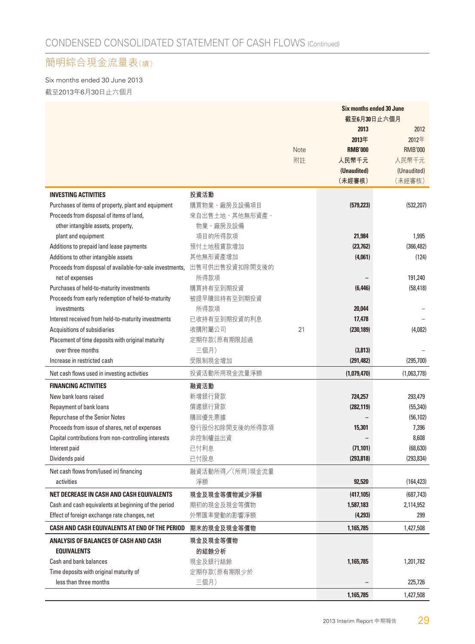#### 簡明綜合現金流量表(續)

Six months ended 30 June 2013 截至2013年6月30日止六個月

|                                                           |                 |      | Six months ended 30 June |                |
|-----------------------------------------------------------|-----------------|------|--------------------------|----------------|
|                                                           |                 |      | 截至6月30日止六個月              |                |
|                                                           |                 |      | 2013                     | 2012           |
|                                                           |                 |      | 2013年                    | 2012年          |
|                                                           |                 | Note | <b>RMB'000</b>           | <b>RMB'000</b> |
|                                                           |                 | 附註   | 人民幣千元                    | 人民幣千元          |
|                                                           |                 |      | (Unaudited)              | (Unaudited)    |
|                                                           |                 |      | (未經審核)                   | (未經審核)         |
| <b>INVESTING ACTIVITIES</b>                               | 投資活動            |      |                          |                |
| Purchases of items of property, plant and equipment       | 購買物業、廠房及設備項目    |      | (579, 223)               | (532, 207)     |
| Proceeds from disposal of items of land,                  | 來自出售土地、其他無形資產、  |      |                          |                |
| other intangible assets, property,                        | 物業、廠房及設備        |      |                          |                |
| plant and equipment                                       | 項目的所得款項         |      | 21,984                   | 1,995          |
| Additions to prepaid land lease payments                  | 預付土地租賃款增加       |      | (23, 762)                | (366, 482)     |
| Additions to other intangible assets                      | 其他無形資產增加        |      | (4,061)                  | (124)          |
| Proceeds from disposal of available-for-sale investments, | 出售可供出售投資扣除開支後的  |      |                          |                |
| net of expenses                                           | 所得款項            |      |                          | 191,240        |
| Purchases of held-to-maturity investments                 | 購買持有至到期投資       |      | (6, 446)                 | (58, 418)      |
| Proceeds from early redemption of held-to-maturity        | 被提早贖回持有至到期投資    |      |                          |                |
| investments                                               | 所得款項            |      | 20,044                   |                |
| Interest received from held-to-maturity investments       | 已收持有至到期投資的利息    |      | 17,478                   |                |
| Acquisitions of subsidiaries                              | 收購附屬公司          | 21   | (230, 189)               | (4,082)        |
| Placement of time deposits with original maturity         | 定期存款(原有期限超過     |      |                          |                |
| over three months                                         | 三個月)            |      | (3,813)                  |                |
| Increase in restricted cash                               | 受限制現金增加         |      | (291, 482)               | (295,700)      |
| Net cash flows used in investing activities               | 投資活動所用現金流量淨額    |      | (1,079,470)              | (1,063,778)    |
| <b>FINANCING ACTIVITIES</b>                               | 融資活動            |      |                          |                |
| New bank loans raised                                     | 新增銀行貸款          |      | 724,257                  | 293,479        |
| Repayment of bank loans                                   | 償還銀行貸款          |      | (282, 119)               | (55, 340)      |
| Repurchase of the Senior Notes                            | 購回優先票據          |      |                          | (56, 102)      |
| Proceeds from issue of shares, net of expenses            | 發行股份扣除開支後的所得款項  |      | 15,301                   | 7,396          |
| Capital contributions from non-controlling interests      | 非控制權益出資         |      |                          | 8,608          |
| Interest paid                                             | 已付利息            |      | (71, 101)                | (68, 630)      |
| Dividends paid                                            | 已付股息            |      | (293, 818)               | (293, 834)     |
| Net cash flows from/(used in) financing                   | 融資活動所得/(所用)現金流量 |      |                          |                |
| activities                                                | 淨額              |      | 92,520                   | (164, 423)     |
| NET DECREASE IN CASH AND CASH EQUIVALENTS                 | 現金及現金等價物減少淨額    |      | (417, 105)               | (687, 743)     |
| Cash and cash equivalents at beginning of the period      | 期初的現金及現金等價物     |      | 1,587,183                | 2,114,952      |
| Effect of foreign exchange rate changes, net              | 外幣匯率變動的影響淨額     |      | (4,293)                  | 299            |
| CASH AND CASH EQUIVALENTS AT END OF THE PERIOD            |                 |      |                          |                |
|                                                           | 期末的現金及現金等價物     |      | 1,165,785                | 1,427,508      |
| ANALYSIS OF BALANCES OF CASH AND CASH                     | 現金及現金等價物        |      |                          |                |
| <b>EQUIVALENTS</b>                                        | 的結餘分析           |      |                          |                |
| Cash and bank balances                                    | 現金及銀行結餘         |      | 1,165,785                | 1,201,782      |
| Time deposits with original maturity of                   | 定期存款(原有期限少於     |      |                          |                |
| less than three months                                    | 三個月)            |      |                          | 225,726        |
|                                                           |                 |      | 1,165,785                | 1,427,508      |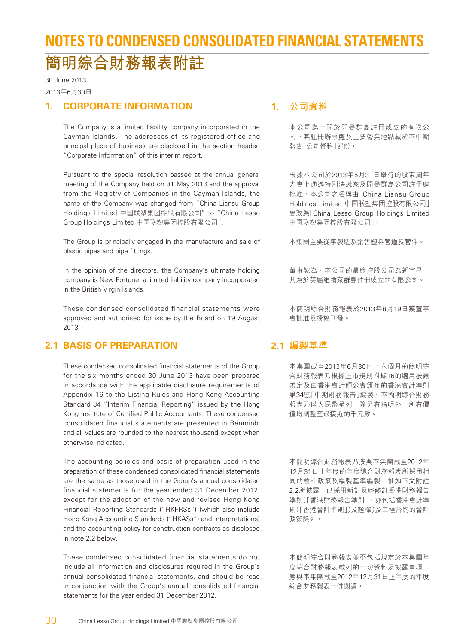## **NOTES TO CONDENSED CONSOLIDATED FINANCIAL STATEMENTS 簡明綜合財務報表附註**

30 June 2013 2013年6月30日

#### **1. CORPORATE INFORMATION**

The Company is a limited liability company incorporated in the Cayman Islands. The addresses of its registered office and principal place of business are disclosed in the section headed "Corporate Information" of this interim report.

Pursuant to the special resolution passed at the annual general meeting of the Company held on 31 May 2013 and the approval from the Registry of Companies in the Cayman Islands, the name of the Company was changed from "China Liansu Group Holdings Limited 中國聯塑集團控股有限公司" to "China Lesso Group Holdings Limited 中國聯塑集團控股有限公司".

The Group is principally engaged in the manufacture and sale of plastic pipes and pipe fittings.

In the opinion of the directors, the Company's ultimate holding company is New Fortune, a limited liability company incorporated in the British Virgin Islands.

These condensed consolidated financial statements were approved and authorised for issue by the Board on 19 August 2013.

#### **2.1 BASIS OF PREPARATION**

These condensed consolidated financial statements of the Group for the six months ended 30 June 2013 have been prepared in accordance with the applicable disclosure requirements of Appendix 16 to the Listing Rules and Hong Kong Accounting Standard 34 "Interim Financial Reporting" issued by the Hong Kong Institute of Certified Public Accountants. These condensed consolidated financial statements are presented in Renminbi and all values are rounded to the nearest thousand except when otherwise indicated.

The accounting policies and basis of preparation used in the preparation of these condensed consolidated financial statements are the same as those used in the Group's annual consolidated financial statements for the year ended 31 December 2012, except for the adoption of the new and revised Hong Kong Financial Reporting Standards ("HKFRSs") (which also include Hong Kong Accounting Standards ("HKASs") and Interpretations) and the accounting policy for construction contracts as disclosed in note 2.2 below.

These condensed consolidated financial statements do not include all information and disclosures required in the Group's annual consolidated financial statements, and should be read in conjunction with the Group's annual consolidated financial statements for the year ended 31 December 2012.

#### **1. 公司資料**

本公司為一間於開曼群島註冊成立的有限公 司。其註冊辦事處及主要營業地點載於本中期 報告「公司資料」部份。

根據本公司於2013年5月31日舉行的股東周年 大會上通過特別決議案及開曼群島公司註冊處 批准,本公司之名稱由「China Liansu Group Holdings Limited 中國聯塑集團控股有限公司」 更改為「China Lesso Group Holdings Limited 中國聯塑集團控股有限公司」。

本集團主要從事製造及銷售塑料管道及管件。

董事認為,本公司的最終控股公司為新富星, 其為於英屬維爾京群島註冊成立的有限公司。

本簡明綜合財務報表於2013年8月19日獲董事 會批准及授權刊發。

#### **2.1 編製基準**

本集團截至2013年6月30日止六個月的簡明綜 合財務報表乃根據上市規則附錄16的適用披露 規定及由香港會計師公會頒布的香港會計準則 第34號「中期財務報告」編製。本簡明綜合財務 報表乃以人民幣呈列,除另有指明外,所有價 值均調整至最接近的千元數。

本簡明綜合財務報表乃按與本集團截至2012年 12月31日止年度的年度綜合財務報表所採用相 同的會計政策及編製基準編製,惟如下文附註 2.2所披露,已採用新訂及經修訂香港財務報告 準則(「香港財務報告準則」,亦包括香港會計準 則(「香港會計準則」)及詮釋)及工程合約的會計 政策除外。

本簡明綜合財務報表並不包括規定於本集團年 度綜合財務報表載列的一切資料及披露事項, 應與本集團截至2012年12月31日止年度的年度 綜合財務報表一併閱讀。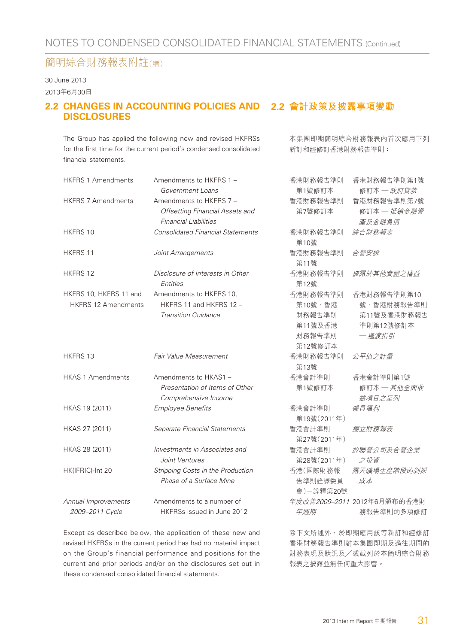#### 30 June 2013

2013年6月30日

#### 2.2 CHANGES IN ACCOUNTING POLICIES AND 2.2 會計政策及披露事項變動 **DISCLOSURES**

The Group has applied the following new and revised HKFRSs for the first time for the current period's condensed consolidated financial statements.

本集團即期簡明綜合財務報表內首次應用下列 新訂和經修訂香港財務報告準則:

| <b>HKFRS 1 Amendments</b>  | Amendments to HKFRS 1 -                                     | 香港財務報告準則             | 香港財務報告準則第1號                 |
|----------------------------|-------------------------------------------------------------|----------------------|-----------------------------|
|                            | Government Loans                                            | 第1號修訂本               | 修訂本 一政府貸款                   |
| <b>HKFRS 7 Amendments</b>  | Amendments to HKFRS 7 -                                     | 香港財務報告準則             | 香港財務報告準則第7號                 |
|                            | Offsetting Financial Assets and                             | 第7號修訂本               | 修訂本 一 抵銷金融資                 |
|                            | <b>Financial Liabilities</b>                                |                      | 產及金融負債                      |
| HKFRS 10                   | <b>Consolidated Financial Statements</b>                    | 香港財務報告準則<br>第10號     | 綜合財務報表                      |
| HKFRS 11                   | Joint Arrangements                                          | 香港財務報告準則<br>第11號     | 合營安排                        |
| HKFRS 12                   | Disclosure of Interests in Other<br>Entities                | 香港財務報告準則<br>第12號     | 披露於其他實體之權益                  |
| HKFRS 10, HKFRS 11 and     | Amendments to HKFRS 10,                                     | 香港財務報告準則             | 香港財務報告準則第10                 |
| <b>HKFRS 12 Amendments</b> | HKFRS 11 and HKFRS 12 -                                     | 第10號、香港              | 號、香港財務報告準則                  |
|                            | <b>Transition Guidance</b>                                  | 財務報告準則               | 第11號及香港財務報告                 |
|                            |                                                             | 第11號及香港              | 準則第12號修訂本                   |
|                            |                                                             | 財務報告準則               | 一過渡指引                       |
|                            |                                                             | 第12號修訂本              |                             |
| <b>HKFRS 13</b>            | Fair Value Measurement                                      | 香港財務報告準則<br>第13號     | 公平值之計量                      |
| <b>HKAS 1 Amendments</b>   | Amendments to HKAS1 -                                       | 香港會計準則               | 香港會計準則第1號                   |
|                            | Presentation of Items of Other<br>Comprehensive Income      | 第1號修訂本               | 修訂本 一 其他全面收<br>益項目之呈列       |
| HKAS 19 (2011)             | <b>Employee Benefits</b>                                    | 香港會計準則               | 僱員福利                        |
|                            |                                                             | 第19號(2011年)          |                             |
| HKAS 27 (2011)             | Separate Financial Statements                               | 香港會計準則               | 獨立財務報表                      |
|                            |                                                             | 第27號(2011年)          |                             |
| HKAS 28 (2011)             | Investments in Associates and                               | 香港會計準則               | 於聯營公司及合營企業                  |
|                            | Joint Ventures                                              | 第28號(2011年)          | 之投資                         |
| HK(IFRIC)-Int 20           | Stripping Costs in the Production                           | 香港(國際財務報             | 露天礦場生產階段的剝採                 |
|                            | Phase of a Surface Mine                                     | 告準則詮譯委員<br>會)一詮釋第20號 | 成本                          |
| Annual Improvements        | Amendments to a number of                                   |                      | 年度改善2009-2011 2012年6月頒布的香港財 |
| 2009-2011 Cycle            | HKFRSs issued in June 2012                                  | 年週期                  | 務報告準則的多項修訂                  |
|                            | Except as described below, the application of these new and |                      | 除下文所述外,於即期應用該等新訂和經修訂        |

revised HKFRSs in the current period has had no material impact on the Group's financial performance and positions for the current and prior periods and/or on the disclosures set out in these condensed consolidated financial statements.

除下文所述外,於即期應用該等新訂和經修訂 香港財務報告準則對本集團即期及過往期間的 財務表現及狀況及╱或載列於本簡明綜合財務 報表之披露並無任何重大影響。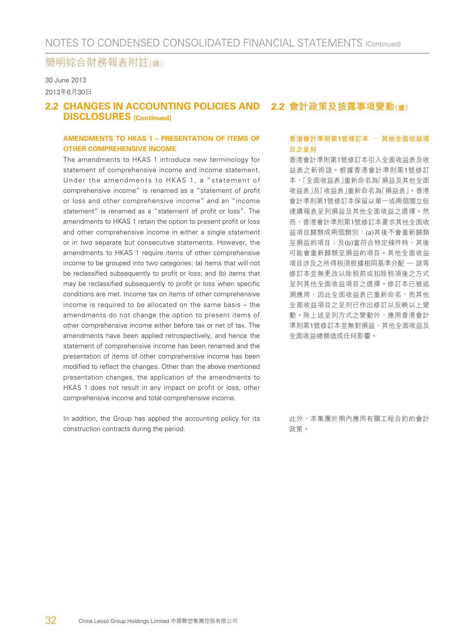#### 30 June 2013 2013年6月30日

#### 2.2 CHANGES IN ACCOUNTING POLICIES AND 2.2 會計政策及披露事項變動<sub>(續)</sub> **DISCLOSURES (Continued)**

#### **AMENDMENTS TO HKAS 1 – PRESENTATION OF ITEMS OF OTHER COMPREHENSIVE INCOME**

The amendments to HKAS 1 introduce new terminology for statement of comprehensive income and income statement. Under the amendments to HKAS 1, a "statement of comprehensive income" is renamed as a "statement of profit or loss and other comprehensive income" and an "income statement" is renamed as a "statement of profit or loss". The amendments to HKAS 1 retain the option to present profit or loss and other comprehensive income in either a single statement or in two separate but consecutive statements. However, the amendments to HKAS 1 require items of other comprehensive income to be grouped into two categories: (a) items that will not be reclassified subsequently to profit or loss; and (b) items that may be reclassified subsequently to profit or loss when specific conditions are met. Income tax on items of other comprehensive income is required to be allocated on the same basis – the amendments do not change the option to present items of other comprehensive income either before tax or net of tax. The amendments have been applied retrospectively, and hence the statement of comprehensive income has been renamed and the presentation of items of other comprehensive income has been modified to reflect the changes. Other than the above mentioned presentation changes, the application of the amendments to HKAS 1 does not result in any impact on profit or loss, other comprehensive income and total comprehensive income.

In addition, the Group has applied the accounting policy for its construction contracts during the period.

#### **香港會計準則第1號修訂本 — 其他全面收益項 目之呈列**

香港會計準則第1號修訂本引入全面收益表及收 益表之新術語。根據香港會計準則第1號修訂 本,「全面收益表」重新命名為「損益及其他全面 收益表」及「收益表」重新命名為「損益表」。香港 會計準則第1號修訂本保留以單一或兩個獨立但 連續報表呈列損益及其他全面收益之選擇。然 而,香港會計準則第1號修訂本要求其他全面收 益項目歸類成兩個類別:(a)其後不會重新歸類 至損益的項目;及(b)當符合特定條件時,其後 可能會重新歸類至損益的項目。其他全面收益 項目涉及之所得稅須根據相同基準分配 — 該等 修訂本並無更改以除稅前或扣除稅項後之方式 呈列其他全面收益項目之選擇。修訂本已被追 溯應用,因此全面收益表已重新命名,而其他 全面收益項目之呈列已作出修訂以反映以上變 動。除上述呈列方式之變動外,應用香港會計 準則第1號修訂本並無對損益、其他全面收益及 全面收益總額造成任何影響。

此外,本集團於期內應用有關工程合約的會計 政策。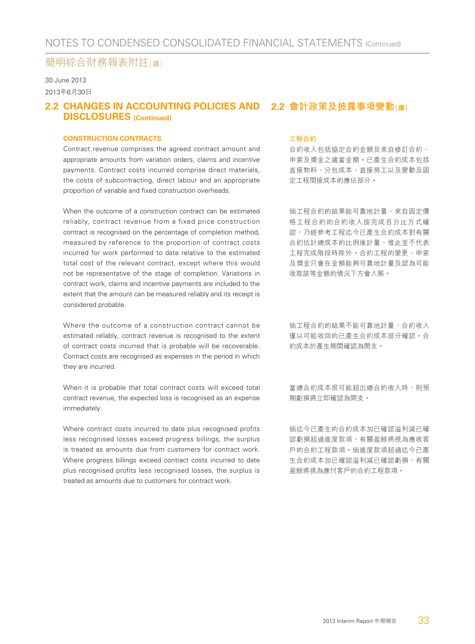30 June 2013 2013年6月30日

#### 2.2 CHANGES IN ACCOUNTING POLICIES AND 2.2 會計政策及披露事項變動<sub>(續)</sub> **DISCLOSURES (Continued)**

#### **CONSTRUCTION CONTRACTS**

Contract revenue comprises the agreed contract amount and appropriate amounts from variation orders, claims and incentive payments. Contract costs incurred comprise direct materials, the costs of subcontracting, direct labour and an appropriate proportion of variable and fixed construction overheads.

When the outcome of a construction contract can be estimated reliably, contract revenue from a fixed price construction contract is recognised on the percentage of completion method, measured by reference to the proportion of contract costs incurred for work performed to date relative to the estimated total cost of the relevant contract, except where this would not be representative of the stage of completion. Variations in contract work, claims and incentive payments are included to the extent that the amount can be measured reliably and its receipt is considered probable.

Where the outcome of a construction contract cannot be estimated reliably, contract revenue is recognised to the extent of contract costs incurred that is probable will be recoverable. Contract costs are recognised as expenses in the period in which they are incurred.

When it is probable that total contract costs will exceed total contract revenue, the expected loss is recognised as an expense immediately.

Where contract costs incurred to date plus recognised profits less recognised losses exceed progress billings, the surplus is treated as amounts due from customers for contract work. Where progress billings exceed contract costs incurred to date plus recognised profits less recognised losses, the surplus is treated as amounts due to customers for contract work.

#### **工程合約**

合約收入包括協定合約金額及來自修訂合約、 申索及獎金之適當金額。已產生合約成本包括 直接物料、分包成本、直接勞工以及變動及固 定工程間接成本的應佔部分。

倘工程合約的結果能可靠地計量,來自固定價 格工程合約的合約收入按完成百分比方式確 認,乃經參考工程迄今已產生合約成本對有關 合約估計總成本的比例後計量,惟此並不代表 工程完成階段時除外。合約工程的變更、申索 及獎金只會在金額能夠可靠地計量及認為可能 收取該等金額的情況下方會入賬。

倘工程合約的結果不能可靠地計量,合約收入 僅以可能收回的已產生合約成本部分確認。合 約成本於產生期間確認為開支。

當總合約成本很可能超出總合約收入時,則預 期虧損將立即確認為開支。

倘迄今已產生的合約成本加已確認溢利減已確 認虧損超過進度款項,有關盈餘將視為應收客 戶的合約工程款項。倘進度款項超過迄今已產 生合約成本加已確認溢利減已確認虧損,有關 盈餘將視為應付客戶的合約工程款項。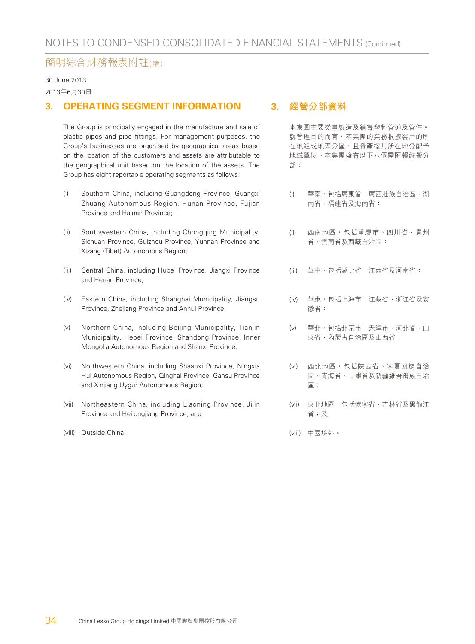30 June 2013

2013年6月30日

#### **3. OPERATING SEGMENT INFORMATION**

The Group is principally engaged in the manufacture and sale of plastic pipes and pipe fittings. For management purposes, the Group's businesses are organised by geographical areas based on the location of the customers and assets are attributable to the geographical unit based on the location of the assets. The Group has eight reportable operating segments as follows:

- (i) Southern China, including Guangdong Province, Guangxi Zhuang Autonomous Region, Hunan Province, Fujian Province and Hainan Province;
- (ii) Southwestern China, including Chongqing Municipality, Sichuan Province, Guizhou Province, Yunnan Province and Xizang (Tibet) Autonomous Region;
- (iii) Central China, including Hubei Province, Jiangxi Province and Henan Province;
- (iv) Eastern China, including Shanghai Municipality, Jiangsu Province, Zhejiang Province and Anhui Province;
- (v) Northern China, including Beijing Municipality, Tianjin Municipality, Hebei Province, Shandong Province, Inner Mongolia Autonomous Region and Shanxi Province;
- (vi) Northwestern China, including Shaanxi Province, Ningxia Hui Autonomous Region, Qinghai Province, Gansu Province and Xinjiang Uygur Autonomous Region;
- (vii) Northeastern China, including Liaoning Province, Jilin Province and Heilongjiang Province; and
- (viii) Outside China.

#### **3. 經營分部資料**

本集團主要從事製造及銷售塑料管道及管件。 就管理目的而言,本集團的業務根據客戶的所 在地組成地理分區,且資產按其所在地分配予 地域單位。本集團擁有以下八個需匯報經營分 部:

- (i) 華南,包括廣東省、廣西壯族自治區、湖 南省、福建省及海南省;
- (ii) 西南地區,包括重慶市、四川省、貴州 省、雲南省及西藏自治區;
- (iii) 華中,包括湖北省、江西省及河南省;
- (iv) 華東,包括上海市、江蘇省、浙江省及安 徽省;
- (v) 華北,包括北京市、天津市、河北省、山 東省、內蒙古自治區及山西省;
- (vi) 西北地區,包括陝西省、寧夏回族自治 區、青海省、甘肅省及新疆維吾爾族自治 區;
- (vii) 東北地區, 句括潦寧省、吉林省及黑龍江 省;及
- (viii) 中國境外。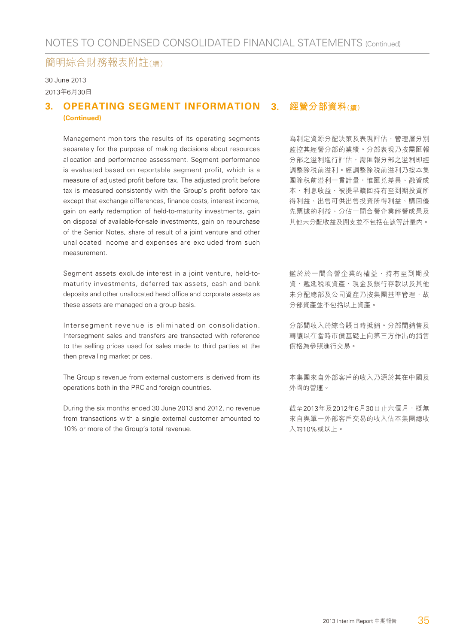30 June 2013 2013年6月30日

#### 3. OPERATING SEGMENT INFORMATION 3. 經營分部資料(續) **(Continued)**

Management monitors the results of its operating segments separately for the purpose of making decisions about resources allocation and performance assessment. Segment performance is evaluated based on reportable segment profit, which is a measure of adjusted profit before tax. The adjusted profit before tax is measured consistently with the Group's profit before tax except that exchange differences, finance costs, interest income, gain on early redemption of held-to-maturity investments, gain on disposal of available-for-sale investments, gain on repurchase of the Senior Notes, share of result of a joint venture and other unallocated income and expenses are excluded from such measurement.

Segment assets exclude interest in a joint venture, held-tomaturity investments, deferred tax assets, cash and bank deposits and other unallocated head office and corporate assets as these assets are managed on a group basis.

Intersegment revenue is eliminated on consolidation. Intersegment sales and transfers are transacted with reference to the selling prices used for sales made to third parties at the then prevailing market prices.

The Group's revenue from external customers is derived from its operations both in the PRC and foreign countries.

During the six months ended 30 June 2013 and 2012, no revenue from transactions with a single external customer amounted to 10% or more of the Group's total revenue.

為制定資源分配決策及表現評估,管理層分別 監控其經營分部的業績。分部表現乃按需匯報 分部之溢利進行評估,需匯報分部之溢利即經 調整除稅前溢利。經調整除稅前溢利乃按本集 團除稅前溢利一貫計量,惟匯兌差異、融資成 本、利息收益、被提早贖回持有至到期投資所 得利益、出售可供出售投資所得利益、購回優 先票據的利益、分佔一間合營企業經營成果及 其他未分配收益及開支並不包括在該等計量內。

鑑於於一間合營企業的權益、持有至到期投 資、遞延稅項資產、現金及銀行存款以及其他 未分配總部及公司資產乃按集團基準管理,故 分部資產並不包括以上資產。

分部間收入於綜合賬目時抵銷。分部間銷售及 轉讓以在當時市價基礎上向第三方作出的銷售 價格為參照進行交易。

本集團來自外部客戶的收入乃源於其在中國及 外國的營運。

截至2013年及2012年6月30日止六個月,概無 來自與單一外部客戶交易的收入佔本集團總收 入的10%或以上。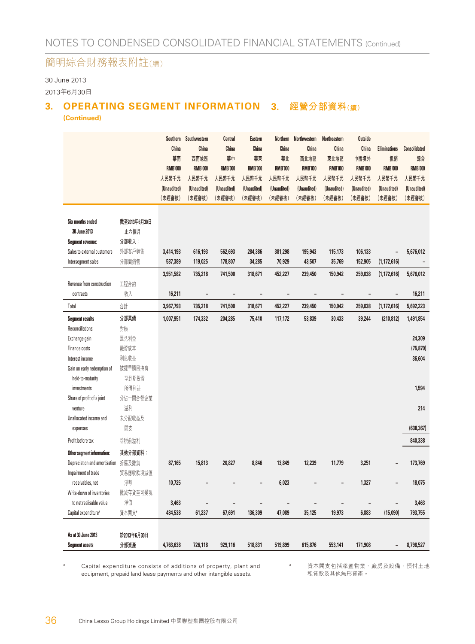30 June 2013

2013年6月30日

#### **3. OPERATING SEGMENT INFORMATION 3. 經營分部資料(續) (Continued)**

|                                                      |                               | Southern<br>China<br>華南<br><b>RMB'000</b><br>人民幣千元<br>(Unaudited)<br>(未經審核) | Southwestern<br>China<br>西南地區<br><b>RMB'000</b><br>人民幣千元<br>(Unaudited)<br>(未經審核) | <b>Central</b><br><b>China</b><br>華中<br><b>RMB'000</b><br>人民幣千元<br>(Unaudited)<br>(未經審核) | <b>Eastern</b><br>China<br>華東<br><b>RMB'000</b><br>人民幣千元<br>(Unaudited)<br>(未經審核) | <b>Northern</b><br>China<br>華北<br><b>RMB'000</b><br>人民幣千元<br>(Unaudited)<br>(未經審核) | <b>Northwestern</b><br>China<br>西北地區<br><b>RMB'000</b><br>人民幣千元<br>(Unaudited)<br>(未經審核) | <b>Northeastern</b><br><b>China</b><br>東北地區<br><b>RMB'000</b><br>人民幣千元<br>(Unaudited)<br>(未經審核) | <b>Outside</b><br>China<br>中國境外<br><b>RMB'000</b><br>人民幣千元<br>(Unaudited)<br>(未經審核) | <b>Eliminations</b><br>抵銷<br><b>RMB'000</b><br>人民幣千元<br>(Unaudited)<br>(未經審核) | <b>Consolidated</b><br>綜合<br><b>RMB'000</b><br>人民幣千元<br>(Unaudited)<br>(未經審核) |
|------------------------------------------------------|-------------------------------|-----------------------------------------------------------------------------|-----------------------------------------------------------------------------------|------------------------------------------------------------------------------------------|-----------------------------------------------------------------------------------|------------------------------------------------------------------------------------|------------------------------------------------------------------------------------------|-------------------------------------------------------------------------------------------------|-------------------------------------------------------------------------------------|-------------------------------------------------------------------------------|-------------------------------------------------------------------------------|
| Six months ended<br>30 June 2013<br>Segment revenue: | 截至2013年6月30日<br>止六個月<br>分部收入: |                                                                             |                                                                                   |                                                                                          |                                                                                   |                                                                                    |                                                                                          |                                                                                                 |                                                                                     |                                                                               |                                                                               |
| Sales to external customers                          | 外部客戶銷售                        | 3,414,193                                                                   | 616,193                                                                           | 562,693                                                                                  | 284,386                                                                           | 381,298                                                                            | 195,943                                                                                  | 115,173                                                                                         | 106,133                                                                             | -                                                                             | 5,676,012                                                                     |
| Intersegment sales                                   | 分部間銷售                         | 537,389                                                                     | 119,025                                                                           | 178,807                                                                                  | 34,285                                                                            | 70,929                                                                             | 43,507                                                                                   | 35,769                                                                                          | 152,905                                                                             | (1, 172, 616)                                                                 |                                                                               |
|                                                      |                               | 3,951,582                                                                   | 735,218                                                                           | 741,500                                                                                  | 318,671                                                                           | 452,227                                                                            | 239,450                                                                                  | 150,942                                                                                         | 259,038                                                                             | (1, 172, 616)                                                                 | 5,676,012                                                                     |
| Revenue from construction                            | 工程合約                          |                                                                             |                                                                                   |                                                                                          |                                                                                   |                                                                                    |                                                                                          |                                                                                                 |                                                                                     |                                                                               |                                                                               |
| contracts                                            | 收入                            | 16,211                                                                      | $\overline{\phantom{a}}$                                                          | $\qquad \qquad \blacksquare$                                                             | $\qquad \qquad -$                                                                 | $\overline{\phantom{m}}$                                                           | $\overline{\phantom{m}}$                                                                 | $\overline{\phantom{0}}$                                                                        |                                                                                     | $\overline{\phantom{m}}$                                                      | 16,211                                                                        |
| Total                                                | 餅                             | 3,967,793                                                                   | 735,218                                                                           | 741,500                                                                                  | 318,671                                                                           | 452,227                                                                            | 239,450                                                                                  | 150,942                                                                                         | 259,038                                                                             | (1, 172, 616)                                                                 | 5,692,223                                                                     |
| <b>Segment results</b>                               | 分部業績                          | 1,007,951                                                                   | 174,332                                                                           | 204,285                                                                                  | 75,410                                                                            | 117,172                                                                            | 53,839                                                                                   | 30,433                                                                                          | 39,244                                                                              | (210, 812)                                                                    | 1,491,854                                                                     |
| Reconciliations:                                     | 對賬:                           |                                                                             |                                                                                   |                                                                                          |                                                                                   |                                                                                    |                                                                                          |                                                                                                 |                                                                                     |                                                                               |                                                                               |
| Exchange gain                                        | 匯兑利益                          |                                                                             |                                                                                   |                                                                                          |                                                                                   |                                                                                    |                                                                                          |                                                                                                 |                                                                                     |                                                                               | 24,309                                                                        |
| Finance costs                                        | 融資成本                          |                                                                             |                                                                                   |                                                                                          |                                                                                   |                                                                                    |                                                                                          |                                                                                                 |                                                                                     |                                                                               | (75, 870)                                                                     |
| Interest income                                      | 利息收益                          |                                                                             |                                                                                   |                                                                                          |                                                                                   |                                                                                    |                                                                                          |                                                                                                 |                                                                                     |                                                                               | 36,604                                                                        |
| Gain on early redemption of                          | 被提早贖回持有                       |                                                                             |                                                                                   |                                                                                          |                                                                                   |                                                                                    |                                                                                          |                                                                                                 |                                                                                     |                                                                               |                                                                               |
| held-to-maturity                                     | 至到期投資                         |                                                                             |                                                                                   |                                                                                          |                                                                                   |                                                                                    |                                                                                          |                                                                                                 |                                                                                     |                                                                               |                                                                               |
| investments                                          | 所得利益                          |                                                                             |                                                                                   |                                                                                          |                                                                                   |                                                                                    |                                                                                          |                                                                                                 |                                                                                     |                                                                               | 1,594                                                                         |
| Share of profit of a joint                           | 分佔一間合營企業                      |                                                                             |                                                                                   |                                                                                          |                                                                                   |                                                                                    |                                                                                          |                                                                                                 |                                                                                     |                                                                               |                                                                               |
| venture                                              | 溢利                            |                                                                             |                                                                                   |                                                                                          |                                                                                   |                                                                                    |                                                                                          |                                                                                                 |                                                                                     |                                                                               | 214                                                                           |
| Unallocated income and                               | 未分配收益及                        |                                                                             |                                                                                   |                                                                                          |                                                                                   |                                                                                    |                                                                                          |                                                                                                 |                                                                                     |                                                                               |                                                                               |
| expenses                                             | 開支                            |                                                                             |                                                                                   |                                                                                          |                                                                                   |                                                                                    |                                                                                          |                                                                                                 |                                                                                     |                                                                               | (638, 367)                                                                    |
| Profit before tax                                    | 除税前溢利                         |                                                                             |                                                                                   |                                                                                          |                                                                                   |                                                                                    |                                                                                          |                                                                                                 |                                                                                     |                                                                               | 840,338                                                                       |
| Other segment information:                           | 其他分部資料:                       |                                                                             |                                                                                   |                                                                                          |                                                                                   |                                                                                    |                                                                                          |                                                                                                 |                                                                                     |                                                                               |                                                                               |
| Depreciation and amortisation 折舊及攤銷                  |                               | 87,165                                                                      | 15,813                                                                            | 20,827                                                                                   | 8,846                                                                             | 13,849                                                                             | 12,239                                                                                   | 11,779                                                                                          | 3,251                                                                               |                                                                               | 173,769                                                                       |
| Impairment of trade                                  | 貿易應收款項減值                      |                                                                             |                                                                                   |                                                                                          |                                                                                   |                                                                                    |                                                                                          |                                                                                                 |                                                                                     |                                                                               |                                                                               |
| receivables, net                                     | 淨額                            | 10,725                                                                      |                                                                                   |                                                                                          |                                                                                   | 6,023                                                                              |                                                                                          |                                                                                                 | 1,327                                                                               |                                                                               | 18,075                                                                        |
| Write-down of inventories                            | 撇減存貨至可變現                      |                                                                             |                                                                                   |                                                                                          |                                                                                   |                                                                                    |                                                                                          |                                                                                                 |                                                                                     |                                                                               |                                                                               |
| to net realisable value                              | 淨值                            | 3,463                                                                       |                                                                                   |                                                                                          |                                                                                   |                                                                                    |                                                                                          | -                                                                                               |                                                                                     |                                                                               | 3,463                                                                         |
| Capital expenditure <sup>#</sup>                     | 資本開支#                         | 434,538                                                                     | 61,237                                                                            | 67,691                                                                                   | 136,309                                                                           | 47,089                                                                             | 35,125                                                                                   | 19,973                                                                                          | 6,883                                                                               | (15,090)                                                                      | 793,755                                                                       |
|                                                      |                               |                                                                             |                                                                                   |                                                                                          |                                                                                   |                                                                                    |                                                                                          |                                                                                                 |                                                                                     |                                                                               |                                                                               |
| As at 30 June 2013                                   | 於2013年6月30日                   |                                                                             |                                                                                   |                                                                                          |                                                                                   |                                                                                    |                                                                                          |                                                                                                 |                                                                                     |                                                                               |                                                                               |
| <b>Segment assets</b>                                | 分部資產                          | 4,763,638                                                                   | 726,118                                                                           | 929,116                                                                                  | 518,831                                                                           | 519,899                                                                            | 615,876                                                                                  | 553,141                                                                                         | 171,908                                                                             | -                                                                             | 8,798,527                                                                     |

Capital expenditure consists of additions of property, plant and equipment, prepaid land lease payments and other intangible assets.

# 資本開支包括添置物業、廠房及設備、預付土地 租賃款及其他無形資產。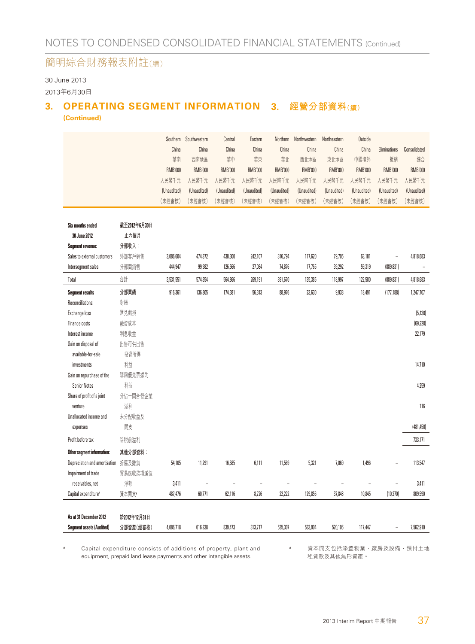30 June 2013

2013年6月30日

## **3. OPERATING SEGMENT INFORMATION 3. 經營分部資料(續)**

**(Continued)**

|                                  |              |                | Southern Southwestern | Central        | Eastern        | Northern       | Northwestern   | Northeastern   | Outside        |                |                   |
|----------------------------------|--------------|----------------|-----------------------|----------------|----------------|----------------|----------------|----------------|----------------|----------------|-------------------|
|                                  |              | China          | China                 | China          | China          | China          | China          | China          | China          | Eliminations   | Consolidated      |
|                                  |              | 華南             | 西南地區                  | 華中             | 華東             | 華北             | 西北地區           | 東北地區           | 中國境外           | 抵銷             | 綜合                |
|                                  |              | <b>RMB'000</b> | <b>RMB'000</b>        | <b>RMB'000</b> | <b>RMB'000</b> | <b>RMB'000</b> | <b>RMB'000</b> | <b>RMB'000</b> | <b>RMB'000</b> | <b>RMB'000</b> | <b>RMB'000</b>    |
|                                  |              | 人民幣千元          | 人民幣千元                 | 人民幣千元          | 人民幣千元          | 人民幣千元          | 人民幣千元          | 人民幣千元          | 人民幣千元          | 人民幣千元          | 人民幣千元             |
|                                  |              | (Unaudited)    | (Unaudited)           | (Unaudited)    | (Unaudited)    | (Unaudited)    | (Unaudited)    | (Unaudited)    | (Unaudited)    | (Unaudited)    | (Unaudited)       |
|                                  |              | (未經審核)         | (未經審核)                | (未經審核)         | (未經審核)         | (未經審核)         | (未經審核)         | (未經審核)         | (未經審核)         | (未經審核)         | (未經審核)            |
| <b>Six months ended</b>          | 截至2012年6月30日 |                |                       |                |                |                |                |                |                |                |                   |
| 30 June 2012                     | 止六個月         |                |                       |                |                |                |                |                |                |                |                   |
| <b>Segment revenue:</b>          | 分部收入:        |                |                       |                |                |                |                |                |                |                |                   |
| Sales to external customers      | 外部客戶銷售       | 3,086,604      | 474,372               | 438,300        | 242,107        | 316,794        | 117,620        | 79,705         | 63,181         | L,             | 4,818,683         |
| Intersegment sales               | 分部間銷售        | 444,947        | 99,982                | 126,566        | 27,084         | 74,876         | 17,765         | 39,292         | 59,319         | (889, 831)     | $\qquad \qquad -$ |
| Total                            | 合計           | 3,531,551      | 574,354               | 564,866        | 269,191        | 391,670        | 135,385        | 118,997        | 122,500        | (889, 831)     | 4,818,683         |
| <b>Segment results</b>           | 分部業績         | 916,361        | 136,805               | 174,381        | 56,313         | 88,976         | 23,630         | 9,938          | 18,491         | (177, 188)     | 1,247,707         |
| Reconciliations:                 | 對賬:          |                |                       |                |                |                |                |                |                |                |                   |
| Exchange loss                    | 匯兑虧損         |                |                       |                |                |                |                |                |                |                | (5, 130)          |
| Finance costs                    | 融資成本         |                |                       |                |                |                |                |                |                |                | (69, 220)         |
| Interest income                  | 利息收益         |                |                       |                |                |                |                |                |                |                | 22,179            |
| Gain on disposal of              | 出售可供出售       |                |                       |                |                |                |                |                |                |                |                   |
| available-for-sale               | 投資所得         |                |                       |                |                |                |                |                |                |                |                   |
| investments                      | 利益           |                |                       |                |                |                |                |                |                |                | 14,710            |
| Gain on repurchase of the        | 購回優先票據的      |                |                       |                |                |                |                |                |                |                |                   |
| <b>Senior Notes</b>              | 利益           |                |                       |                |                |                |                |                |                |                | 4.259             |
| Share of profit of a joint       | 分佔一間合營企業     |                |                       |                |                |                |                |                |                |                |                   |
| venture                          | 溢利           |                |                       |                |                |                |                |                |                |                | 116               |
| Unallocated income and           | 未分配收益及       |                |                       |                |                |                |                |                |                |                |                   |
| expenses                         | 開支           |                |                       |                |                |                |                |                |                |                | (481, 450)        |
| Profit before tax                | 除税前溢利        |                |                       |                |                |                |                |                |                |                | 733,171           |
| Other segment information:       | 其他分部資料:      |                |                       |                |                |                |                |                |                |                |                   |
| Depreciation and amortisation    | 折舊及攤銷        | 54,105         | 11,291                | 16,585         | 6,111          | 11,569         | 5,321          | 7,069          | 1,496          |                | 113,547           |
| Impairment of trade              | 貿易應收款項減值     |                |                       |                |                |                |                |                |                |                |                   |
| receivables, net                 | 淨額           | 3,411          |                       |                |                |                |                |                |                |                | 3,411             |
| Capital expenditure <sup>#</sup> | 資本開支#        | 487,476        | 60,771                | 62,116         | 8,726          | 22,222         | 129,856        | 37,848         | 10,845         | (10, 270)      | 809,590           |
|                                  |              |                |                       |                |                |                |                |                |                |                |                   |
| As at 31 December 2012           | 於2012年12月31日 |                |                       |                |                |                |                |                |                |                |                   |
| <b>Segment assets (Audited)</b>  | 分部資產(經審核)    | 4,086,718      | 616,238               | 839,473        | 313,717        | 535,307        | 533,904        | 520,106        | 117,447        | $\overline{a}$ | 7,562,910         |

# Capital expenditure consists of additions of property, plant and equipment, prepaid land lease payments and other intangible assets.

# 資本開支包括添置物業、廠房及設備、預付土地 租賃款及其他無形資產。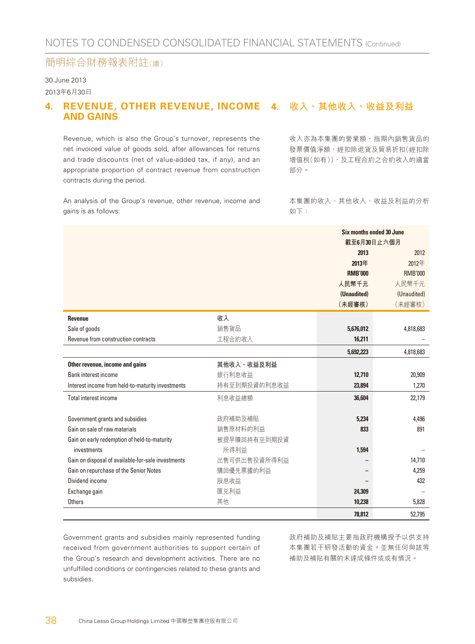### 30 June 2013

2013年6月30日

#### **4. REVENUE, OTHER REVENUE, INCOME 4. 收入、其他收入、收益及利益 AND GAINS**

Revenue, which is also the Group's turnover, represents the net invoiced value of goods sold, after allowances for returns and trade discounts (net of value-added tax, if any), and an appropriate proportion of contract revenue from construction contracts during the period.

收入亦為本集團的營業額,指期內銷售貨品的 發票價值淨額,經扣除退貨及貿易折扣(經扣除 增值稅(如有)),及工程合約之合約收入的適當 部分。

An analysis of the Group's revenue, other revenue, income and gains is as follows:

本集團的收入、其他收入、收益及利益的分析 如下:

|                                                    |              | Six months ended 30 June |                |  |
|----------------------------------------------------|--------------|--------------------------|----------------|--|
|                                                    |              | 截至6月30日止六個月              |                |  |
|                                                    |              | 2013                     | 2012           |  |
|                                                    |              | 2013年                    | 2012年          |  |
|                                                    |              | <b>RMB'000</b>           | <b>RMB'000</b> |  |
|                                                    |              | 人民幣千元                    | 人民幣千元          |  |
|                                                    |              | (Unaudited)              | (Unaudited)    |  |
|                                                    |              | (未經審核)                   | (未經審核)         |  |
| <b>Revenue</b>                                     | 收入           |                          |                |  |
| Sale of goods                                      | 銷售貨品         | 5,676,012                | 4,818,683      |  |
| Revenue from construction contracts                | 工程合約收入       | 16,211                   |                |  |
|                                                    |              | 5,692,223                | 4,818,683      |  |
| Other revenue, income and gains                    | 其他收入、收益及利益   |                          |                |  |
| <b>Bank interest income</b>                        | 銀行利息收益       | 12,710                   | 20,909         |  |
| Interest income from held-to-maturity investments  | 持有至到期投資的利息收益 | 23,894                   | 1,270          |  |
| Total interest income                              | 利息收益總額       | 36,604                   | 22,179         |  |
| Government grants and subsidies                    | 政府補助及補貼      | 5.234                    | 4,496          |  |
| Gain on sale of raw materials                      | 銷售原材料的利益     | 833                      | 891            |  |
| Gain on early redemption of held-to-maturity       | 被提早贖回持有至到期投資 |                          |                |  |
| investments                                        | 所得利益         | 1,594                    |                |  |
| Gain on disposal of available-for-sale investments | 出售可供出售投資所得利益 |                          | 14,710         |  |
| Gain on repurchase of the Senior Notes             | 購回優先票據的利益    |                          | 4,259          |  |
| Dividend income                                    | 股息收益         |                          | 432            |  |
| Exchange gain                                      | 匯兑利益         | 24,309                   |                |  |
| Others                                             | 其他           | 10,238                   | 5,828          |  |
|                                                    |              | 78.812                   | 52.795         |  |

Government grants and subsidies mainly represented funding received from government authorities to support certain of the Group's research and development activities. There are no unfulfilled conditions or contingencies related to these grants and subsidies.

政府補助及補貼主要指政府機構授予以供支持 本集團若干研發活動的資金。並無任何與該等 補助及補貼有關的未達成條件或或有情況。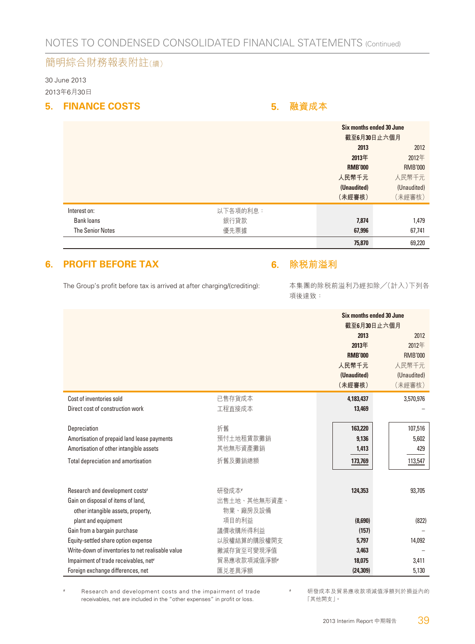30 June 2013 2013年6月30日

#### **5. FINANCE COSTS 5. 融資成本**

|                         |          | Six months ended 30 June<br>截至6月30日止六個月 |                |
|-------------------------|----------|-----------------------------------------|----------------|
|                         |          | 2013                                    | 2012           |
|                         |          | 2013年                                   | 2012年          |
|                         |          | <b>RMB'000</b>                          | <b>RMB'000</b> |
|                         |          | 人民幣千元                                   | 人民幣千元          |
|                         |          | (Unaudited)                             | (Unaudited)    |
|                         |          | (未經審核)                                  | (未經審核)         |
| Interest on:            | 以下各項的利息: |                                         |                |
| Bank loans              | 銀行貸款     | 7,874                                   | 1,479          |
| <b>The Senior Notes</b> | 優先票據     | 67,996                                  | 67,741         |
|                         |          | 75,870                                  | 69,220         |

#### **6. PROFIT BEFORE TAX**

The Group's profit before tax is arrived at after charging/(crediting):

#### **6. 除稅前溢利**

本集團的除稅前溢利乃經扣除╱(計入)下列各 項後達致:

|                                                   |              | Six months ended 30 June<br>截至6月30日止六個月 |                |  |
|---------------------------------------------------|--------------|-----------------------------------------|----------------|--|
|                                                   |              | 2013                                    | 2012           |  |
|                                                   |              | 2013年                                   | 2012年          |  |
|                                                   |              | <b>RMB'000</b>                          | <b>RMB'000</b> |  |
|                                                   |              | 人民幣千元                                   | 人民幣千元          |  |
|                                                   |              | (Unaudited)                             | (Unaudited)    |  |
|                                                   |              | (未經審核)                                  | (未經審核)         |  |
| Cost of inventories sold                          | 已售存貨成本       | 4,183,437                               | 3,570,976      |  |
| Direct cost of construction work                  | 工程直接成本       | 13,469                                  |                |  |
|                                                   |              |                                         |                |  |
| Depreciation                                      | 折舊           | 163,220                                 | 107,516        |  |
| Amortisation of prepaid land lease payments       | 預付土地租賃款攤銷    | 9.136                                   | 5,602          |  |
| Amortisation of other intangible assets           | 其他無形資產攤銷     | 1,413                                   | 429            |  |
| Total depreciation and amortisation               | 折舊及攤銷總額      | 173,769                                 | 113,547        |  |
|                                                   |              |                                         |                |  |
| Research and development costs <sup>#</sup>       | 研發成本#        | 124,353                                 | 93,705         |  |
| Gain on disposal of items of land,                | 出售土地、其他無形資產、 |                                         |                |  |
| other intangible assets, property,                | 物業、廠房及設備     |                                         |                |  |
| plant and equipment                               | 項目的利益        | (8,690)                                 | (822)          |  |
| Gain from a bargain purchase                      | 議價收購所得利益     | (157)                                   |                |  |
| Equity-settled share option expense               | 以股權結算的購股權開支  | 5.797                                   | 14,092         |  |
| Write-down of inventories to net realisable value | 撇減存貨至可變現淨值   | 3.463                                   |                |  |
| Impairment of trade receivables, net <sup>#</sup> | 貿易應收款項減值淨額#  | 18,075                                  | 3,411          |  |
| Foreign exchange differences, net                 | 匯兑差異淨額       | (24, 309)                               | 5,130          |  |

# Research and development costs and the impairment of trade receivables, net are included in the "other expenses" in profit or loss.

# 研發成本及貿易應收款項減值淨額列於損益內的 「其他開支」。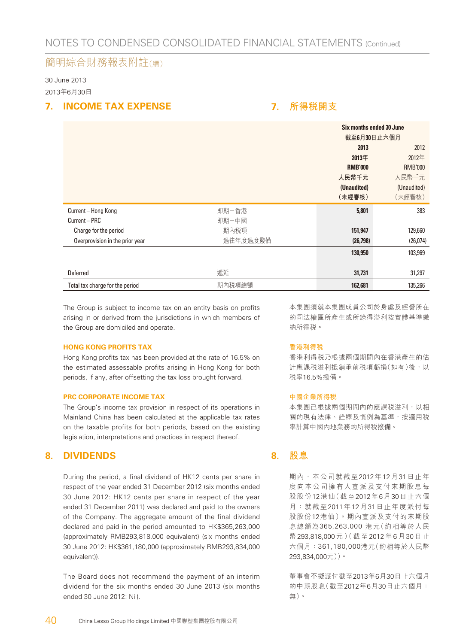30 June 2013 2013年6月30日

#### **7. INCOME TAX EXPENSE**

#### **7. 所得稅開支**

|                                 |          |                | Six months ended 30 June<br>截至6月30日止六個月 |  |  |
|---------------------------------|----------|----------------|-----------------------------------------|--|--|
|                                 |          |                |                                         |  |  |
|                                 |          | 2013           | 2012                                    |  |  |
|                                 |          | 2013年          | 2012年                                   |  |  |
|                                 |          | <b>RMB'000</b> | <b>RMB'000</b>                          |  |  |
|                                 |          | 人民幣千元          | 人民幣千元                                   |  |  |
|                                 |          | (Unaudited)    | (Unaudited)                             |  |  |
|                                 |          | (未經審核)         | (未經審核)                                  |  |  |
| Current-Hong Kong               | 即期一香港    | 5,801          | 383                                     |  |  |
| Current - PRC                   | 即期一中國    |                |                                         |  |  |
| Charge for the period           | 期內税項     | 151,947        | 129,660                                 |  |  |
| Overprovision in the prior year | 過往年度過度撥備 | (26, 798)      | (26,074)                                |  |  |
|                                 |          | 130,950        | 103,969                                 |  |  |
|                                 |          |                |                                         |  |  |
| Deferred                        | 遞延       | 31,731         | 31,297                                  |  |  |
| Total tax charge for the period | 期內税項總額   | 162,681        | 135,266                                 |  |  |

The Group is subject to income tax on an entity basis on profits arising in or derived from the jurisdictions in which members of the Group are domiciled and operate.

#### **HONG KONG PROFITS TAX**

Hong Kong profits tax has been provided at the rate of 16.5% on the estimated assessable profits arising in Hong Kong for both periods, if any, after offsetting the tax loss brought forward.

#### **PRC CORPORATE INCOME TAX**

The Group's income tax provision in respect of its operations in Mainland China has been calculated at the applicable tax rates on the taxable profits for both periods, based on the existing legislation, interpretations and practices in respect thereof.

#### **8. DIVIDENDS**

During the period, a final dividend of HK12 cents per share in respect of the year ended 31 December 2012 (six months ended 30 June 2012: HK12 cents per share in respect of the year ended 31 December 2011) was declared and paid to the owners of the Company. The aggregate amount of the final dividend declared and paid in the period amounted to HK\$365,263,000 (approximately RMB293,818,000 equivalent) (six months ended 30 June 2012: HK\$361,180,000 (approximately RMB293,834,000 equivalent)).

The Board does not recommend the payment of an interim dividend for the six months ended 30 June 2013 (six months ended 30 June 2012: Nil).

本集團須就本集團成員公司於身處及經營所在 的司法權區所產生或所錄得溢利按實體基準繳 納所得稅。

#### **香港利得稅**

香港利得稅乃根據兩個期間內在香港產生的估 計應課税溢利抵銷承前税項虧損(如有)後,以 稅率16.5%撥備。

#### **中國企業所得稅**

本集團已根據兩個期間內的應課税溢利,以相 關的現有法律、詮釋及慣例為基準,按適用稅 率計算中國內地業務的所得稅撥備。

#### **8. 股息**

期內,本公司就截至2012年12月31日止年 度向本公司擁有人宣派及支付末期股息每 股股份12港仙(截至2012年6月30日止六個 月:就截至2011年12月31日止年度派付每 股股份12港仙)。期內宣派及支付的末期股 息總額為365,263,000 港元(約相等於人民 幣 293,818,000 元 )(截至 2012 年 6 月 30 日 止 六個月:361,180,000港元(約相等於人民幣 293,834,000元))。

董事會不擬派付截至2013年6月30日止六個月 的中期股息(截至2012年6月30日止六個月: 無)。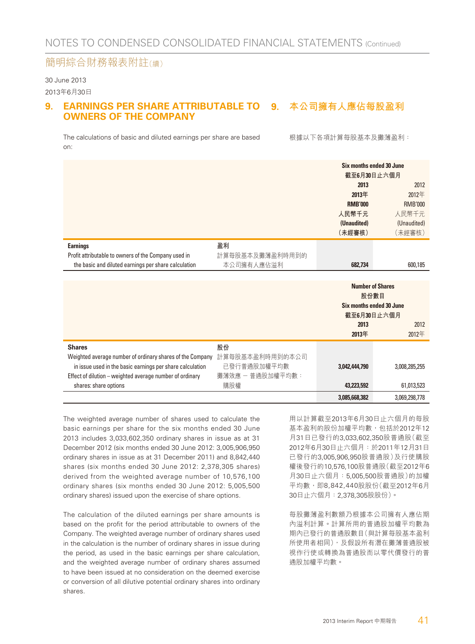30 June 2013

#### 2013年6月30日

#### **9. EARNINGS PER SHARE ATTRIBUTABLE TO 9. 本公司擁有人應佔每股盈利 OWNERS OF THE COMPANY**

The calculations of basic and diluted earnings per share are based on:

根據以下各項計算每股基本及攤薄盈利:

|                                                                                                                        |                                | 2013<br>2013年<br><b>RMB'000</b><br>人民幣千元<br>(Unaudited)<br>(未經審核) | Six months ended 30 June<br>截至6月30日止六個月<br>2012<br>2012年<br><b>RMB'000</b><br>人民幣千元<br>(Unaudited)<br>(未經審核) |
|------------------------------------------------------------------------------------------------------------------------|--------------------------------|-------------------------------------------------------------------|--------------------------------------------------------------------------------------------------------------|
| <b>Earnings</b>                                                                                                        | 盈利                             |                                                                   |                                                                                                              |
| Profit attributable to owners of the Company used in                                                                   | 計算每股基本及攤薄盈利時用到的                |                                                                   |                                                                                                              |
| the basic and diluted earnings per share calculation                                                                   | 本公司擁有人應佔溢利                     | 682.734                                                           | 600,185                                                                                                      |
|                                                                                                                        |                                |                                                                   |                                                                                                              |
|                                                                                                                        |                                | 股份數目                                                              | <b>Number of Shares</b><br>Six months ended 30 June<br>截至6月30日止六個月                                           |
|                                                                                                                        |                                | 2013                                                              | 2012                                                                                                         |
|                                                                                                                        |                                | 2013年                                                             | 2012年                                                                                                        |
| <b>Shares</b>                                                                                                          | 股份                             |                                                                   |                                                                                                              |
| Weighted average number of ordinary shares of the Company<br>in issue used in the basic earnings per share calculation | 計算每股基本盈利時用到的本公司<br>已發行普通股加權平均數 | 3,042,444,790                                                     | 3,008,285,255                                                                                                |
| Effect of dilution - weighted average number of ordinary                                                               | 攤薄效應 - 普通股加權平均數:               |                                                                   |                                                                                                              |
| shares: share options                                                                                                  | 購股權                            | 43,223,592                                                        | 61,013,523                                                                                                   |
|                                                                                                                        |                                | 3.085.668.382                                                     | 3,069,298,778                                                                                                |

The weighted average number of shares used to calculate the basic earnings per share for the six months ended 30 June 2013 includes 3,033,602,350 ordinary shares in issue as at 31 December 2012 (six months ended 30 June 2012: 3,005,906,950 ordinary shares in issue as at 31 December 2011) and 8,842,440 shares (six months ended 30 June 2012: 2,378,305 shares) derived from the weighted average number of 10,576,100 ordinary shares (six months ended 30 June 2012: 5,005,500 ordinary shares) issued upon the exercise of share options.

The calculation of the diluted earnings per share amounts is based on the profit for the period attributable to owners of the Company. The weighted average number of ordinary shares used in the calculation is the number of ordinary shares in issue during the period, as used in the basic earnings per share calculation, and the weighted average number of ordinary shares assumed to have been issued at no consideration on the deemed exercise or conversion of all dilutive potential ordinary shares into ordinary shares.

用以計算截至2013年6月30日止六個月的每股 基本盈利的股份加權平均數,包括於2012年12 月31日已發行的3,033,602,350股普通股(截至 2012年6月30日止六個月:於2011年12月31日 已發行的3,005,906,950股普通股)及行使購股 權後發行的10,576,100股普通股(截至2012年6 月30日止六個月:5,005,500股普通股)的加權 平均數,即8,842,440股股份(截至2012年6月 30日止六個月:2,378,305股股份)。

每股攤薄盈利數額乃根據本公司擁有人應佔期 內溢利計算。計算所用的普通股加權平均數為 期內已發行的普通股數目(與計算每股基本盈利 所使用者相同),及假設所有潛在攤薄普通股被 視作行使或轉換為普通股而以零代價發行的普 通股加權平均數。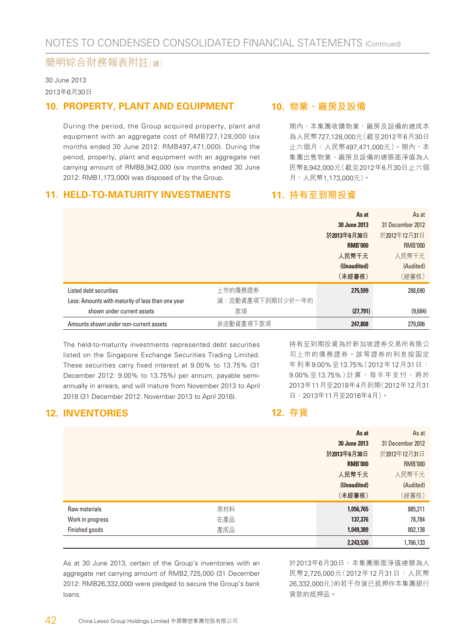30 June 2013 2013年6月30日

#### **10. PROPERTY, PLANT AND EQUIPMENT**

During the period, the Group acquired property, plant and equipment with an aggregate cost of RMB727,128,000 (six months ended 30 June 2012: RMB497,471,000). During the period, property, plant and equipment with an aggregate net carrying amount of RMB8,942,000 (six months ended 30 June 2012: RMB1,173,000) was disposed of by the Group.

#### **11. HELD-TO-MATURITY INVESTMENTS**

#### **10. 物業、廠房及設備**

期內,本集團收購物業、廠房及設備的總成本 為人民幣727,128,000元(截至2012年6月30日 止六個月:人民幣497,471,000元)。期內,本 集團出售物業、廠房及設備的總賬面淨值為人 民幣8,942,000元(截至2012年6月30日止六個 月:人民幣1,173,000元)。

持有至到期投資為於新加坡證券交易所有限公 司上市的債務證券。該等證券的利息按固定 年利率9.00%至13.75%(2012年12月31日: 9.00%至13.75%)計算,每半年支付,將於 2013年11月至2018年4月到期(2012年12月31

日:2013年11月至2016年4月)。

#### **11. 持有至到期投資**

|                                                   |                  | As at          | As at            |
|---------------------------------------------------|------------------|----------------|------------------|
|                                                   |                  | 30 June 2013   | 31 December 2012 |
|                                                   |                  | 於2013年6月30日    | 於2012年12月31日     |
|                                                   |                  | <b>RMB'000</b> | <b>RMB'000</b>   |
|                                                   |                  | 人民幣千元          | 人民幣千元            |
|                                                   |                  | (Unaudited)    | (Audited)        |
|                                                   |                  | (未經審核)         | (經審核)            |
| Listed debt securities                            | 上市的債務證券          | 275,599        | 288,690          |
| Less: Amounts with maturity of less than one year | 減:流動資產項下到期日少於一年的 |                |                  |
| shown under current assets                        | 款項               | (27, 791)      | (9,684)          |
| Amounts shown under non-current assets            | 非流動資產項下款項        | 247.808        | 279,006          |

The held-to-maturity investments represented debt securities listed on the Singapore Exchange Securities Trading Limited. These securities carry fixed interest at 9.00% to 13.75% (31 December 2012: 9.00% to 13.75%) per annum, payable semiannually in arrears, and will mature from November 2013 to April 2018 (31 December 2012: November 2013 to April 2016).

**12. INVENTORIES**

**12. 存貨**

|                  |     | As at          | As at            |
|------------------|-----|----------------|------------------|
|                  |     | 30 June 2013   | 31 December 2012 |
|                  |     | 於2013年6月30日    | 於2012年12月31日     |
|                  |     | <b>RMB'000</b> | <b>RMB'000</b>   |
|                  |     | 人民幣千元          | 人民幣千元            |
|                  |     | (Unaudited)    | (Audited)        |
|                  |     | (未經審核)         | (經審核)            |
| Raw materials    | 原材料 | 1,056,765      | 885,211          |
| Work in progress | 在產品 | 137,376        | 78,784           |
| Finished goods   | 產成品 | 1,049,389      | 802,138          |
|                  |     | 2,243,530      | 1,766,133        |

As at 30 June 2013, certain of the Group's inventories with an aggregate net carrying amount of RMB2,725,000 (31 December 2012: RMB26,332,000) were pledged to secure the Group's bank loans.

於2013年6月30日,本集團賬面淨值總額為人 民幣2,725,000元(2012年12月31日:人民幣 26,332,000元)的若干存貨已抵押作本集團銀行 貸款的抵押品。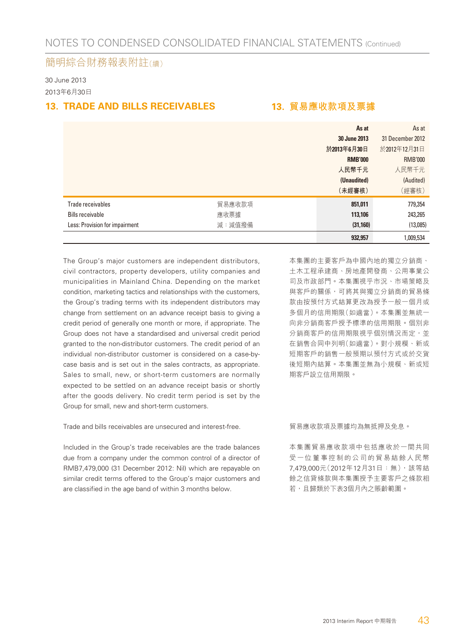30 June 2013 2013年6月30日

#### **13. TRADE AND BILLS RECEIVABLES 13. 貿易應收款項及票據**

|                                |        | As at          | As at            |
|--------------------------------|--------|----------------|------------------|
|                                |        | 30 June 2013   | 31 December 2012 |
|                                |        | 於2013年6月30日    | 於2012年12月31日     |
|                                |        | <b>RMB'000</b> | <b>RMB'000</b>   |
|                                |        | 人民幣千元          | 人民幣千元            |
|                                |        | (Unaudited)    | (Audited)        |
|                                |        | (未經審核)         | (經審核)            |
| Trade receivables              | 貿易應收款項 | 851,011        | 779,354          |
| <b>Bills receivable</b>        | 應收票據   | 113,106        | 243,265          |
| Less: Provision for impairment | 減:減值撥備 | (31, 160)      | (13,085)         |
|                                |        | 932,957        | 1,009,534        |

The Group's major customers are independent distributors, civil contractors, property developers, utility companies and municipalities in Mainland China. Depending on the market condition, marketing tactics and relationships with the customers, the Group's trading terms with its independent distributors may change from settlement on an advance receipt basis to giving a credit period of generally one month or more, if appropriate. The Group does not have a standardised and universal credit period granted to the non-distributor customers. The credit period of an individual non-distributor customer is considered on a case-bycase basis and is set out in the sales contracts, as appropriate. Sales to small, new, or short-term customers are normally expected to be settled on an advance receipt basis or shortly after the goods delivery. No credit term period is set by the Group for small, new and short-term customers.

Trade and bills receivables are unsecured and interest-free.

Included in the Group's trade receivables are the trade balances due from a company under the common control of a director of RMB7,479,000 (31 December 2012: Nil) which are repayable on similar credit terms offered to the Group's major customers and are classified in the age band of within 3 months below.

本集團的主要客戶為中國內地的獨立分銷商、 土木工程承建商、房地產開發商、公用事業公 司及市政部門。本集團視乎市況、市場策略及 與客戶的關係,可將其與獨立分銷商的貿易條 款由按預付方式結算更改為授予一般一個月或 多個月的信用期限(如適當)。本集團並無統一 向非分銷商客戶授予標準的信用期限。個別非 分銷商客戶的信用期限視乎個別情況而定,並 在銷售合同中列明(如適當)。對小規模、新或 短期客戶的銷售一般預期以預付方式或於交貨 後短期內結算。本集團並無為小規模、新或短 期客戶設立信用期限。

貿易應收款項及票據均為無抵押及免息。

本集團貿易應收款項中包括應收於一間共同 受一位董事控制的公司的貿易結餘人民幣 7,479,000元(2012年12月31日:無),該等結 餘之信貸條款與本集團授予主要客戶之條款相 若,且歸類於下表3個月內之賬齡範圍。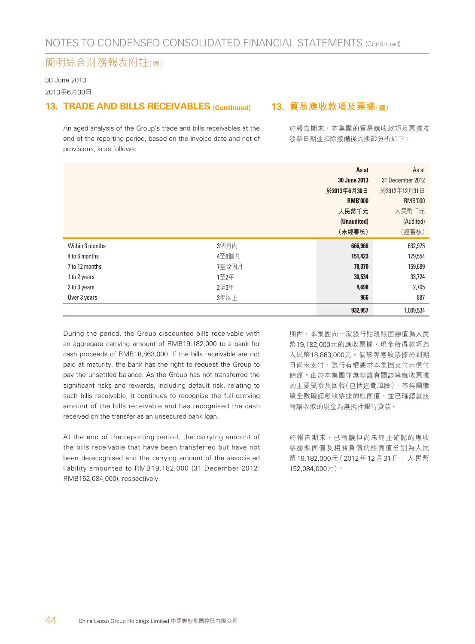30 June 2013 2013年6月30日

#### **13. TRADE AND BILLS RECEIVABLES (Continued)**

An aged analysis of the Group's trade and bills receivables at the end of the reporting period, based on the invoice date and net of provisions, is as follows:

#### **13. 貿易應收款項及票據(續)**

於報告期末,本集團的貿易應收款項及票據按 發票日期並扣除撥備後的賬齡分析如下:

|                 |        | As at          | As at            |
|-----------------|--------|----------------|------------------|
|                 |        | 30 June 2013   | 31 December 2012 |
|                 |        | 於2013年6月30日    | 於2012年12月31日     |
|                 |        | <b>RMB'000</b> | <b>RMB'000</b>   |
|                 |        | 人民幣千元          | 人民幣千元            |
|                 |        | (Unaudited)    | (Audited)        |
|                 |        | (未經審核)         | (經審核)            |
| Within 3 months | 3個月內   | 666,966        | 632,975          |
| 4 to 6 months   | 4至6個月  | 151,423        | 179,554          |
| 7 to 12 months  | 7至12個月 | 78,370         | 159,689          |
| 1 to 2 years    | 1至2年   | 30,534         | 33,724           |
| 2 to 3 years    | 2至3年   | 4,698          | 2,705            |
| Over 3 years    | 3年以上   | 966            | 887              |
|                 |        | 932,957        | 1,009,534        |

During the period, the Group discounted bills receivable with an aggregate carrying amount of RMB19,182,000 to a bank for cash proceeds of RMB18,863,000. If the bills receivable are not paid at maturity, the bank has the right to request the Group to pay the unsettled balance. As the Group has not transferred the significant risks and rewards, including default risk, relating to such bills receivable, it continues to recognise the full carrying amount of the bills receivable and has recognised the cash received on the transfer as an unsecured bank loan.

At the end of the reporting period, the carrying amount of the bills receivable that have been transferred but have not been derecognised and the carrying amount of the associated liability amounted to RMB19,182,000 (31 December 2012: RMB152,084,000), respectively.

期內,本集團向一家銀行貼現賬面總值為人民 幣19,182,000元的應收票據,現金所得款項為 人民幣18,863,000元。倘該等應收票據於到期 日尚未支付,銀行有權要求本集團支付未償付 餘額。由於本集團並無轉讓有關該等應收票據 的主要風險及回報(包括違責風險),本集團繼 續全數確認應收票據的賬面值,並已確認就該 轉讓收取的現金為無抵押銀行貸款。

於報告期末,已轉讓但尚未終止確認的應收 票據賬面值及相關負債的賬面值分別為人民 幣19,182,000元(2012年12月31日:人民幣 152,084,000元)。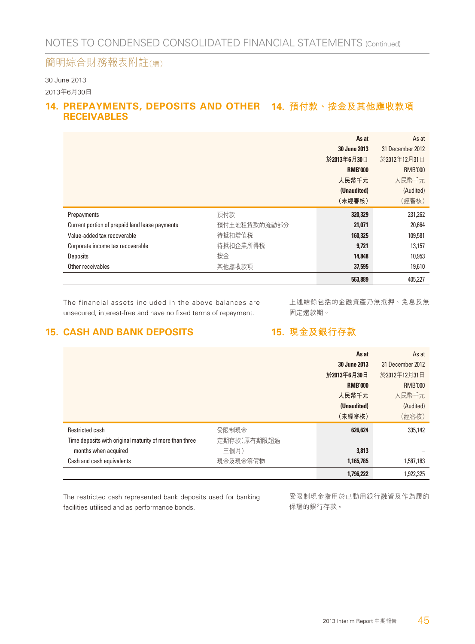30 June 2013 2013年6月30日

#### **14. PREPAYMENTS, DEPOSITS AND OTHER 14. 預付款、按金及其他應收款項 RECEIVABLES**

|                                                |              | As at          | As at            |
|------------------------------------------------|--------------|----------------|------------------|
|                                                |              | 30 June 2013   | 31 December 2012 |
|                                                |              | 於2013年6月30日    | 於2012年12月31日     |
|                                                |              | <b>RMB'000</b> | <b>RMB'000</b>   |
|                                                |              | 人民幣千元          | 人民幣千元            |
|                                                |              | (Unaudited)    | (Audited)        |
|                                                |              | (未經審核)         | (經審核)            |
|                                                |              |                |                  |
| Prepayments                                    | 預付款          | 320,329        | 231,262          |
| Current portion of prepaid land lease payments | 預付土地租賃款的流動部分 | 21,071         | 20,664           |
| Value-added tax recoverable                    | 待抵扣增值税       | 160,325        | 109,581          |
| Corporate income tax recoverable               | 待抵扣企業所得税     | 9,721          | 13,157           |
| Deposits                                       | 按金           | 14,848         | 10,953           |
| Other receivables                              | 其他應收款項       | 37,595         | 19,610           |

The financial assets included in the above balances are unsecured, interest-free and have no fixed terms of repayment.

上述結餘包括的金融資產乃無抵押、免息及無 固定還款期。

#### **15. CASH AND BANK DEPOSITS**

**15. 現金及銀行存款**

|                                                         |             | As at          | As at            |
|---------------------------------------------------------|-------------|----------------|------------------|
|                                                         |             | 30 June 2013   | 31 December 2012 |
|                                                         |             | 於2013年6月30日    | 於2012年12月31日     |
|                                                         |             | <b>RMB'000</b> | <b>RMB'000</b>   |
|                                                         |             | 人民幣千元          | 人民幣千元            |
|                                                         |             | (Unaudited)    | (Audited)        |
|                                                         |             | (未經審核)         | (經審核)            |
| <b>Restricted cash</b>                                  | 受限制現金       | 626,624        | 335,142          |
| Time deposits with original maturity of more than three | 定期存款(原有期限超過 |                |                  |
| months when acquired                                    | 三個月)        | 3,813          |                  |
| Cash and cash equivalents                               | 現金及現金等價物    | 1,165,785      | 1,587,183        |
|                                                         |             | 1,796,222      | 1,922,325        |

The restricted cash represented bank deposits used for banking facilities utilised and as performance bonds.

受限制現金指用於已動用銀行融資及作為履約 保證的銀行存款。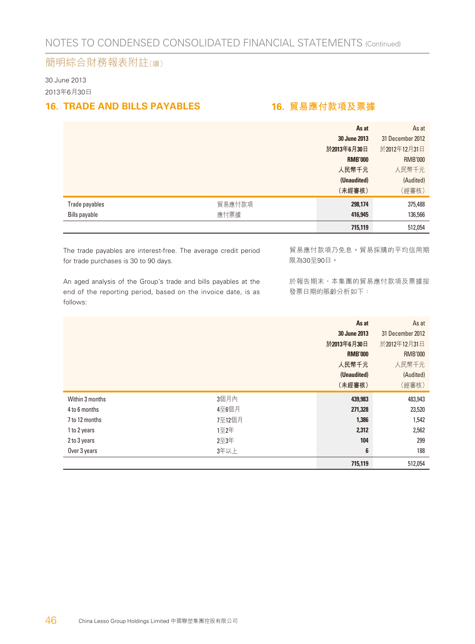30 June 2013 2013年6月30日

#### **16. TRADE AND BILLS PAYABLES 16. 貿易應付款項及票據**

|                |        | As at          | As at            |
|----------------|--------|----------------|------------------|
|                |        | 30 June 2013   | 31 December 2012 |
|                |        | 於2013年6月30日    | 於2012年12月31日     |
|                |        | <b>RMB'000</b> | <b>RMB'000</b>   |
|                |        | 人民幣千元          | 人民幣千元            |
|                |        | (Unaudited)    | (Audited)        |
|                |        | (未經審核)         | (經審核)            |
| Trade payables | 貿易應付款項 | 298,174        | 375,488          |
| Bills payable  | 應付票據   | 416,945        | 136,566          |
|                |        | 715,119        | 512,054          |

The trade payables are interest-free. The average credit period for trade purchases is 30 to 90 days.

An aged analysis of the Group's trade and bills payables at the end of the reporting period, based on the invoice date, is as follows:

貿易應付款項乃免息。貿易採購的平均信用期 限為30至90日。

於報告期末,本集團的貿易應付款項及票據按 發票日期的賬齡分析如下:

|                 |        | As at          | As at            |
|-----------------|--------|----------------|------------------|
|                 |        | 30 June 2013   | 31 December 2012 |
|                 |        | 於2013年6月30日    | 於2012年12月31日     |
|                 |        | <b>RMB'000</b> | <b>RMB'000</b>   |
|                 |        | 人民幣千元          | 人民幣千元            |
|                 |        | (Unaudited)    | (Audited)        |
|                 |        | (未經審核)         | (經審核)            |
| Within 3 months | 3個月內   | 439,983        | 483,943          |
| 4 to 6 months   | 4至6個月  | 271,328        | 23,520           |
| 7 to 12 months  | 7至12個月 | 1,386          | 1,542            |
| 1 to 2 years    | 1至2年   | 2,312          | 2,562            |
| 2 to 3 years    | 2至3年   | 104            | 299              |
| Over 3 years    | 3年以上   | 6              | 188              |
|                 |        | 715,119        | 512,054          |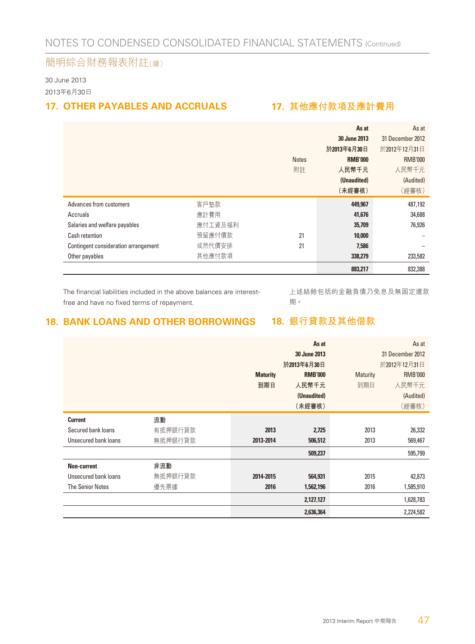30 June 2013 2013年6月30日

#### **17. OTHER PAYABLES AND ACCRUALS 17. 其他應付款項及應計費用**

|                                      |         |              | As at          | As at            |
|--------------------------------------|---------|--------------|----------------|------------------|
|                                      |         |              | 30 June 2013   | 31 December 2012 |
|                                      |         |              | 於2013年6月30日    | 於2012年12月31日     |
|                                      |         | <b>Notes</b> | <b>RMB'000</b> | <b>RMB'000</b>   |
|                                      |         | 附註           | 人民幣千元          | 人民幣千元            |
|                                      |         |              | (Unaudited)    | (Audited)        |
|                                      |         |              | (未經審核)         | (經審核)            |
| Advances from customers              | 客戶墊款    |              | 449.967        | 487,192          |
| Accruals                             | 應計費用    |              | 41,676         | 34,688           |
| Salaries and welfare payables        | 應付工資及福利 |              | 35,709         | 76,926           |
|                                      |         |              |                |                  |
| Cash retention                       | 預留應付價款  | 21           | 10,000         |                  |
| Contingent consideration arrangement | 或然代價安排  | 21           | 7,586          |                  |
| Other payables                       | 其他應付款項  |              | 338,279        | 233,582          |

The financial liabilities included in the above balances are interestfree and have no fixed terms of repayment.

上述結餘包括的金融負債乃免息及無固定還款 期。

#### **18. BANK LOANS AND OTHER BORROWINGS 18. 銀行貸款及其他借款**

|                         |         | <b>Maturity</b><br>到期日 | As at<br>30 June 2013<br>於2013年6月30日<br><b>RMB'000</b><br>人民幣千元 | Maturity<br>到期日 | As at<br>31 December 2012<br>於2012年12月31日<br><b>RMB'000</b><br>人民幣千元 |
|-------------------------|---------|------------------------|-----------------------------------------------------------------|-----------------|----------------------------------------------------------------------|
|                         |         |                        | (Unaudited)<br>(未經審核)                                           |                 | (Audited)<br>(經審核)                                                   |
| <b>Current</b>          | 流動      |                        |                                                                 |                 |                                                                      |
| Secured bank loans      | 有抵押銀行貸款 | 2013                   | 2.725                                                           | 2013            | 26,332                                                               |
| Unsecured bank loans    | 無抵押銀行貸款 | 2013-2014              | 506,512                                                         | 2013            | 569,467                                                              |
|                         |         |                        | 509,237                                                         |                 | 595,799                                                              |
| <b>Non-current</b>      | 非流動     |                        |                                                                 |                 |                                                                      |
| Unsecured bank loans    | 無抵押銀行貸款 | 2014-2015              | 564,931                                                         | 2015            | 42,873                                                               |
| <b>The Senior Notes</b> | 優先票據    | 2016                   | 1,562,196                                                       | 2016            | 1,585,910                                                            |
|                         |         |                        | 2,127,127                                                       |                 | 1,628,783                                                            |
|                         |         |                        | 2,636,364                                                       |                 | 2,224,582                                                            |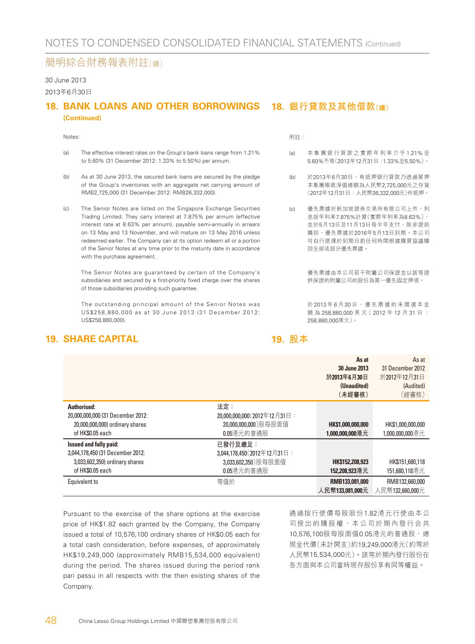#### 30 June 2013

#### 2013年6月30日

#### 18. BANK LOANS AND OTHER BORROWINGS 18. 銀行貸款及其他借款(<sub>續)</sub> **(Continued)**

#### Notes:

- (a) The effective interest rates on the Group's bank loans range from 1.21% to 5.60% (31 December 2012: 1.33% to 5.50%) per annum.
- (b) As at 30 June 2013, the secured bank loans are secured by the pledge of the Group's inventories with an aggregate net carrying amount of RMB2,725,000 (31 December 2012: RMB26,332,000).
- (c) The Senior Notes are listed on the Singapore Exchange Securities Trading Limited. They carry interest at 7.875% per annum (effective interest rate at 8.63% per annum), payable semi-annually in arrears on 13 May and 13 November, and will mature on 13 May 2016 unless redeemed earlier. The Company can at its option redeem all or a portion of the Senior Notes at any time prior to the maturity date in accordance with the purchase agreement.

The Senior Notes are guaranteed by certain of the Company's subsidiaries and secured by a first-priority fixed charge over the shares of those subsidiaries providing such guarantee.

The outstanding principal amount of the Senior Notes was US\$258,880,000 as at 30 June 2013 (31 December 2012: US\$258,880,000).

#### **19. SHARE CAPITAL**

附註:

- (a) 本集團銀行貸款之實際年利率介乎 1.21% 至 5.60%不等(2012年12月31日:1.33%至5.50%)。
- (b) 於2013年6月30日,有抵押銀行貸款乃透過質押 本集團賬面淨值總額為人民幣2,725,000元之存貨 (2012年12月31日:人民幣26,332,000元)作抵押。
- (c) 優先票據於新加坡證券交易所有限公司上市,利 息按年利率7.875%計算(實際年利率為8.63%), 並於5月13日及11月13日每半年支付,除非提前 贖回,優先票據於2016年5月13日到期。本公司 可自行選擇於到期日前任何時間根據購買協議贖 回全部或部分優先票據。

優先票據由本公司若干附屬公司保證並以該等提 供保證的附屬公司的股份為第一優先固定押項。

於 2013年6月30日,優先票據的未償還本金 額 為 258,880,000 美 元( 2012 年 12 月 31 日 : 258,880,000美元)。

#### **19. 股本**

|                                                     |                                    | As at<br>30 June 2013<br>於2013年6月30日<br>(Unaudited)<br>(未經審核) | As at<br>31 December 2012<br>於2012年12月31日<br>(Audited)<br>(經審核) |
|-----------------------------------------------------|------------------------------------|---------------------------------------------------------------|-----------------------------------------------------------------|
| Authorised:<br>20,000,000,000 (31 December 2012:    | 法定:<br>20,000,000,000(2012年12月31日: |                                                               |                                                                 |
| 20,000,000,000) ordinary shares<br>of HK\$0.05 each | 20,000,000,000)股每股面值<br>0.05港元的普通股 | HK\$1,000,000,000<br>1,000,000,000港元                          | HK\$1,000,000,000<br>1,000,000,000港元                            |
| Issued and fully paid:                              | 已發行及繳足:                            |                                                               |                                                                 |
| 3,044,178,450 (31 December 2012:                    | 3.044.178.450 (2012年12月31日:        |                                                               |                                                                 |
| 3,033,602,350) ordinary shares                      | 3,033,602,350) 股每股面值               | HK\$152,208,923                                               | HK\$151,680,118                                                 |
| of HK\$0.05 each                                    | 0.05港元的普通股                         | 152.208.923港元                                                 | 151.680.118港元                                                   |
| Equivalent to                                       | 等值於                                | RMB133,081,000                                                | RMB132,660,000                                                  |
|                                                     |                                    | 人民幣133,081,000元                                               | 人民幣132,660,000元                                                 |

Pursuant to the exercise of the share options at the exercise price of HK\$1.82 each granted by the Company, the Company issued a total of 10,576,100 ordinary shares of HK\$0.05 each for a total cash consideration, before expenses, of approximately HK\$19,249,000 (approximately RMB15,534,000 equivalent) during the period. The shares issued during the period rank pari passu in all respects with the then existing shares of the Company.

通過按行使價每股股份1.82港元行使由本公 司授出的購股權,本公司於期內發行合共 10,576,100股每股面值0.05港元的普通股, 總 現金代價(未計開支)約19,249,000港元(約等於 人民幣15,534,000元)。該等於期內發行股份在 各方面與本公司當時現存股份享有同等權益。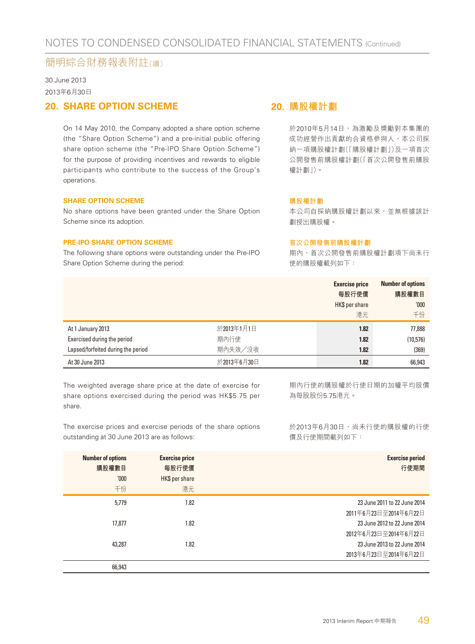30 June 2013 2013年6月30日

#### **20. SHARE OPTION SCHEME**

On 14 May 2010, the Company adopted a share option scheme (the "Share Option Scheme") and a pre-initial public offering share option scheme (the "Pre-IPO Share Option Scheme") for the purpose of providing incentives and rewards to eligible participants who contribute to the success of the Group's operations.

#### **SHARE OPTION SCHEME**

No share options have been granted under the Share Option Scheme since its adoption.

#### **PRE-IPO SHARE OPTION SCHEME**

The following share options were outstanding under the Pre-IPO Share Option Scheme during the period:

#### **20. 購股權計劃**

於2010年5月14日,為激勵及獎勵對本集團的 成功經營作出貢獻的合資格參與人,本公司採 納一項購股權計劃(「購股權計劃」)及一項首次 公開發售前購股權計劃(「首次公開發售前購股 權計劃」)。

#### **購股權計劃**

本公司自採納購股權計劃以來,並無根據該計 劃授出購股權。

#### **首次公開發售前購股權計劃**

期內,首次公開發售前購股權計劃項下尚未行 使的購股權載列如下:

|                                    |             | <b>Exercise price</b><br>每股行使價<br>HK\$ per share<br>港元 | <b>Number of options</b><br>購股權數目<br>'000<br>千份 |
|------------------------------------|-------------|--------------------------------------------------------|-------------------------------------------------|
| At 1 January 2013                  | 於2013年1月1日  | 1.82                                                   | 77,888                                          |
| Exercised during the period        | 期內行使        | 1.82                                                   | (10, 576)                                       |
| Lapsed/forfeited during the period | 期内失效/沒收     | 1.82                                                   | (369)                                           |
| At 30 June 2013                    | 於2013年6月30日 | 1.82                                                   | 66,943                                          |

The weighted average share price at the date of exercise for share options exercised during the period was HK\$5.75 per share.

期內行使的購股權於行使日期的加權平均股價 為每股股份5.75港元。

The exercise prices and exercise periods of the share options outstanding at 30 June 2013 are as follows:

於2013年6月30日,尚未行使的購股權的行使 價及行使期間載列如下:

| <b>Number of options</b><br>購股權數目<br>'000<br>千份 | <b>Exercise price</b><br>每股行使價<br>HK\$ per share<br>港元 | <b>Exercise period</b><br>行使期間 |
|-------------------------------------------------|--------------------------------------------------------|--------------------------------|
| 5.779                                           | 1.82                                                   | 23 June 2011 to 22 June 2014   |
|                                                 |                                                        | 2011年6月23日至2014年6月22日          |
| 17.877                                          | 1.82                                                   | 23 June 2012 to 22 June 2014   |
|                                                 |                                                        | 2012年6月23日至2014年6月22日          |
| 43.287                                          | 1.82                                                   | 23 June 2013 to 22 June 2014   |
|                                                 |                                                        | 2013年6月23日至2014年6月22日          |
| 66,943                                          |                                                        |                                |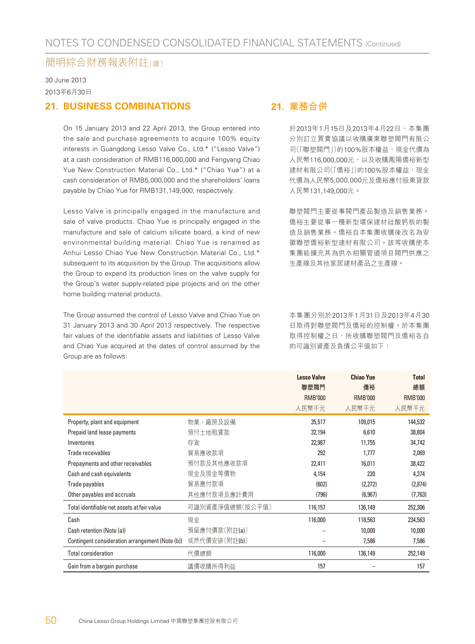30 June 2013 2013年6月30日

#### **21. BUSINESS COMBINATIONS**

On 15 January 2013 and 22 April 2013, the Group entered into the sale and purchase agreements to acquire 100% equity interests in Guangdong Lesso Valve Co., Ltd.\* ("Lesso Valve") at a cash consideration of RMB116,000,000 and Fengyang Chiao Yue New Construction Material Co., Ltd.\* ("Chiao Yue") at a cash consideration of RMB5,000,000 and the shareholders' loans payable by Chiao Yue for RMB131,149,000, respectively.

Lesso Valve is principally engaged in the manufacture and sale of valve products. Chiao Yue is principally engaged in the manufacture and sale of calcium silicate board, a kind of new environmental building material. Chiao Yue is renamed as Anhui Lesso Chiao Yue New Construction Material Co., Ltd.\* subsequent to its acquisition by the Group. The acquisitions allow the Group to expand its production lines on the valve supply for the Group's water supply-related pipe projects and on the other home building material products.

The Group assumed the control of Lesso Valve and Chiao Yue on 31 January 2013 and 30 April 2013 respectively. The respective fair values of the identifiable assets and liabilities of Lesso Valve and Chiao Yue acquired at the dates of control assumed by the Group are as follows:

#### **21. 業務合併**

於2013年1月15日及2013年4月22日,本集團 分別訂立買賣協議以收購廣東聯塑閥門有限公 司(「聯塑閥門」)的100%股本權益,現金代價為 人民幣116,000,000元,以及收購鳳陽僑裕新型 建材有限公司(「僑裕」)的100%股本權益,現金 代價為人民幣5,000,000元及僑裕應付股東貸款 人民幣131,149,000元。

聯塑閥門主要從事閥門產品製造及銷售業務。 僑裕主要從事一種新型環保建材硅酸鈣板的製 造及銷售業務。僑裕自本集團收購後改名為安 徽聯塑僑裕新型建材有限公司。該等收購使本 集團能擴充其為供水相關管道項目閥門供應之 生產線及其他家居建材產品之生產線。

本集團分別於2013年1月31日及2013年4月30 日取得對聯塑閥門及僑裕的控制權。於本集團 取得控制權之日,所收購聯塑閥門及僑裕各自 的可識別資產及負債公平值如下:

|                                                 |                 | <b>Lesso Valve</b><br>聯塑閥門<br><b>RMB'000</b><br>人民幣千元 | <b>Chiao Yue</b><br>僑裕<br><b>RMB'000</b><br>人民幣千元 | <b>Total</b><br>總額<br><b>RMB'000</b><br>人民幣千元 |
|-------------------------------------------------|-----------------|-------------------------------------------------------|---------------------------------------------------|-----------------------------------------------|
| Property, plant and equipment                   | 物業、廠房及設備        | 35,517                                                | 109,015                                           | 144,532                                       |
| Prepaid land lease payments                     | 預付土地租賃款         | 32,194                                                | 6,610                                             | 38,804                                        |
| Inventories                                     | 存貨              | 22,987                                                | 11,755                                            | 34,742                                        |
| Trade receivables                               | 貿易應收款項          | 292                                                   | 1,777                                             | 2,069                                         |
| Prepayments and other receivables               | 預付款及其他應收款項      | 22,411                                                | 16,011                                            | 38,422                                        |
| Cash and cash equivalents                       | 現金及現金等價物        | 4,154                                                 | 220                                               | 4,374                                         |
| Trade payables                                  | 貿易應付款項          | (602)                                                 | (2,272)                                           | (2,874)                                       |
| Other payables and accruals                     | 其他應付款項及應計費用     | (796)                                                 | (6, 967)                                          | (7, 763)                                      |
| Total identifiable net assets at fair value     | 可識別資產淨值總額(按公平值) | 116,157                                               | 136,149                                           | 252,306                                       |
| Cash                                            | 現金              | 116,000                                               | 118,563                                           | 234,563                                       |
| Cash retention (Note (a))                       | 預留應付價款(附註(a))   |                                                       | 10,000                                            | 10,000                                        |
| Contingent consideration arrangement (Note (b)) | 或然代價安排(附註(b))   |                                                       | 7,586                                             | 7,586                                         |
| <b>Total consideration</b>                      | 代價總額            | 116,000                                               | 136,149                                           | 252,149                                       |
| Gain from a bargain purchase                    | 議價收購所得利益        | 157                                                   |                                                   | 157                                           |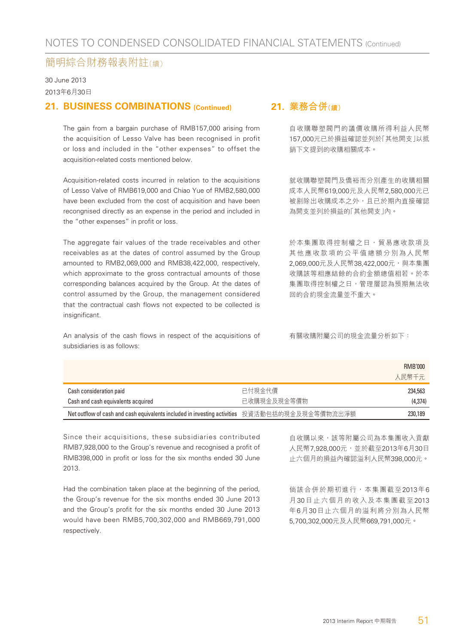30 June 2013 2013年6月30日

#### **21. BUSINESS COMBINATIONS (Continued)**

The gain from a bargain purchase of RMB157,000 arising from the acquisition of Lesso Valve has been recognised in profit or loss and included in the "other expenses" to offset the acquisition-related costs mentioned below.

Acquisition-related costs incurred in relation to the acquisitions of Lesso Valve of RMB619,000 and Chiao Yue of RMB2,580,000 have been excluded from the cost of acquisition and have been recongnised directly as an expense in the period and included in the "other expenses" in profit or loss.

The aggregate fair values of the trade receivables and other receivables as at the dates of control assumed by the Group amounted to RMB2,069,000 and RMB38,422,000, respectively, which approximate to the gross contractual amounts of those corresponding balances acquired by the Group. At the dates of control assumed by the Group, the management considered that the contractual cash flows not expected to be collected is insignificant.

An analysis of the cash flows in respect of the acquisitions of subsidiaries is as follows:

#### **21. 業務合併(續)**

自收購聯塑閥門的議價收購所得利益人民幣 157,000元已於損益確認並列於「其他開支」以抵 銷下文提到的收購相關成本。

就收購聯塑閥門及僑裕而分別產生的收購相關 成本人民幣619,000元及人民幣2,580,000元已 被剔除出收購成本之外,且已於期內直接確認 為開支並列於損益的「其他開支」內。

於本集團取得控制權之日,貿易應收款項及 其他應收款項的公平值總額分別為人民幣 2,069,000元及人民幣38,422,000元,與本集團 收購該等相應結餘的合約金額總值相若。於本 集團取得控制權之日,管理層認為預期無法收 回的合約現金流量並不重大。

有關收購附屬公司的現金流量分析如下:

|                                                                                               |             | RMB'000<br>人民幣千元 |
|-----------------------------------------------------------------------------------------------|-------------|------------------|
| Cash consideration paid                                                                       | 已付現金代價      | 234,563          |
| Cash and cash equivalents acquired                                                            | 已收購現金及現金等價物 | (4,374)          |
| Net outflow of cash and cash equivalents included in investing activities 投資活動包括的現金及現金等價物流出淨額 |             | 230,189          |

Since their acquisitions, these subsidiaries contributed RMB7,928,000 to the Group's revenue and recognised a profit of RMB398,000 in profit or loss for the six months ended 30 June 2013.

Had the combination taken place at the beginning of the period, the Group's revenue for the six months ended 30 June 2013 and the Group's profit for the six months ended 30 June 2013 would have been RMB5,700,302,000 and RMB669,791,000 respectively.

自收購以來,該等附屬公司為本集團收入貢獻 人民幣7,928,000元,並於截至2013年6月30日 止六個月的損益內確認溢利人民幣398,000元。

倘該合併於期初進行,本集團截至2013年6 月30日止六個月的收入及本集團截至2013 年6月30日止六個月的溢利將分別為人民幣 5,700,302,000元及人民幣669,791,000元。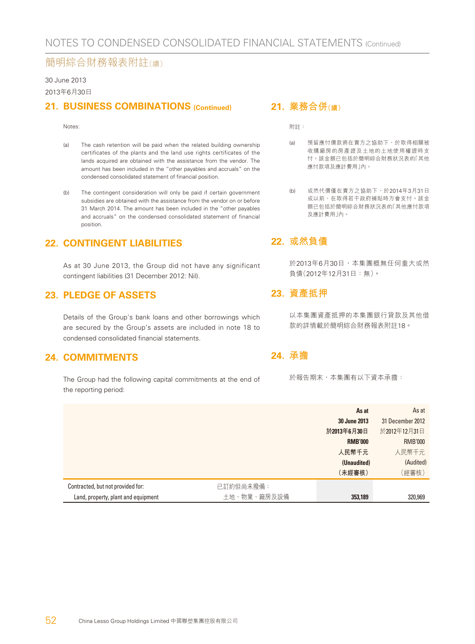#### 30 June 2013

2013年6月30日

#### **21. BUSINESS COMBINATIONS (Continued)**

#### Notes:

- (a) The cash retention will be paid when the related building ownership certificates of the plants and the land use rights certificates of the lands acquired are obtained with the assistance from the vendor. The amount has been included in the "other payables and accruals" on the condensed consolidated statement of financial position.
- (b) The contingent consideration will only be paid if certain government subsidies are obtained with the assistance from the vendor on or before 31 March 2014. The amount has been included in the "other payables and accruals" on the condensed consolidated statement of financial position.

#### **22. CONTINGENT LIABILITIES**

As at 30 June 2013, the Group did not have any significant contingent liabilities (31 December 2012: Nil).

#### **23. PLEDGE OF ASSETS**

Details of the Group's bank loans and other borrowings which are secured by the Group's assets are included in note 18 to condensed consolidated financial statements.

#### **24. COMMITMENTS**

The Group had the following capital commitments at the end of the reporting period:

#### **21. 業務合併(續)**

附註:

- (a) 預留應付價款將在賣方之協助下,於取得相關被 收購廠房的房產證及土地的土地使用權證時支 付。該金額已包括於簡明綜合財務狀況表的「其他 應付款項及應計費用」內。
- (b) 或然代價僅在賣方之協助下,於2014年3月31日 或以前,在取得若干政府補貼時方會支付。該金 額已包括於簡明綜合財務狀況表的「其他應付款項 及應計費用」內。

#### **22. 或然負債**

於2013年6月30日,本集團概無任何重大或然 負債(2012年12月31日:無)。

#### **23. 資產抵押**

以本集團資產抵押的本集團銀行貸款及其他借 款的詳情載於簡明綜合財務報表附註18。

#### **24. 承擔**

於報告期末,本集團有以下資本承擔:

|                                     |             | As at          | As at            |
|-------------------------------------|-------------|----------------|------------------|
|                                     |             | 30 June 2013   | 31 December 2012 |
|                                     |             | 於2013年6月30日    | 於2012年12月31日     |
|                                     |             | <b>RMB'000</b> | <b>RMB'000</b>   |
|                                     |             | 人民幣千元          | 人民幣千元            |
|                                     |             | (Unaudited)    | (Audited)        |
|                                     |             | (未經審核)         | (經審核)            |
| Contracted, but not provided for:   | 已訂約但尚未撥備:   |                |                  |
| Land, property, plant and equipment | 土地、物業、廠房及設備 | 353,189        | 320,969          |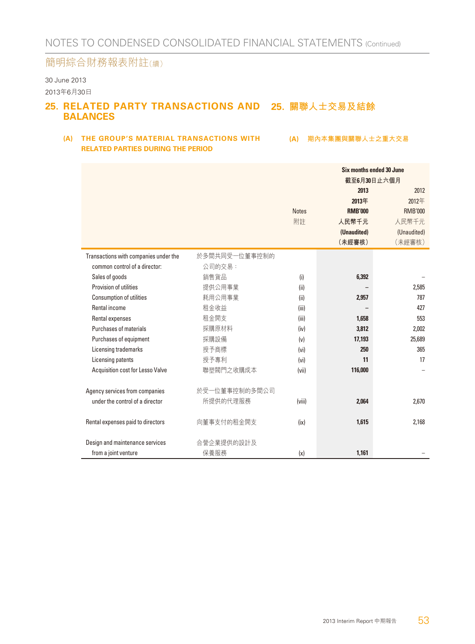#### 30 June 2013 2013年6月30日

#### 25. RELATED PARTY TRANSACTIONS AND 25. 關聯人士交易及結餘 **BALANCES**

#### (A) THE GROUP'S MATERIAL TRANSACTIONS WITH (A) 期內本集團與關聯人士之重大交易 **RELATED PARTIES DURING THE PERIOD**

|                                       |               | Six months ended 30 June<br>截至6月30日止六個月 |                |                |
|---------------------------------------|---------------|-----------------------------------------|----------------|----------------|
|                                       |               |                                         | 2013           | 2012           |
|                                       |               |                                         | 2013年          | 2012年          |
|                                       |               | <b>Notes</b>                            | <b>RMB'000</b> | <b>RMB'000</b> |
|                                       |               | 附註                                      | 人民幣千元          | 人民幣千元          |
|                                       |               |                                         | (Unaudited)    | (Unaudited)    |
|                                       |               |                                         | (未經審核)         | (未經審核)         |
| Transactions with companies under the | 於多間共同受一位董事控制的 |                                         |                |                |
| common control of a director:         | 公司的交易:        |                                         |                |                |
| Sales of goods                        | 銷售貨品          | (i)                                     | 6,392          |                |
| Provision of utilities                | 提供公用事業        | (ii)                                    |                | 2,585          |
| Consumption of utilities              | 耗用公用事業        | (ii)                                    | 2,957          | 787            |
| Rental income                         | 租金收益          | (iii)                                   |                | 427            |
| Rental expenses                       | 租金開支          | (iii)                                   | 1,658          | 553            |
| Purchases of materials                | 採購原材料         | (iv)                                    | 3,812          | 2,002          |
| Purchases of equipment                | 採購設備          | (v)                                     | 17.193         | 25.689         |
| Licensing trademarks                  | 授予商標          | (v <sub>i</sub> )                       | 250            | 365            |
| Licensing patents                     | 授予專利          | (v <sub>i</sub> )                       | 11             | 17             |
| Acquisition cost for Lesso Valve      | 聯塑閥門之收購成本     | (vii)                                   | 116,000        |                |
|                                       |               |                                         |                |                |
| Agency services from companies        | 於受一位董事控制的多間公司 |                                         |                |                |
| under the control of a director       | 所提供的代理服務      | (viii)                                  | 2,064          | 2,670          |
|                                       |               |                                         |                |                |
| Rental expenses paid to directors     | 向董事支付的租金開支    | (ix)                                    | 1,615          | 2,168          |
|                                       |               |                                         |                |                |
| Design and maintenance services       | 合營企業提供的設計及    |                                         |                |                |
| from a joint venture                  | 保養服務          | (x)                                     | 1.161          |                |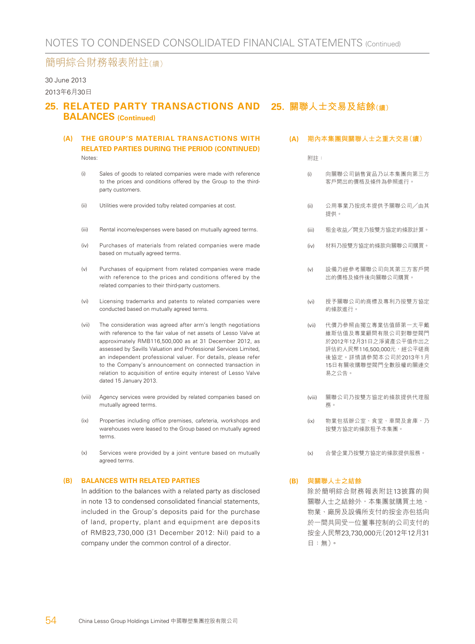#### 30 June 2013

2013年6月30日

#### **25. RELATED PARTY TRANSACTIONS AND 25. 關聯人士交易及結餘(續) BALANCES (Continued)**

#### **(A) THE GROUP'S MATERIAL TRANSACTIONS WITH RELATED PARTIES DURING THE PERIOD (CONTINUED)** Notes:

- (i) Sales of goods to related companies were made with reference to the prices and conditions offered by the Group to the thirdparty customers.
- (ii) Utilities were provided to/by related companies at cost.
- (iii) Rental income/expenses were based on mutually agreed terms.
- (iv) Purchases of materials from related companies were made based on mutually agreed terms.
- (v) Purchases of equipment from related companies were made with reference to the prices and conditions offered by the related companies to their third-party customers.
- (vi) Licensing trademarks and patents to related companies were conducted based on mutually agreed terms.
- (vii) The consideration was agreed after arm's length negotiations with reference to the fair value of net assets of Lesso Valve at approximately RMB116,500,000 as at 31 December 2012, as assessed by Savills Valuation and Professional Services Limited, an independent professional valuer. For details, please refer to the Company's announcement on connected transaction in relation to acquisition of entire equity interest of Lesso Valve dated 15 January 2013.
- (viii) Agency services were provided by related companies based on mutually agreed terms.
- (ix) Properties including office premises, cafeteria, workshops and warehouses were leased to the Group based on mutually agreed terms.
- (x) Services were provided by a joint venture based on mutually agreed terms.

#### **(B) BALANCES WITH RELATED PARTIES**

In addition to the balances with a related party as disclosed in note 13 to condensed consolidated financial statements, included in the Group's deposits paid for the purchase of land, property, plant and equipment are deposits of RMB23,730,000 (31 December 2012: Nil) paid to a company under the common control of a director.

**(A) 期內本集團與關聯人士之重大交易(續)**

附註:

- (i) 向關聯公司銷售貨品乃以本集團向第三方 客戶開出的價格及條件為參照進行。
- (ii) 公用事業乃按成本提供予關聯公司╱由其 提供。
- (iii) 租金收益╱開支乃按雙方協定的條款計算。
- (iv) 材料乃按雙方協定的條款向關聯公司購買。
- (v) 設備乃經參考關聯公司向其第三方客戶開 出的價格及條件後向關聯公司購買。
- (vi) 授予關聯公司的商標及專利乃按雙方協定 的條款進行。
- (vii) 代價乃參照由獨立專業估值師第一太平戴 維斯估值及專業顧問有限公司對聯塑閥門 於2012年12月31日之淨資產公平值作出之 評估約人民幣116,500,000元,經公平磋商 後協定。詳情請參閱本公司於2013年1月 15日有關收購聯塑閥門全數股權的關連交 易之公告。
- (viii) 關聯公司乃按雙方協定的條款提供代理服 務。
- (ix) 物業包括辦公室、食堂、車間及倉庫,乃 按雙方協定的條款租予本集團。
- (x) 合營企業乃按雙方協定的條款提供服務。

#### **(B) 與關聯人士之結餘**

除於簡明綜合財務報表附註13披露的與 關聯人士之結餘外,本集團就購買土地、 物業、廠房及設備所支付的按金亦包括向 於一間共同受一位董事控制的公司支付的 按金人民幣23,730,000元(2012年12月31 日:無)。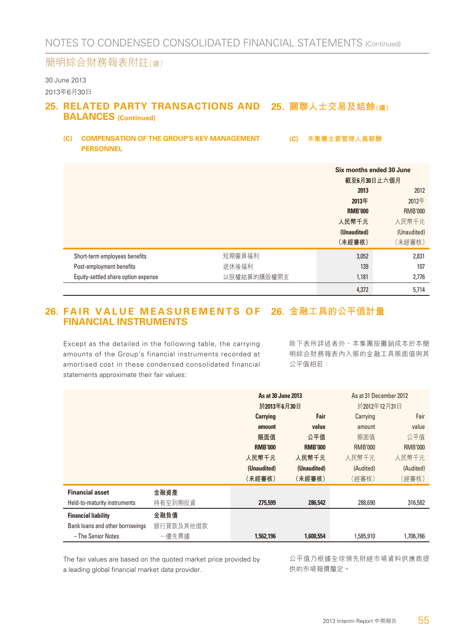#### 30 June 2013 2013年6月30日

#### 25. RELATED PARTY TRANSACTIONS AND 25. 關聯人士交易及結餘<sub>(續)</sub> **BALANCES (Continued)**

**(C) COMPENSATION OF THE GROUP'S KEY MANAGEMENT PERSONNEL**

**(C) 本集團主要管理人員薪酬**

|                                     |             | Six months ended 30 June<br>截至6月30日止六個月 |                |
|-------------------------------------|-------------|-----------------------------------------|----------------|
|                                     |             | 2013                                    | 2012           |
|                                     |             | 2013年                                   | 2012年          |
|                                     |             | <b>RMB'000</b>                          | <b>RMB'000</b> |
|                                     |             | 人民幣千元                                   | 人民幣千元          |
|                                     |             | (Unaudited)                             | (Unaudited)    |
|                                     |             | (未經審核)                                  | (未經審核)         |
| Short-term employees benefits       | 短期僱員福利      | 3,052                                   | 2,831          |
| Post-employment benefits            | 退休後福利       | 139                                     | 107            |
| Equity-settled share option expense | 以股權結算的購股權開支 | 1,181                                   | 2,776          |
|                                     |             | 4,372                                   | 5,714          |

#### 26. FAIR VALUE MEASUREMENTS OF 26. 金融工具的公平值計量 **FINANCIAL INSTRUMENTS**

Except as the detailed in the following table, the carrying amounts of the Group's financial instruments recorded at amortised cost in these condensed consolidated financial statements approximate their fair values:

除下表所詳述者外,本集團按攤銷成本於本簡 明綜合財務報表內入賬的金融工具賬面值與其 公平值相若:

|                                 | As at 30 June 2013<br>於2013年6月30日 |                | As at 31 December 2012<br>於2012年12月31日 |                |                |
|---------------------------------|-----------------------------------|----------------|----------------------------------------|----------------|----------------|
|                                 |                                   | Carrying       | Fair                                   | Carrying       | Fair           |
|                                 |                                   | amount         | value                                  | amount         | value          |
|                                 |                                   | 賬面值            | 公平值                                    | 賬面值            | 公平值            |
|                                 |                                   | <b>RMB'000</b> | <b>RMB'000</b>                         | <b>RMB'000</b> | <b>RMB'000</b> |
|                                 |                                   | 人民幣千元          | 人民幣千元                                  | 人民幣千元          | 人民幣千元          |
|                                 |                                   | (Unaudited)    | (Unaudited)                            | (Audited)      | (Audited)      |
|                                 |                                   | (未經審核)         | (未經審核)                                 | (經審核)          | (經審核)          |
| <b>Financial asset</b>          | 金融資產                              |                |                                        |                |                |
| Held-to-maturity instruments    | 持有至到期投資                           | 275,599        | 286,542                                | 288,690        | 316,582        |
| <b>Financial liability</b>      | 金融負債                              |                |                                        |                |                |
| Bank loans and other borrowings | 銀行貸款及其他借款                         |                |                                        |                |                |
| - The Senior Notes              | -優先票據                             | 1,562,196      | 1,600,554                              | 1,585,910      | 1,706,766      |

The fair values are based on the quoted market price provided by a leading global financial market data provider.

公平值乃根據全球領先財經市場資料供應商提 供的市場報價釐定。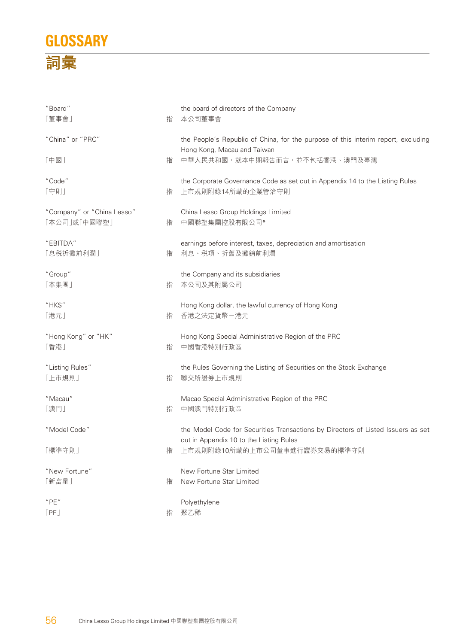## **GLOSSARY 詞彙**

| "Board"<br>「董事會」                           | 指 | the board of directors of the Company<br>本公司董事會                                                   |
|--------------------------------------------|---|---------------------------------------------------------------------------------------------------|
| "China" or "PRC"                           |   | the People's Republic of China, for the purpose of this interim report, excluding                 |
| 「中國」                                       | 指 | Hong Kong, Macau and Taiwan<br>中華人民共和國,就本中期報告而言,並不包括香港、澳門及臺灣                                      |
| "Code"<br>「守則」                             | 指 | the Corporate Governance Code as set out in Appendix 14 to the Listing Rules<br>上市規則附錄14所載的企業管治守則 |
| "Company" or "China Lesso"<br>「本公司」或「中國聯塑」 | 指 | China Lesso Group Holdings Limited<br>中國聯塑集團控股有限公司*                                               |
| "EBITDA"<br>「息税折攤前利潤」                      | 指 | earnings before interest, taxes, depreciation and amortisation<br>利息、税項、折舊及攤銷前利潤                  |
| "Group"<br>「本集團」                           | 指 | the Company and its subsidiaries<br>本公司及其附屬公司                                                     |
| "HK\$"<br>「港元」                             | 指 | Hong Kong dollar, the lawful currency of Hong Kong<br>香港之法定貨幣-港元                                  |
| "Hong Kong" or "HK"<br>「香港」                | 指 | Hong Kong Special Administrative Region of the PRC<br>中國香港特別行政區                                   |
| "Listing Rules"<br>「上市規則」                  | 指 | the Rules Governing the Listing of Securities on the Stock Exchange<br>聯交所證券上市規則                  |
| "Macau"<br>「澳門」                            | 指 | Macao Special Administrative Region of the PRC<br>中國澳門特別行政區                                       |
| "Model Code"                               |   | the Model Code for Securities Transactions by Directors of Listed Issuers as set                  |
| 「標準守則」                                     | 指 | out in Appendix 10 to the Listing Rules<br>上市規則附錄10所載的上市公司董事進行證券交易的標準守則                           |
| "New Fortune"<br>「新富星」                     | 指 | New Fortune Star Limited<br>New Fortune Star Limited                                              |
| "PE"<br>[PE]                               | 指 | Polyethylene<br>聚乙稀                                                                               |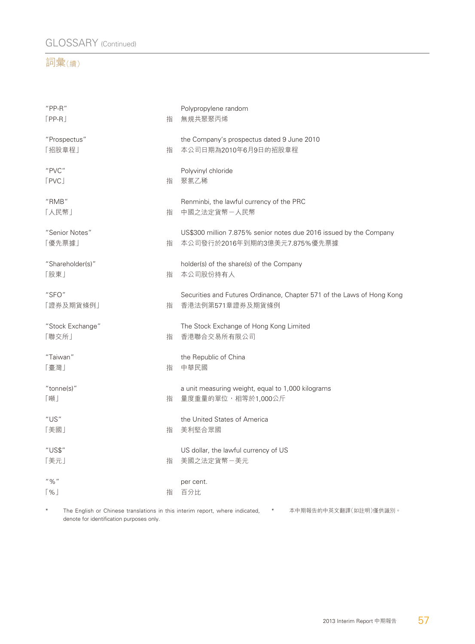### GLOSSARY (Continued)

#### 詞彙(續)

| $"PP-R"$<br>$[PP-R]$      | 指 | Polypropylene random<br>無規共聚聚丙烯                                                                    |
|---------------------------|---|----------------------------------------------------------------------------------------------------|
| "Prospectus"<br>「招股章程」    | 指 | the Company's prospectus dated 9 June 2010<br>本公司日期為2010年6月9日的招股章程                                 |
| "PVC"<br>[PVC]            | 指 | Polyvinyl chloride<br>聚氯乙稀                                                                         |
| "RMB"<br>「人民幣」            | 指 | Renminbi, the lawful currency of the PRC<br>中國之法定貨幣一人民幣                                            |
| "Senior Notes"<br>「優先票據」  | 指 | US\$300 million 7.875% senior notes due 2016 issued by the Company<br>本公司發行於2016年到期的3億美元7.875%優先票據 |
| "Shareholder(s)"<br>「股東」  | 指 | holder(s) of the share(s) of the Company<br>本公司股份持有人                                               |
| "SFO"<br>「證券及期貨條例」        | 指 | Securities and Futures Ordinance, Chapter 571 of the Laws of Hong Kong<br>香港法例第571章證券及期貨條例         |
| "Stock Exchange"<br>「聯交所」 | 指 | The Stock Exchange of Hong Kong Limited<br>香港聯合交易所有限公司                                             |
| "Taiwan"<br>「臺灣」          | 指 | the Republic of China<br>中華民國                                                                      |
| " $tonne(s)$ "<br>「噸」     | 指 | a unit measuring weight, equal to 1,000 kilograms<br>量度重量的單位,相等於1,000公斤                            |
| "US"<br>「美國」              | 指 | the United States of America<br>美利堅合眾國                                                             |
| "US\$"<br>「美元」            | 指 | US dollar, the lawful currency of US<br>美國之法定貨幣一美元                                                 |
| $" \%"$<br>$\frac{9}{6}$  | 指 | per cent.<br>百分比                                                                                   |
|                           |   |                                                                                                    |

\* The English or Chinese translations in this interim report, where indicated, \* 本中期報告的中英文翻譯(如註明)僅供識別。denote for identification purposes only.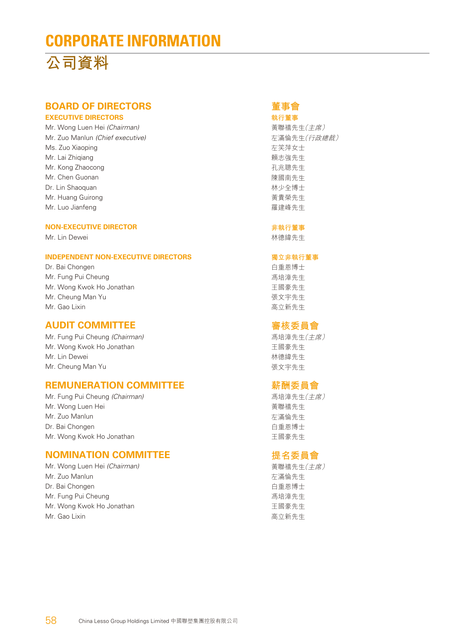## **CORPORATE INFORMATION**



### **BOARD OF DIRECTORS**

#### **EXECUTIVE DIRECTORS**

Mr. Wong Luen Hei (Chairman) Mr. Zuo Manlun (Chief executive) Ms. Zuo Xiaoping Mr. Lai Zhiqiang Mr. Kong Zhaocong Mr. Chen Guonan Dr. Lin Shaoquan Mr. Huang Guirong Mr. Luo Jianfeng

#### **NON-EXECUTIVE DIRECTOR**

Mr. Lin Dewei

#### **INDEPENDENT NON-EXECUTIVE DIRECTORS**

Dr. Bai Chongen Mr. Fung Pui Cheung Mr. Wong Kwok Ho Jonathan Mr. Cheung Man Yu Mr. Gao Lixin

#### **AUDIT COMMITTEE**

Mr. Fung Pui Cheung (Chairman) Mr. Wong Kwok Ho Jonathan Mr. Lin Dewei Mr. Cheung Man Yu

#### **REMUNERATION COMMITTEE**

Mr. Fung Pui Cheung (Chairman) Mr. Wong Luen Hei Mr. Zuo Manlun Dr. Bai Chongen Mr. Wong Kwok Ho Jonathan

#### **NOMINATION COMMITTEE**

Mr. Wong Luen Hei (Chairman) Mr. Zuo Manlun Dr. Bai Chongen Mr. Fung Pui Cheung Mr. Wong Kwok Ho Jonathan Mr. Gao Lixin

#### **董事會**

**執行董事** 黃聯禧先生(主席) 左滿倫先生(行政總裁) 左笑萍女士 賴志強先生 孔兆聰先生 陳國南先生 林少全博士 黃貴榮先生 羅建峰先生

#### **非執行董事**

林德緯先生

#### **獨立非執行董事**

白重恩博士 馮培漳先生 王國豪先生 張文宇先生 高立新先生

#### **審核委員會**

馮培漳先生(主席) 王國豪先生 林德緯先生 張文宇先生

#### **薪酬委員會**

馮培漳先生(主席) 黃聯禧先生 左滿倫先生 白重恩博士 王國豪先生

#### **提名委員會**

黃聯禧先生(主席) 左滿倫先生 白重恩博士 馮培漳先生 王國豪先生 高立新先生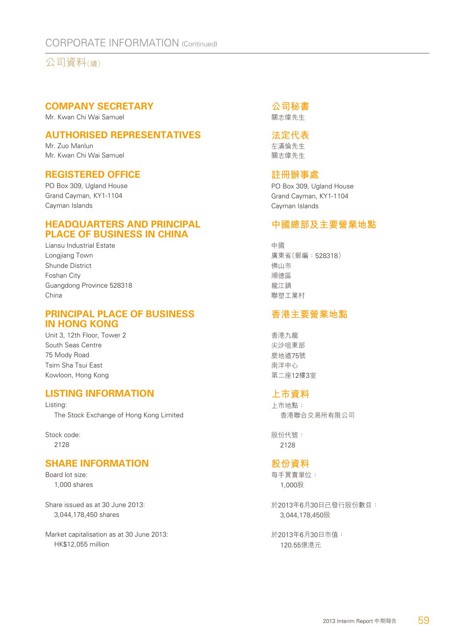#### CORPORATE INFORMATION (Continued)

公司資料(續)

#### **COMPANY SECRETARY**

Mr. Kwan Chi Wai Samuel

#### **AUTHORISED REPRESENTATIVES**

Mr. Zuo Manlun Mr. Kwan Chi Wai Samuel

#### **REGISTERED OFFICE**

PO Box 309, Ugland House Grand Cayman, KY1-1104 Cayman Islands

#### **HEADQUARTERS AND PRINCIPAL PLACE OF BUSINESS IN CHINA**

Liansu Industrial Estate Longjiang Town Shunde District Foshan City Guangdong Province 528318 China

#### **PRINCIPAL PLACE OF BUSINESS IN HONG KONG**

Unit 3, 12th Floor, Tower 2 South Seas Centre 75 Mody Road Tsim Sha Tsui East Kowloon, Hong Kong

#### **LISTING INFORMATION**

Listing: The Stock Exchange of Hong Kong Limited

Stock code: 2128

#### **SHARE INFORMATION**

Board lot size: 1,000 shares

Share issued as at 30 June 2013: 3,044,178,450 shares

Market capitalisation as at 30 June 2013: HK\$12,055 million

**公司秘書** 關志偉先生

#### **法定代表**

左滿倫先生 關志偉先生

#### **註冊辦事處**

PO Box 309, Ugland House Grand Cayman, KY1-1104 Cayman Islands

#### **中國總部及主要營業地點**

中國 廣東省(郵編:528318) 佛山市 順德區 龍江鎮 聯塑工業村

#### **香港主要營業地點**

香港九龍 尖沙咀東部 麼地道75號 南洋中心 第二座12樓3室

#### **上市資料**

上市地點: 香港聯合交易所有限公司

股份代號: 2128

#### **股份資料**

每手買賣單位: 1,000股

於2013年6月30日已發行股份數目: 3,044,178,450股

於2013年6月30日市值: 120.55億港元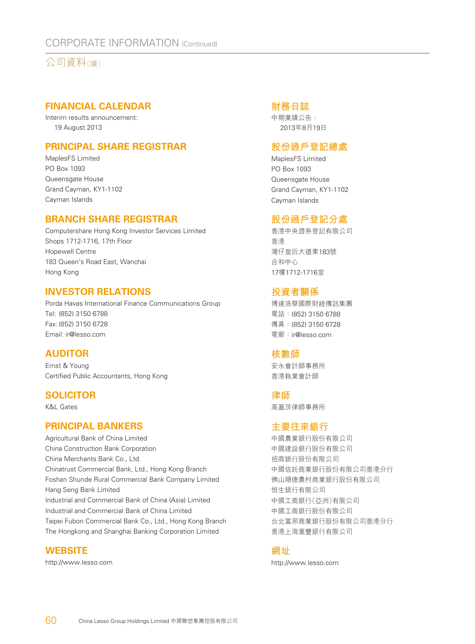#### CORPORATE INFORMATION (Continued)

公司資料(續)

#### **FINANCIAL CALENDAR**

Interim results announcement: 19 August 2013

#### **PRINCIPAL SHARE REGISTRAR**

MaplesFS Limited PO Box 1093 Queensgate House Grand Cayman, KY1-1102 Cayman Islands

#### **BRANCH SHARE REGISTRAR**

Computershare Hong Kong Investor Services Limited Shops 1712-1716, 17th Floor Hopewell Centre 183 Queen's Road East, Wanchai Hong Kong

#### **INVESTOR RELATIONS**

Porda Havas International Finance Communications Group Tel: (852) 3150 6788 Fax: (852) 3150 6728 Email: ir@lesso.com

#### **AUDITOR**

Ernst & Young Certified Public Accountants, Hong Kong

#### **SOLICITOR**

K&L Gates

#### **PRINCIPAL BANKERS**

Agricultural Bank of China Limited China Construction Bank Corporation China Merchants Bank Co., Ltd. Chinatrust Commercial Bank, Ltd., Hong Kong Branch Foshan Shunde Rural Commercial Bank Company Limited Hang Seng Bank Limited Industrial and Commercial Bank of China (Asia) Limited Industrial and Commercial Bank of China Limited Taipei Fubon Commercial Bank Co., Ltd., Hong Kong Branch The Hongkong and Shanghai Banking Corporation Limited

#### **WEBSITE**

http://www.lesso.com

#### **財務日誌**

中期業績公告: 2013年8月19日

#### **股份過戶登記總處**

MaplesFS Limited PO Box 1093 Queensgate House Grand Cayman, KY1-1102 Cayman Islands

#### **股份過戶登記分處**

香港中央證券登記有限公司 香港 灣仔皇后大道東183號 合和中心 17樓1712-1716室

#### **投資者關係**

博達浩華國際財經傳訊集團 電話:(852) 3150 6788 傳真:(852) 3150 6728 電郵:ir@lesso.com

#### **核數師**

安永會計師事務所 香港執業會計師

#### **律師**

高蓋茨律師事務所

#### **主要往來銀行**

中國農業銀行股份有限公司 中國建設銀行股份有限公司 招商銀行股份有限公司 中國信託商業銀行股份有限公司香港分行 佛山順德農村商業銀行股份有限公司 恒生銀行有限公司 中國工商銀行(亞洲)有限公司 中國工商銀行股份有限公司 台北富邦商業銀行股份有限公司香港分行 香港上海滙豐銀行有限公司

#### **網址**

http://www.lesso.com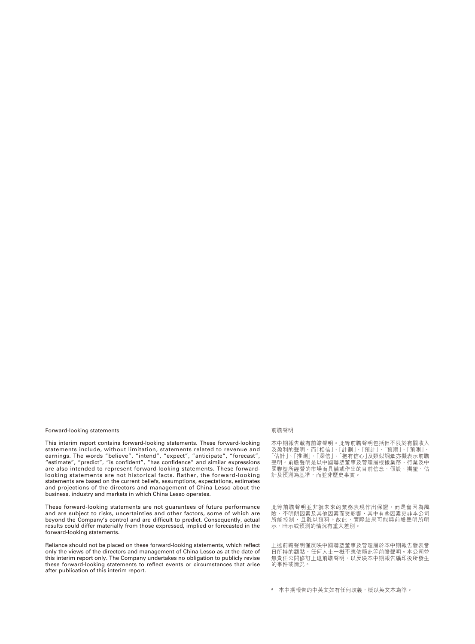#### Forward-looking statements

This interim report contains forward-looking statements. These forward-looking statements include, without limitation, statements related to revenue and earnings. The words "believe", "intend", "expect", "anticipate", "forecast", "estimate", "predict", "is confident", "has confidence" and similar expressions are also intended to represent forward-looking statements. These forwardlooking statements are not historical facts. Rather, the forward-looking statements are based on the current beliefs, assumptions, expectations, estimates and projections of the directors and management of China Lesso about the business, industry and markets in which China Lesso operates.

These forward-looking statements are not guarantees of future performance and are subject to risks, uncertainties and other factors, some of which are beyond the Company's control and are difficult to predict. Consequently, actual results could differ materially from those expressed, implied or forecasted in the forward-looking statements.

Reliance should not be placed on these forward-looking statements, which reflect only the views of the directors and management of China Lesso as at the date of this interim report only. The Company undertakes no obligation to publicly revise these forward-looking statements to reflect events or circumstances that arise after publication of this interim report.

#### 前瞻聲明

本中期報告載有前瞻聲明。此等前瞻聲明包括但不限於有關收入 及盈利的聲明,而| 相信」、| 計劃」、| 預計」、| 預期」、| 預測」、 「估計」、「推測」、「深信」、「抱有信心」及類似詞彙亦擬表示前瞻 聲明。前瞻聲明是以中國聯塑董事及管理層根據業務、行業及中 國聯塑所經營的市場而具備或作出的目前信念、假設、期望、估 計及預測為基準,而並非歷史事實。

此等前瞻聲明並非就未來的業務表現作出保證,而是會因為風 險、不明朗因素及其他因素而受影響,其中有些因素更非本公司 所能控制,且難以預料。故此,實際結果可能與前瞻聲明所明 示、暗示或預測的情況有重大差別。

上述前瞻聲明僅反映中國聯塑董事及管理層於本中期報告發表當 日所持的觀點,任何人士一概不應依賴此等前瞻聲明。本公司並 無責任公開修訂上述前瞻聲明,以反映本中期報告編印後所發生 的事件或情況。

# 本中期報告的中英文如有任何歧義,概以英文本為準。